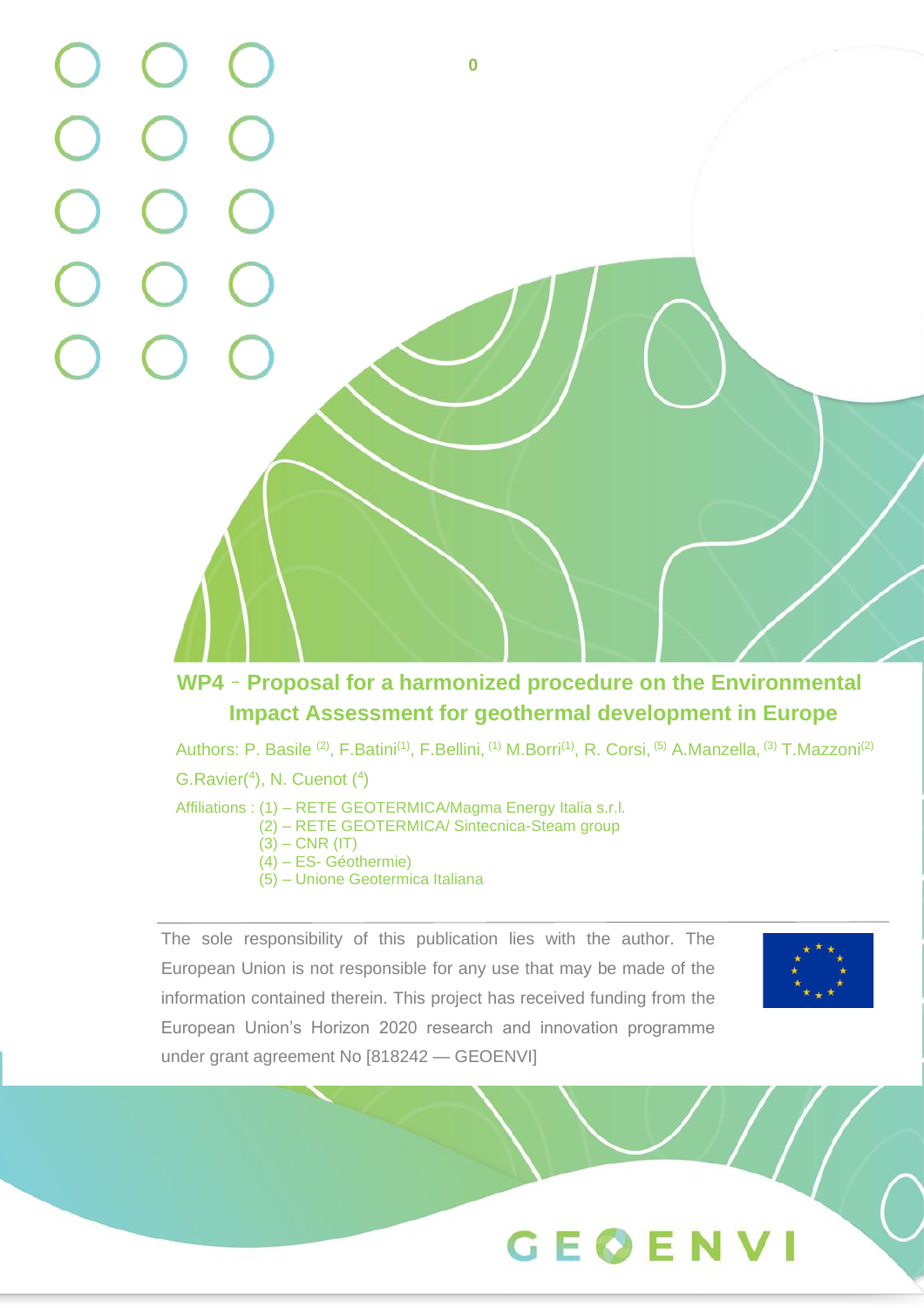

# **WP4** – **Proposal for a harmonized procedure on the Environmental Impact Assessment for geothermal development in Europe**

Authors: P. Basile <sup>(2)</sup>, F.Batini<sup>(1)</sup>, F.Bellini, <sup>(1)</sup> M.Borri<sup>(1)</sup>, R. Corsi, <sup>(5)</sup> A.Manzella, <sup>(3)</sup> T.Mazzoni<sup>(2)</sup>

 $G.Ravier<sup>(4)</sup>, N. Cuenot<sup>(4)</sup>$ 

Affiliations : (1) - RETE GEOTERMICA/Magma Energy Italia s.r.l.

- (2) RETE GEOTERMICA/ Sintecnica-Steam group
- $(3) CNR (IT)$
- (4) ES- Géothermie)

under grant agreement No [818242 — GEOENVI]

(5) – Unione Geotermica Italiana

The sole responsibility of this publication lies with the author. The European Union is not responsible for any use that may be made of the information contained therein. This project has received funding from the European Union's Horizon 2020 research and innovation programme under grant agreement No [818242 — GEOENVI]

The sole responsibility of this publication lies with the author. The author. The author. The author. The author. The author. The author. The author. The author. The author. The author. The author. The author. The author. European Union is not responsible for any use that may be made of the information contained therein. This project has received funding from the



GEOENVI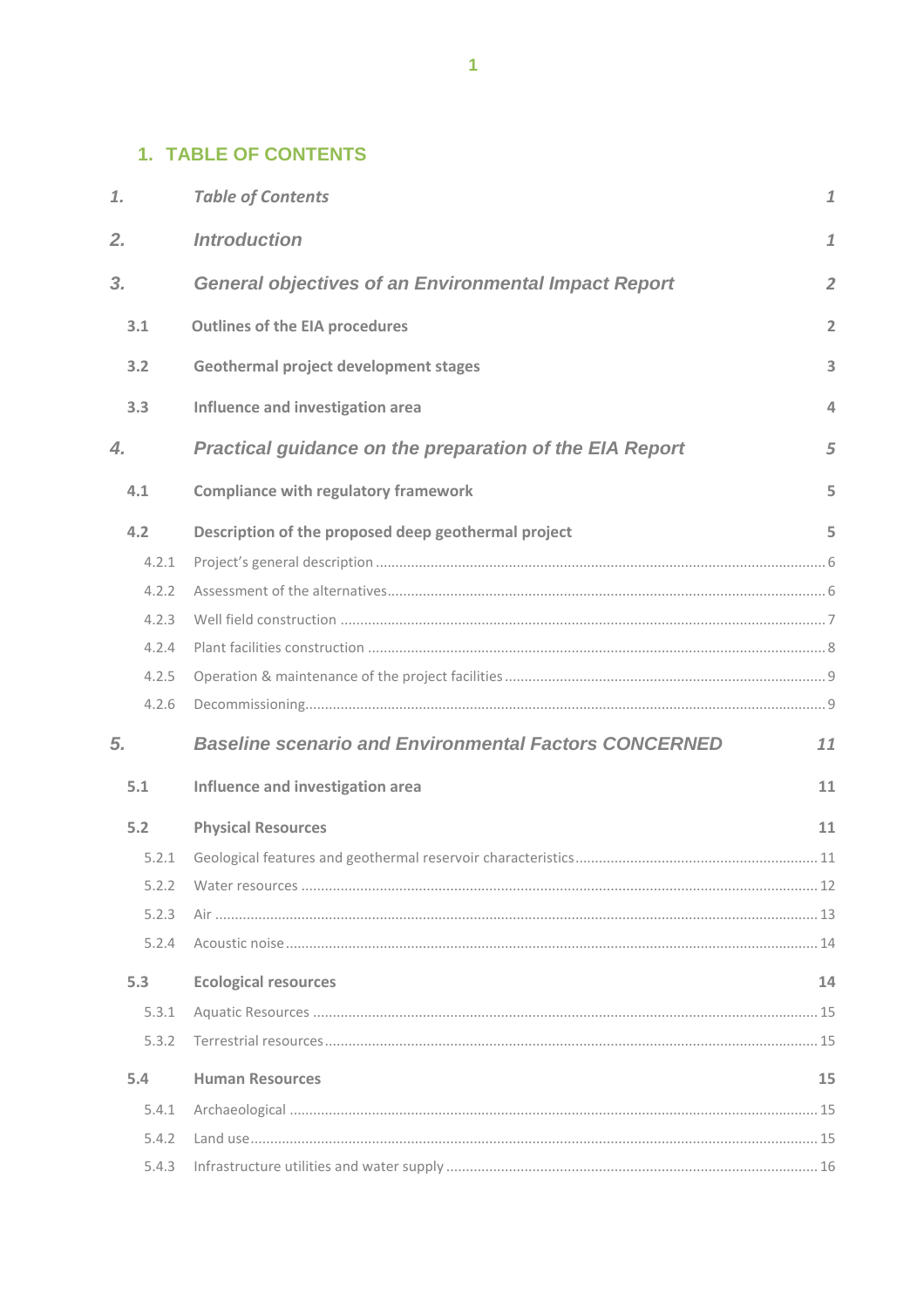# <span id="page-1-0"></span>**1. TABLE OF CONTENTS**

| 1.    | <b>Table of Contents</b>                                       | $\mathbf{1}$   |
|-------|----------------------------------------------------------------|----------------|
| 2.    | <b>Introduction</b>                                            | $\mathbf 1$    |
| 3.    | <b>General objectives of an Environmental Impact Report</b>    | $\overline{2}$ |
| 3.1   | <b>Outlines of the EIA procedures</b>                          | $\overline{2}$ |
| 3.2   | <b>Geothermal project development stages</b>                   | 3              |
| 3.3   | Influence and investigation area                               | 4              |
| 4.    | <b>Practical guidance on the preparation of the EIA Report</b> | 5              |
| 4.1   | <b>Compliance with regulatory framework</b>                    | 5              |
| 4.2   | Description of the proposed deep geothermal project            | 5              |
| 4.2.1 |                                                                |                |
| 4.2.2 |                                                                |                |
| 4.2.3 |                                                                |                |
| 4.2.4 |                                                                |                |
| 4.2.5 |                                                                |                |
| 4.2.6 |                                                                |                |
| 5.    | <b>Baseline scenario and Environmental Factors CONCERNED</b>   | 11             |
| 5.1   | Influence and investigation area                               | 11             |
| 5.2   | <b>Physical Resources</b>                                      | 11             |
| 5.2.1 |                                                                |                |
| 5.2.2 |                                                                |                |
| 5.2.3 |                                                                |                |
| 5.2.4 |                                                                |                |
| 5.3   | <b>Ecological resources</b>                                    | 14             |
| 5.3.1 |                                                                |                |
| 5.3.2 |                                                                |                |
| 5.4   | <b>Human Resources</b>                                         | 15             |
| 5.4.1 |                                                                |                |
| 5.4.2 |                                                                |                |
| 5.4.3 |                                                                |                |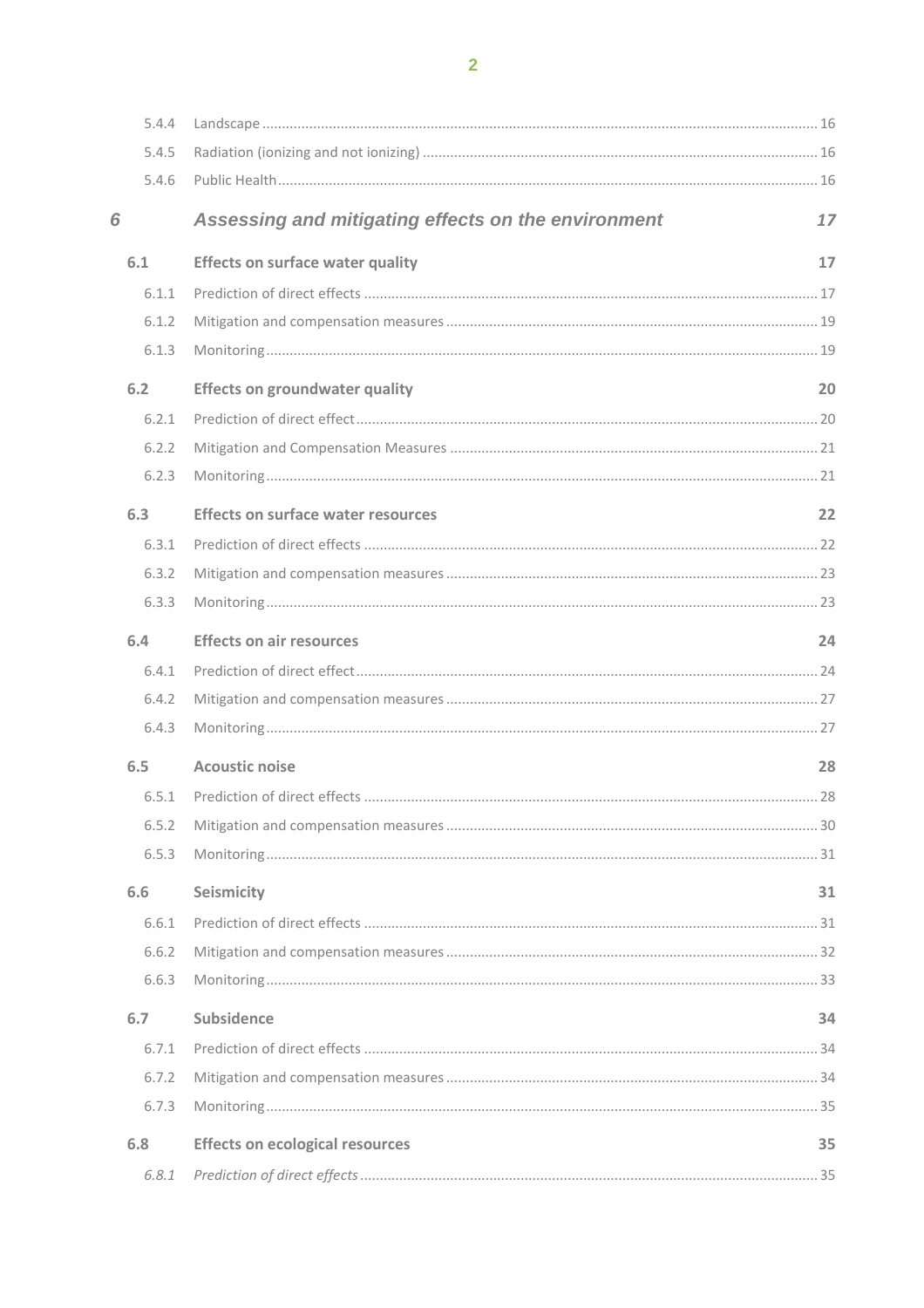|   | 5.4.4 |                                                     |    |
|---|-------|-----------------------------------------------------|----|
|   | 5.4.5 |                                                     |    |
|   | 5.4.6 |                                                     |    |
| 6 |       | Assessing and mitigating effects on the environment | 17 |
|   | 6.1   | <b>Effects on surface water quality</b>             | 17 |
|   | 6.1.1 |                                                     |    |
|   | 6.1.2 |                                                     |    |
|   | 6.1.3 |                                                     |    |
|   | 6.2   | <b>Effects on groundwater quality</b>               | 20 |
|   | 6.2.1 |                                                     |    |
|   | 6.2.2 |                                                     |    |
|   | 6.2.3 |                                                     |    |
|   | 6.3   | <b>Effects on surface water resources</b>           | 22 |
|   | 6.3.1 |                                                     |    |
|   | 6.3.2 |                                                     |    |
|   | 6.3.3 |                                                     |    |
|   | 6.4   | <b>Effects on air resources</b>                     | 24 |
|   | 6.4.1 |                                                     |    |
|   | 6.4.2 |                                                     |    |
|   | 6.4.3 |                                                     |    |
|   | 6.5   | <b>Acoustic noise</b>                               | 28 |
|   | 6.5.1 |                                                     |    |
|   | 6.5.2 |                                                     |    |
|   | 6.5.3 |                                                     |    |
|   | 6.6   | Seismicity                                          | 31 |
|   | 6.6.1 |                                                     |    |
|   | 6.6.2 |                                                     |    |
|   | 6.6.3 |                                                     |    |
|   | 6.7   | Subsidence                                          | 34 |
|   | 6.7.1 |                                                     |    |
|   | 6.7.2 |                                                     |    |
|   | 6.7.3 |                                                     |    |
|   | 6.8   | <b>Effects on ecological resources</b>              | 35 |
|   | 6.8.1 |                                                     |    |
|   |       |                                                     |    |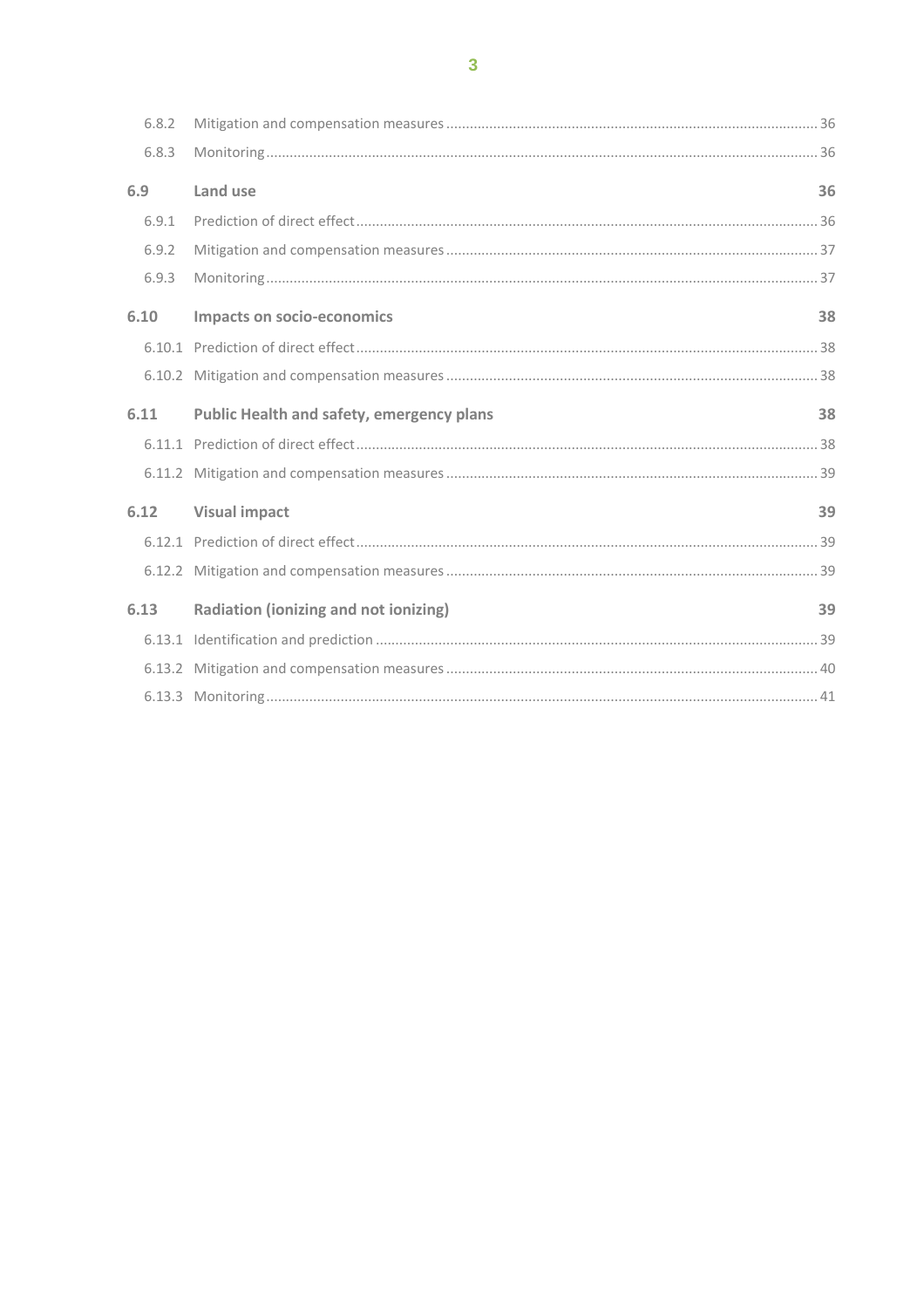|     | 6.8.2 |                                                  |    |
|-----|-------|--------------------------------------------------|----|
|     | 6.8.3 |                                                  |    |
| 6.9 |       | Land use                                         | 36 |
|     | 6.9.1 |                                                  |    |
|     | 6.9.2 |                                                  |    |
|     | 6.9.3 |                                                  |    |
|     | 6.10  | <b>Impacts on socio-economics</b>                | 38 |
|     |       |                                                  |    |
|     |       |                                                  |    |
|     | 6.11  | <b>Public Health and safety, emergency plans</b> | 38 |
|     |       |                                                  |    |
|     |       |                                                  |    |
|     | 6.12  | <b>Visual impact</b>                             | 39 |
|     |       |                                                  |    |
|     |       |                                                  |    |
|     | 6.13  | Radiation (ionizing and not ionizing)            | 39 |
|     |       |                                                  |    |
|     |       |                                                  |    |
|     |       |                                                  |    |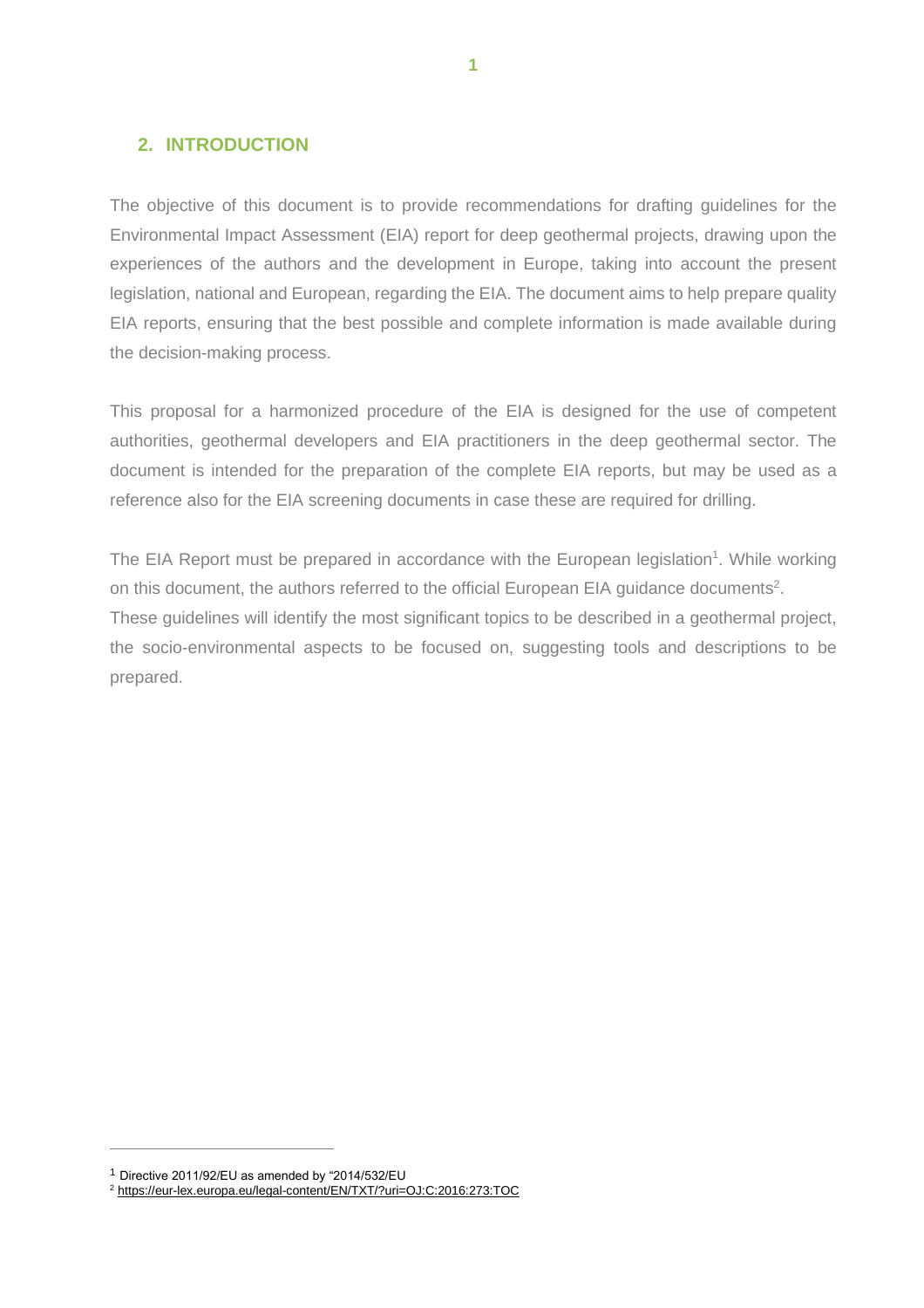# <span id="page-4-0"></span>**2. INTRODUCTION**

The objective of this document is to provide recommendations for drafting guidelines for the Environmental Impact Assessment (EIA) report for deep geothermal projects, drawing upon the experiences of the authors and the development in Europe, taking into account the present legislation, national and European, regarding the EIA. The document aims to help prepare quality EIA reports, ensuring that the best possible and complete information is made available during the decision-making process.

This proposal for a harmonized procedure of the EIA is designed for the use of competent authorities, geothermal developers and EIA practitioners in the deep geothermal sector. The document is intended for the preparation of the complete EIA reports, but may be used as a reference also for the EIA screening documents in case these are required for drilling.

The EIA Report must be prepared in accordance with the European legislation<sup>1</sup>. While working on this document, the authors referred to the official European EIA guidance documents<sup>2</sup>. These guidelines will identify the most significant topics to be described in a geothermal project, the socio-environmental aspects to be focused on, suggesting tools and descriptions to be prepared.

<sup>1</sup> Directive 2011/92/EU as amended by "2014/532/EU

<sup>2</sup> <https://eur-lex.europa.eu/legal-content/EN/TXT/?uri=OJ:C:2016:273:TOC>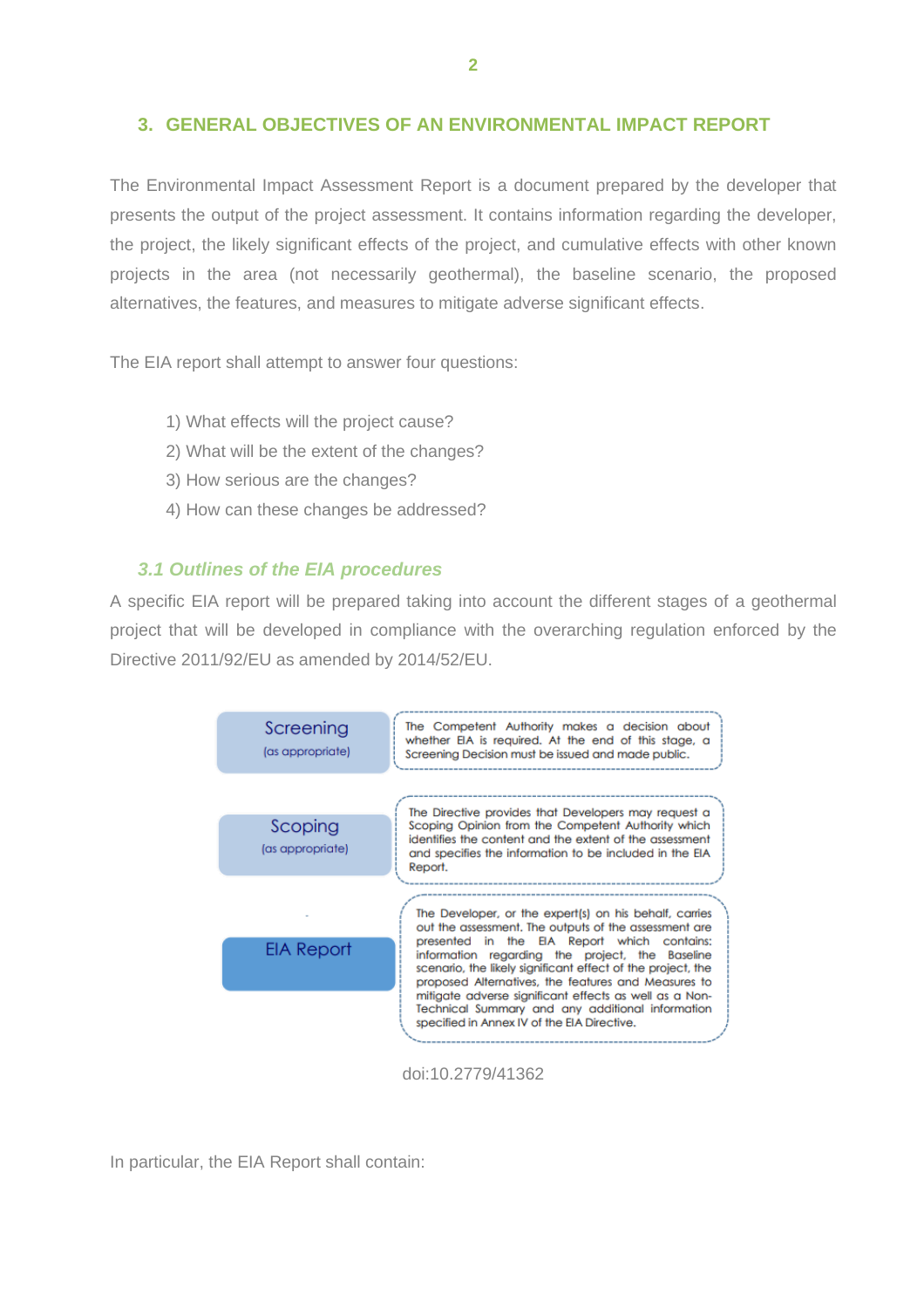## <span id="page-5-0"></span>**3. GENERAL OBJECTIVES OF AN ENVIRONMENTAL IMPACT REPORT**

The Environmental Impact Assessment Report is a document prepared by the developer that presents the output of the project assessment. It contains information regarding the developer, the project, the likely significant effects of the project, and cumulative effects with other known projects in the area (not necessarily geothermal), the baseline scenario, the proposed alternatives, the features, and measures to mitigate adverse significant effects.

The EIA report shall attempt to answer four questions:

- 1) What effects will the project cause?
- 2) What will be the extent of the changes?
- 3) How serious are the changes?
- 4) How can these changes be addressed?

#### <span id="page-5-1"></span>*3.1 Outlines of the EIA procedures*

A specific EIA report will be prepared taking into account the different stages of a geothermal project that will be developed in compliance with the overarching regulation enforced by the Directive 2011/92/EU as amended by 2014/52/EU.



doi:10.2779/41362

In particular, the EIA Report shall contain: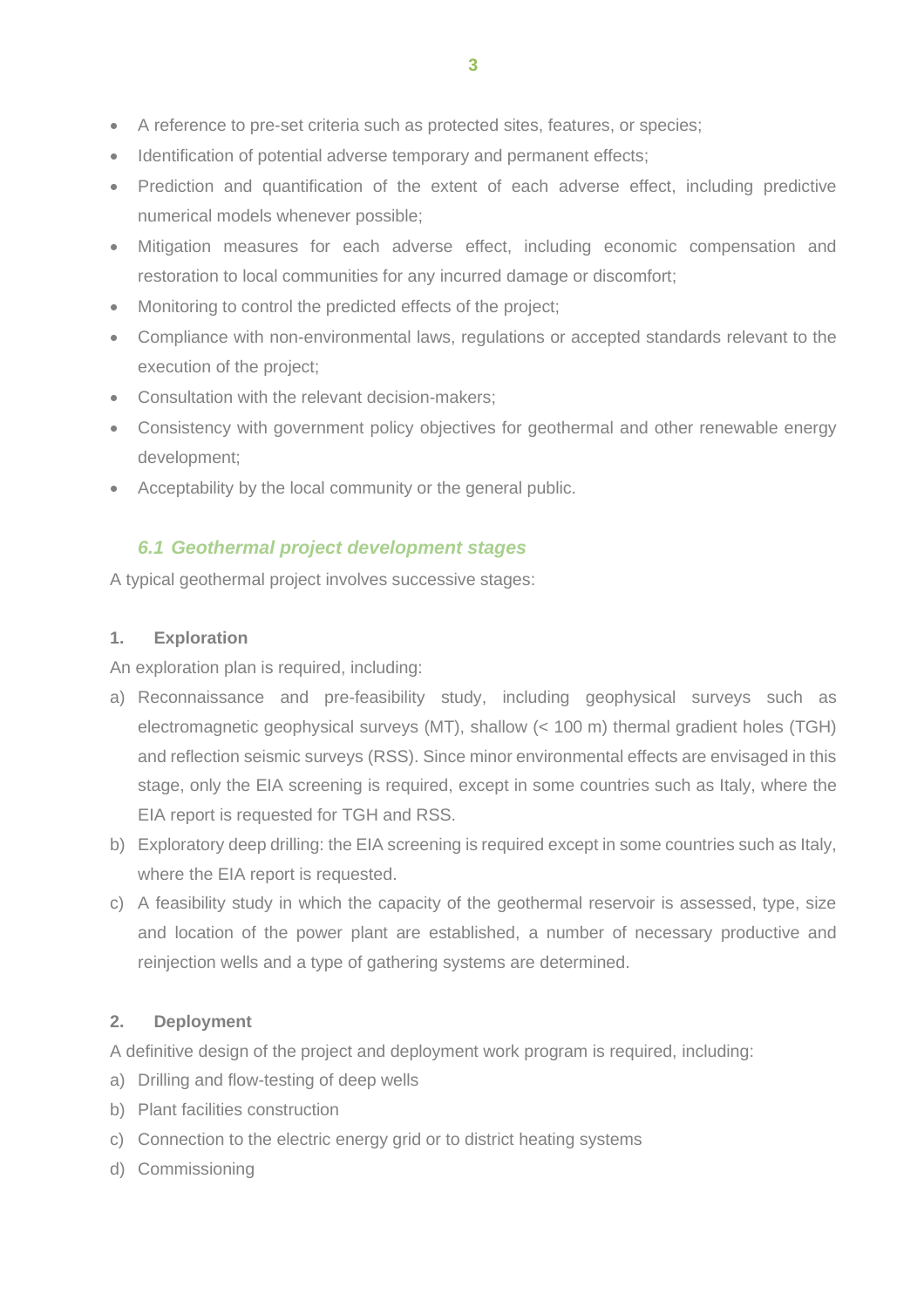- A reference to pre-set criteria such as protected sites, features, or species;
- Identification of potential adverse temporary and permanent effects;
- Prediction and quantification of the extent of each adverse effect, including predictive numerical models whenever possible;
- Mitigation measures for each adverse effect, including economic compensation and restoration to local communities for any incurred damage or discomfort;
- Monitoring to control the predicted effects of the project;
- Compliance with non-environmental laws, regulations or accepted standards relevant to the execution of the project;
- Consultation with the relevant decision-makers;
- Consistency with government policy objectives for geothermal and other renewable energy development;
- Acceptability by the local community or the general public.

## <span id="page-6-0"></span>*6.1 Geothermal project development stages*

A typical geothermal project involves successive stages:

#### **1. Exploration**

An exploration plan is required, including:

- a) Reconnaissance and pre-feasibility study, including geophysical surveys such as electromagnetic geophysical surveys (MT), shallow (< 100 m) thermal gradient holes (TGH) and reflection seismic surveys (RSS). Since minor environmental effects are envisaged in this stage, only the EIA screening is required, except in some countries such as Italy, where the EIA report is requested for TGH and RSS.
- b) Exploratory deep drilling: the EIA screening is required except in some countries such as Italy, where the EIA report is requested.
- c) A feasibility study in which the capacity of the geothermal reservoir is assessed, type, size and location of the power plant are established, a number of necessary productive and reinjection wells and a type of gathering systems are determined.

#### **2. Deployment**

A definitive design of the project and deployment work program is required, including:

- a) Drilling and flow-testing of deep wells
- b) Plant facilities construction
- c) Connection to the electric energy grid or to district heating systems
- d) Commissioning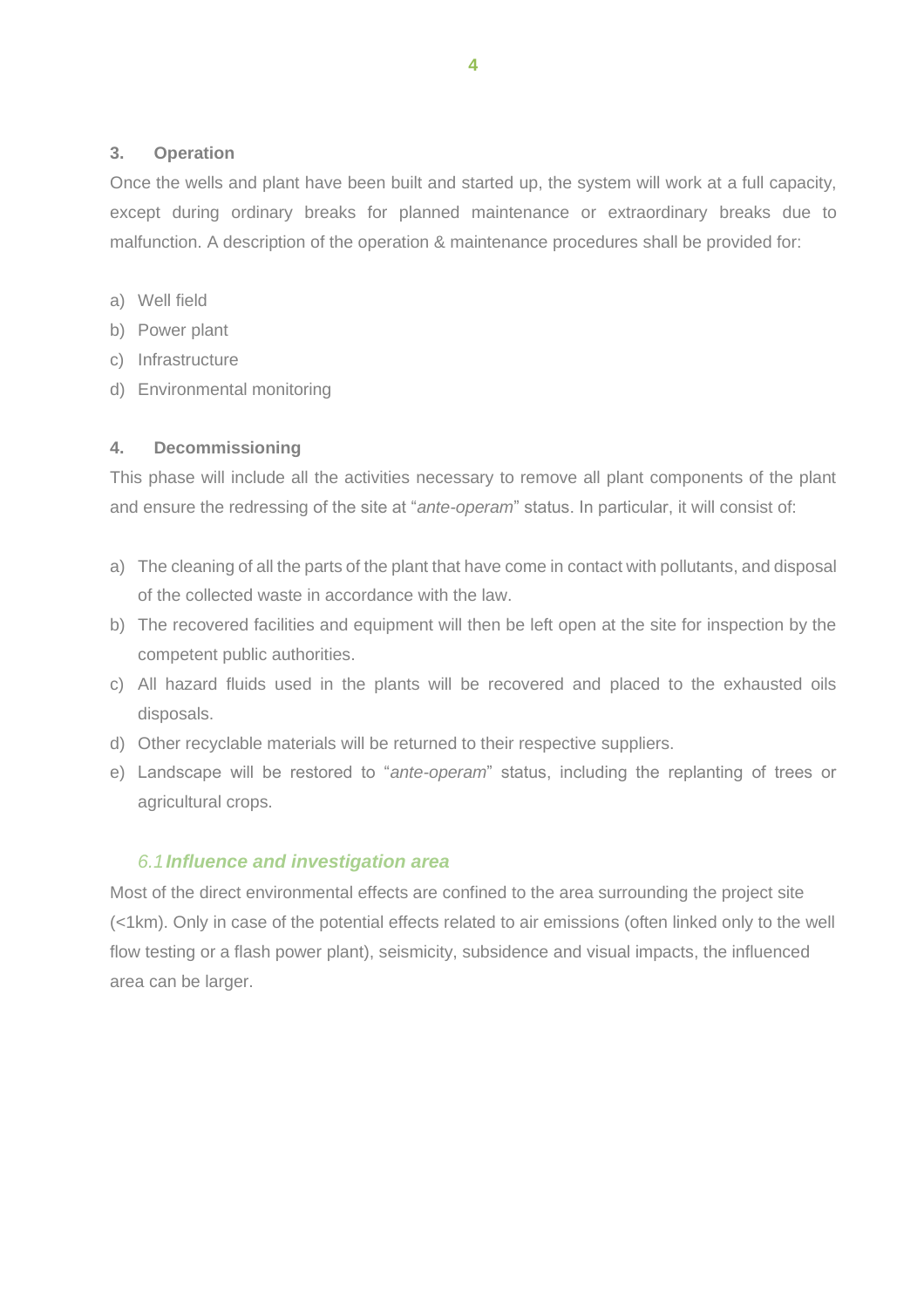## **3. Operation**

Once the wells and plant have been built and started up, the system will work at a full capacity, except during ordinary breaks for planned maintenance or extraordinary breaks due to malfunction. A description of the operation & maintenance procedures shall be provided for:

- a) Well field
- b) Power plant
- c) Infrastructure
- d) Environmental monitoring

## **4. Decommissioning**

This phase will include all the activities necessary to remove all plant components of the plant and ensure the redressing of the site at "*ante-operam*" status. In particular, it will consist of:

- a) The cleaning of all the parts of the plant that have come in contact with pollutants, and disposal of the collected waste in accordance with the law.
- b) The recovered facilities and equipment will then be left open at the site for inspection by the competent public authorities.
- c) All hazard fluids used in the plants will be recovered and placed to the exhausted oils disposals.
- d) Other recyclable materials will be returned to their respective suppliers.
- e) Landscape will be restored to "*ante-operam*" status, including the replanting of trees or agricultural crops.

## *6.1Influence and investigation area*

<span id="page-7-0"></span>Most of the direct environmental effects are confined to the area surrounding the project site (<1km). Only in case of the potential effects related to air emissions (often linked only to the well flow testing or a flash power plant), seismicity, subsidence and visual impacts, the influenced area can be larger.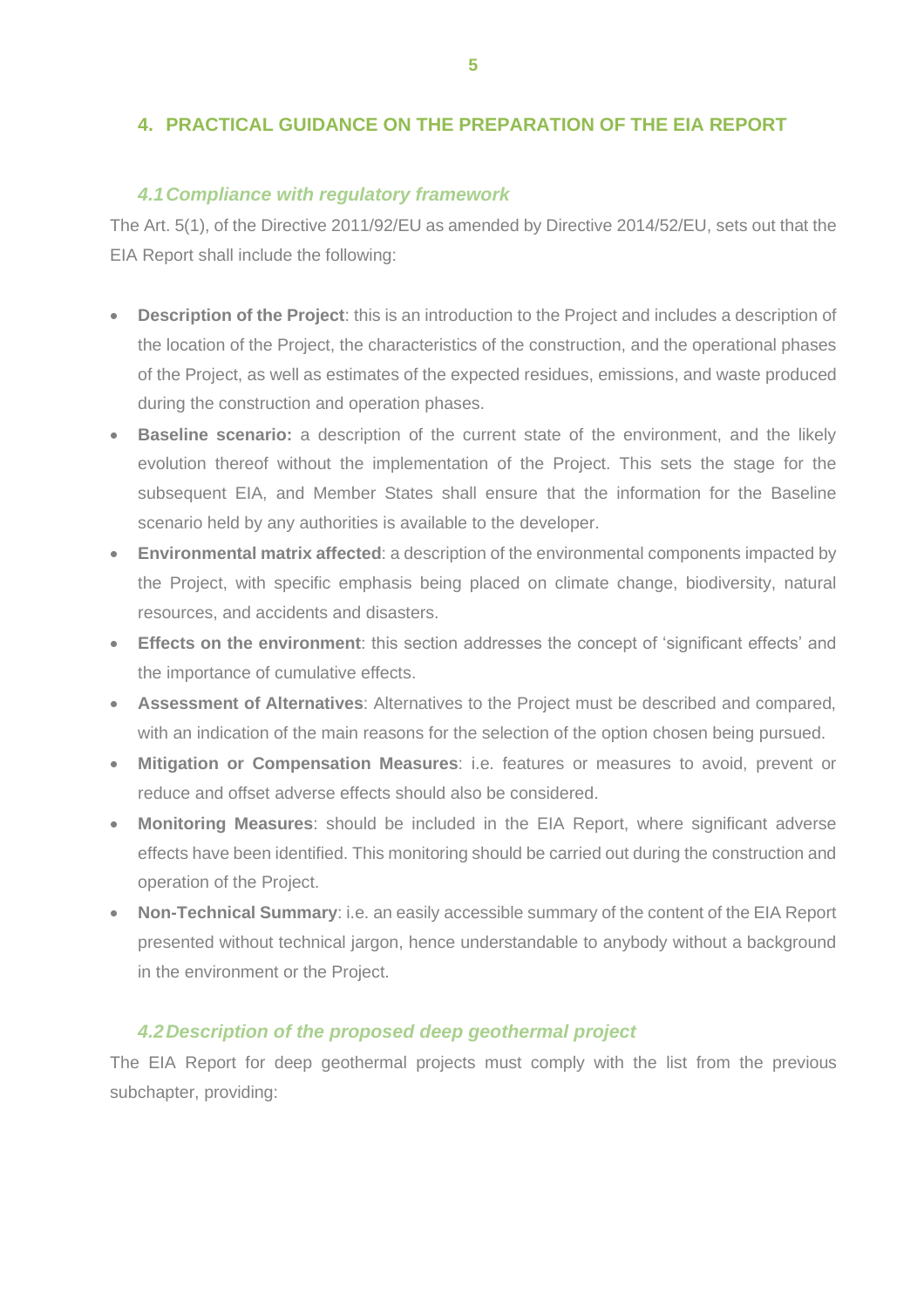# <span id="page-8-0"></span>**4. PRACTICAL GUIDANCE ON THE PREPARATION OF THE EIA REPORT**

## *4.1Compliance with regulatory framework*

<span id="page-8-1"></span>The Art. 5(1), of the Directive 2011/92/EU as amended by Directive 2014/52/EU, sets out that the EIA Report shall include the following:

- **Description of the Project**: this is an introduction to the Project and includes a description of the location of the Project, the characteristics of the construction, and the operational phases of the Project, as well as estimates of the expected residues, emissions, and waste produced during the construction and operation phases.
- **Baseline scenario:** a description of the current state of the environment, and the likely evolution thereof without the implementation of the Project. This sets the stage for the subsequent EIA, and Member States shall ensure that the information for the Baseline scenario held by any authorities is available to the developer.
- **Environmental matrix affected**: a description of the environmental components impacted by the Project, with specific emphasis being placed on climate change, biodiversity, natural resources, and accidents and disasters.
- **Effects on the environment**: this section addresses the concept of 'significant effects' and the importance of cumulative effects.
- **Assessment of Alternatives**: Alternatives to the Project must be described and compared, with an indication of the main reasons for the selection of the option chosen being pursued.
- **Mitigation or Compensation Measures**: i.e. features or measures to avoid, prevent or reduce and offset adverse effects should also be considered.
- **Monitoring Measures**: should be included in the EIA Report, where significant adverse effects have been identified. This monitoring should be carried out during the construction and operation of the Project.
- **Non-Technical Summary**: i.e. an easily accessible summary of the content of the EIA Report presented without technical jargon, hence understandable to anybody without a background in the environment or the Project.

## *4.2Description of the proposed deep geothermal project*

<span id="page-8-2"></span>The EIA Report for deep geothermal projects must comply with the list from the previous subchapter, providing: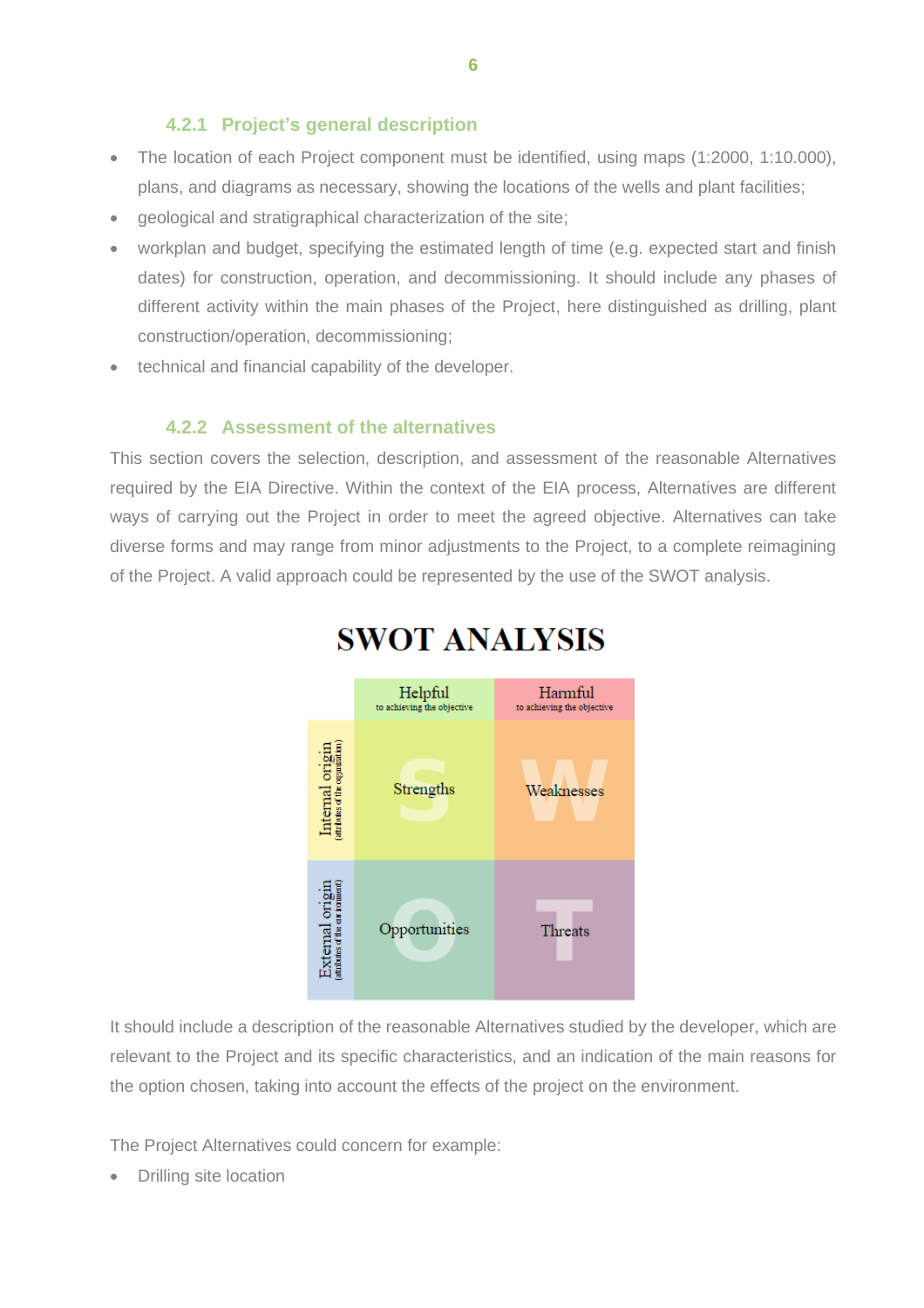# **4.2.1 Project's general description**

- <span id="page-9-0"></span>• The location of each Project component must be identified, using maps (1:2000, 1:10.000), plans, and diagrams as necessary, showing the locations of the wells and plant facilities;
- geological and stratigraphical characterization of the site;
- workplan and budget, specifying the estimated length of time (e.g. expected start and finish dates) for construction, operation, and decommissioning. It should include any phases of different activity within the main phases of the Project, here distinguished as drilling, plant construction/operation, decommissioning;
- technical and financial capability of the developer.

## **4.2.2 Assessment of the alternatives**

<span id="page-9-1"></span>This section covers the selection, description, and assessment of the reasonable Alternatives required by the EIA Directive. Within the context of the EIA process, Alternatives are different ways of carrying out the Project in order to meet the agreed objective. Alternatives can take diverse forms and may range from minor adjustments to the Project, to a complete reimagining of the Project. A valid approach could be represented by the use of the SWOT analysis.



# **SWOT ANALYSIS**

It should include a description of the reasonable Alternatives studied by the developer, which are relevant to the Project and its specific characteristics, and an indication of the main reasons for the option chosen, taking into account the effects of the project on the environment.

The Project Alternatives could concern for example:

• Drilling site location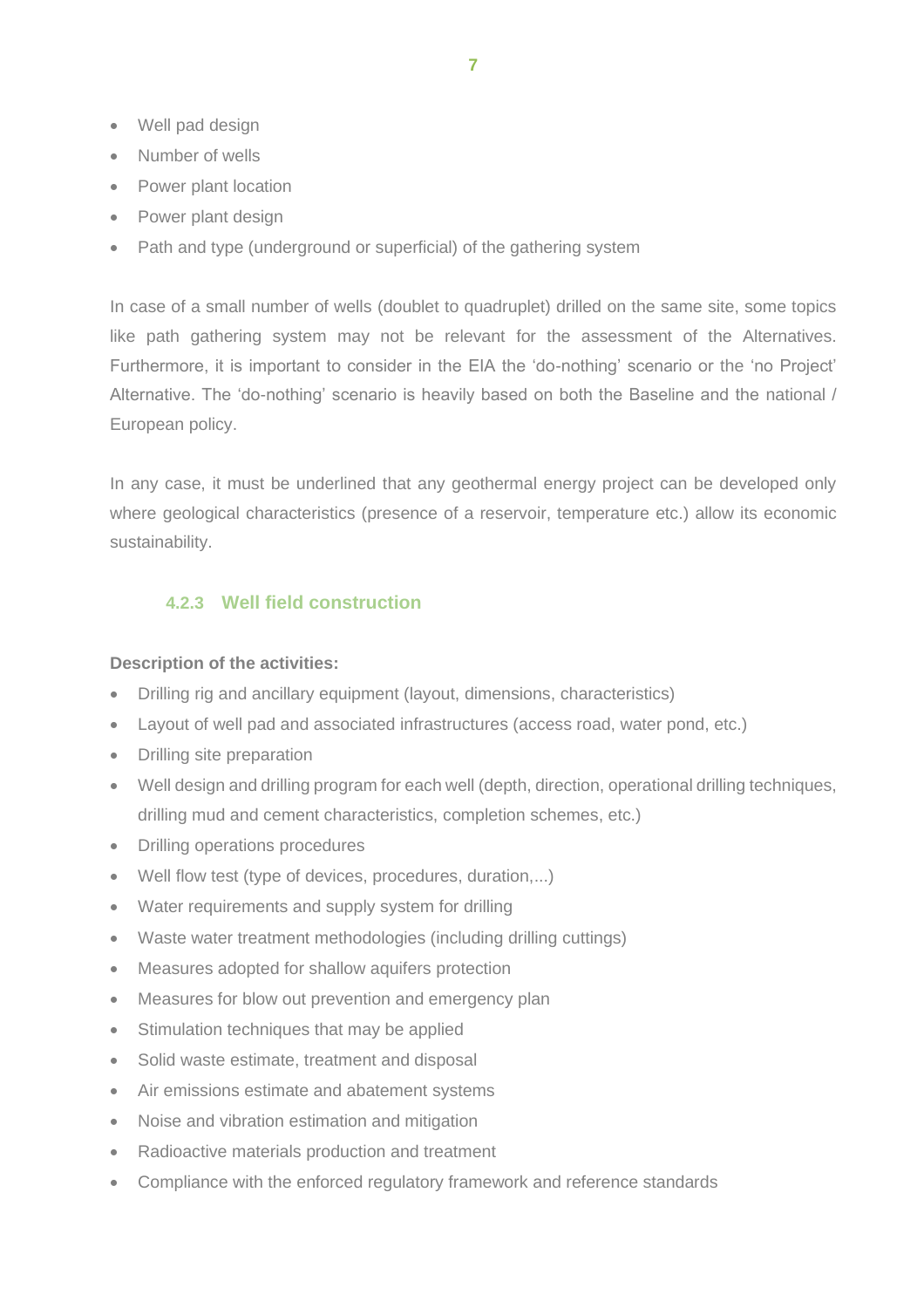- Well pad design
- Number of wells
- Power plant location
- Power plant design
- Path and type (underground or superficial) of the gathering system

In case of a small number of wells (doublet to quadruplet) drilled on the same site, some topics like path gathering system may not be relevant for the assessment of the Alternatives. Furthermore, it is important to consider in the EIA the 'do-nothing' scenario or the 'no Project' Alternative. The 'do-nothing' scenario is heavily based on both the Baseline and the national / European policy.

In any case, it must be underlined that any geothermal energy project can be developed only where geological characteristics (presence of a reservoir, temperature etc.) allow its economic sustainability.

## <span id="page-10-0"></span>**4.2.3 Well field construction**

#### **Description of the activities:**

- Drilling rig and ancillary equipment (layout, dimensions, characteristics)
- Layout of well pad and associated infrastructures (access road, water pond, etc.)
- Drilling site preparation
- Well design and drilling program for each well (depth, direction, operational drilling techniques, drilling mud and cement characteristics, completion schemes, etc.)
- Drilling operations procedures
- Well flow test (type of devices, procedures, duration,...)
- Water requirements and supply system for drilling
- Waste water treatment methodologies (including drilling cuttings)
- Measures adopted for shallow aquifers protection
- Measures for blow out prevention and emergency plan
- Stimulation techniques that may be applied
- Solid waste estimate, treatment and disposal
- Air emissions estimate and abatement systems
- Noise and vibration estimation and mitigation
- Radioactive materials production and treatment
- Compliance with the enforced regulatory framework and reference standards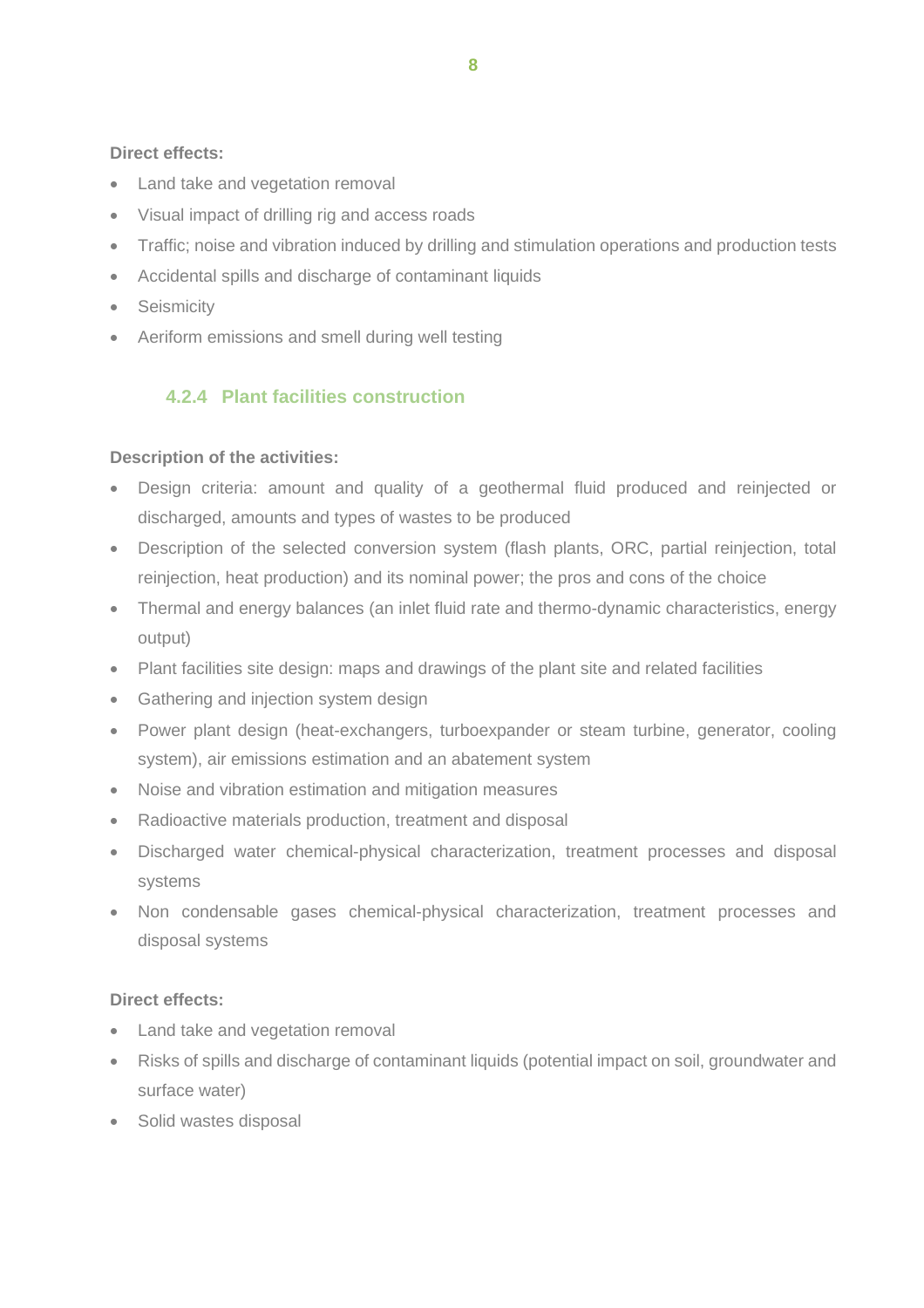## **Direct effects:**

- Land take and vegetation removal
- Visual impact of drilling rig and access roads
- Traffic; noise and vibration induced by drilling and stimulation operations and production tests
- Accidental spills and discharge of contaminant liquids
- Seismicity
- Aeriform emissions and smell during well testing

# <span id="page-11-0"></span>**4.2.4 Plant facilities construction**

## **Description of the activities:**

- Design criteria: amount and quality of a geothermal fluid produced and reinjected or discharged, amounts and types of wastes to be produced
- Description of the selected conversion system (flash plants, ORC, partial reinjection, total reinjection, heat production) and its nominal power; the pros and cons of the choice
- Thermal and energy balances (an inlet fluid rate and thermo-dynamic characteristics, energy output)
- Plant facilities site design: maps and drawings of the plant site and related facilities
- Gathering and injection system design
- Power plant design (heat-exchangers, turboexpander or steam turbine, generator, cooling system), air emissions estimation and an abatement system
- Noise and vibration estimation and mitigation measures
- Radioactive materials production, treatment and disposal
- Discharged water chemical-physical characterization, treatment processes and disposal systems
- Non condensable gases chemical-physical characterization, treatment processes and disposal systems

## **Direct effects:**

- Land take and vegetation removal
- Risks of spills and discharge of contaminant liquids (potential impact on soil, groundwater and surface water)
- Solid wastes disposal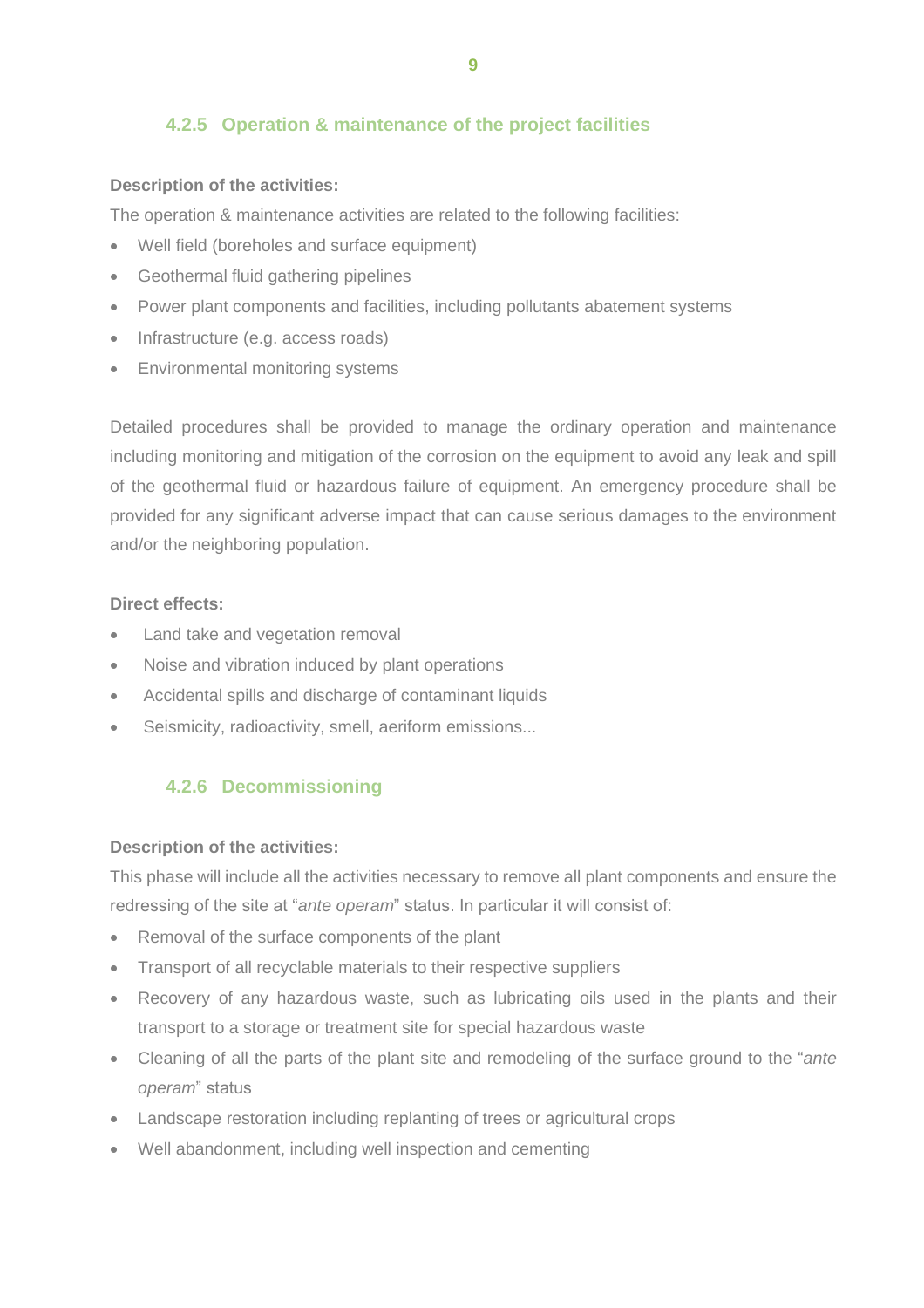# <span id="page-12-0"></span>**4.2.5 Operation & maintenance of the project facilities**

## **Description of the activities:**

The operation & maintenance activities are related to the following facilities:

- Well field (boreholes and surface equipment)
- Geothermal fluid gathering pipelines
- Power plant components and facilities, including pollutants abatement systems
- Infrastructure (e.g. access roads)
- Environmental monitoring systems

Detailed procedures shall be provided to manage the ordinary operation and maintenance including monitoring and mitigation of the corrosion on the equipment to avoid any leak and spill of the geothermal fluid or hazardous failure of equipment. An emergency procedure shall be provided for any significant adverse impact that can cause serious damages to the environment and/or the neighboring population.

#### **Direct effects:**

- Land take and vegetation removal
- Noise and vibration induced by plant operations
- Accidental spills and discharge of contaminant liquids
- Seismicity, radioactivity, smell, aeriform emissions...

# <span id="page-12-1"></span>**4.2.6 Decommissioning**

#### **Description of the activities:**

This phase will include all the activities necessary to remove all plant components and ensure the redressing of the site at "*ante operam*" status. In particular it will consist of:

- Removal of the surface components of the plant
- Transport of all recyclable materials to their respective suppliers
- Recovery of any hazardous waste, such as lubricating oils used in the plants and their transport to a storage or treatment site for special hazardous waste
- Cleaning of all the parts of the plant site and remodeling of the surface ground to the "*ante operam*" status
- Landscape restoration including replanting of trees or agricultural crops
- Well abandonment, including well inspection and cementing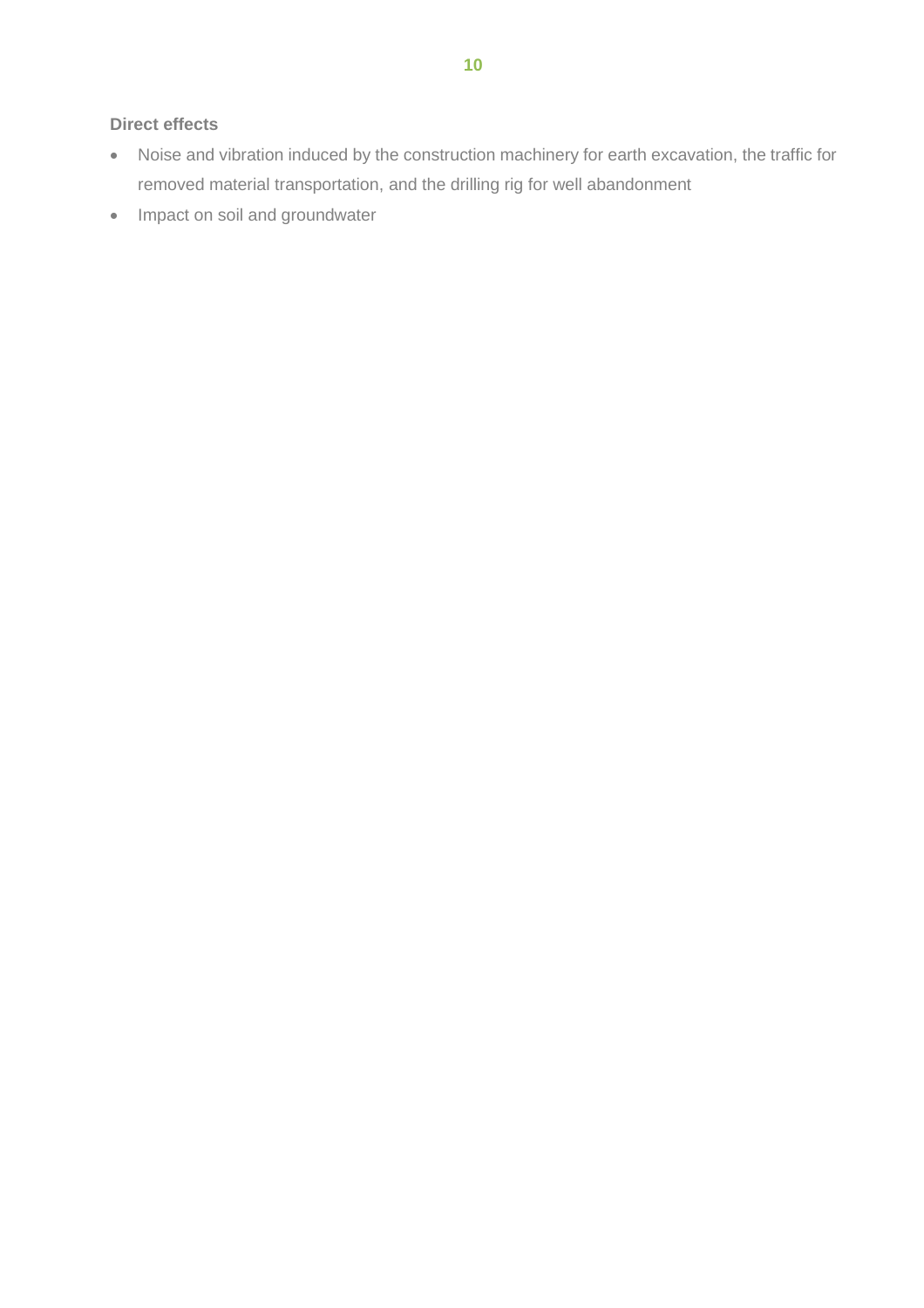## **Direct effects**

- Noise and vibration induced by the construction machinery for earth excavation, the traffic for removed material transportation, and the drilling rig for well abandonment
- Impact on soil and groundwater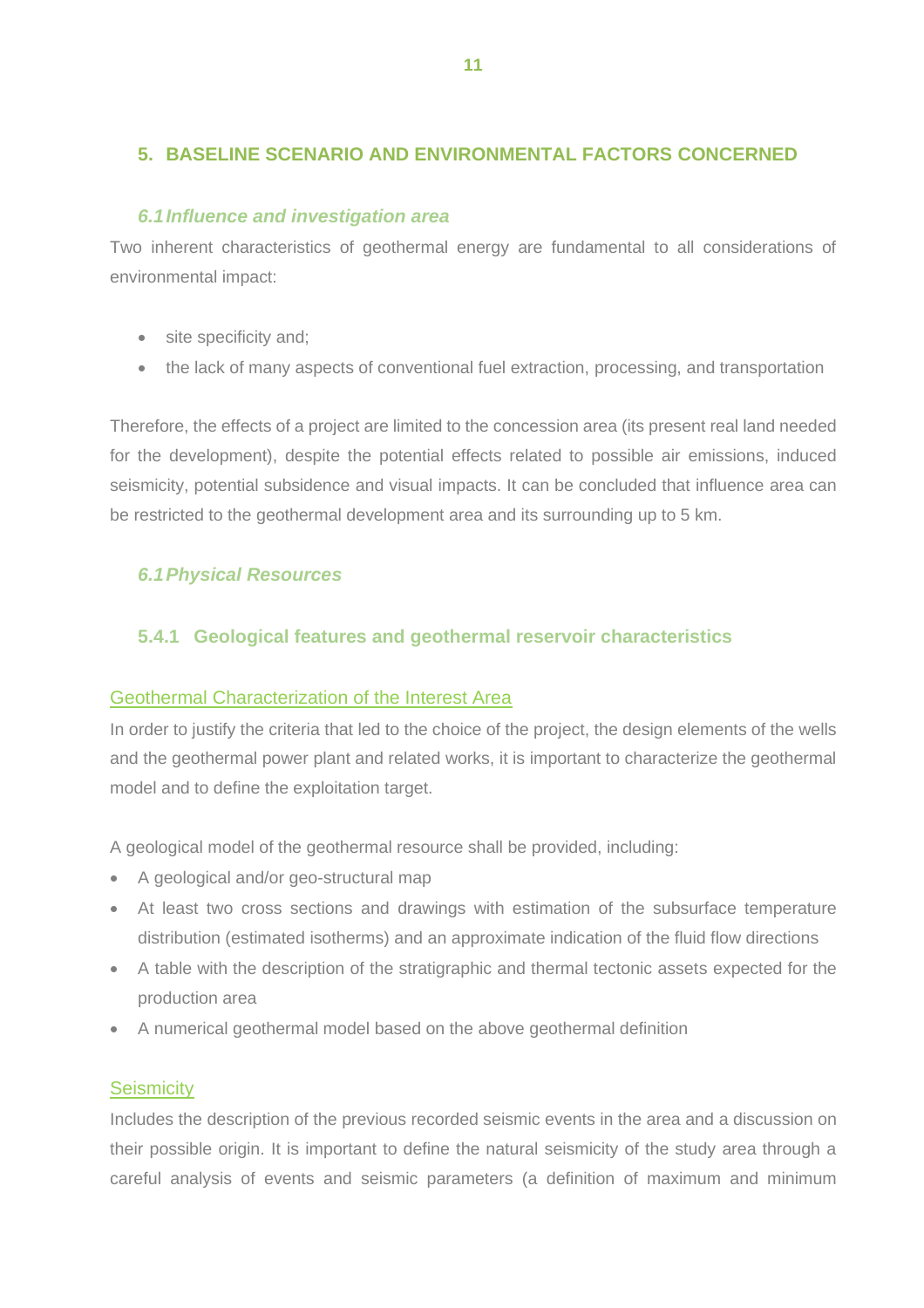# <span id="page-14-0"></span>**5. BASELINE SCENARIO AND ENVIRONMENTAL FACTORS CONCERNED**

## *6.1Influence and investigation area*

<span id="page-14-1"></span>Two inherent characteristics of geothermal energy are fundamental to all considerations of environmental impact:

- site specificity and;
- the lack of many aspects of conventional fuel extraction, processing, and transportation

Therefore, the effects of a project are limited to the concession area (its present real land needed for the development), despite the potential effects related to possible air emissions, induced seismicity, potential subsidence and visual impacts. It can be concluded that influence area can be restricted to the geothermal development area and its surrounding up to 5 km.

## <span id="page-14-2"></span>*6.1Physical Resources*

## <span id="page-14-3"></span>**5.4.1 Geological features and geothermal reservoir characteristics**

#### Geothermal Characterization of the Interest Area

In order to justify the criteria that led to the choice of the project, the design elements of the wells and the geothermal power plant and related works, it is important to characterize the geothermal model and to define the exploitation target.

A geological model of the geothermal resource shall be provided, including:

- A geological and/or geo-structural map
- At least two cross sections and drawings with estimation of the subsurface temperature distribution (estimated isotherms) and an approximate indication of the fluid flow directions
- A table with the description of the stratigraphic and thermal tectonic assets expected for the production area
- A numerical geothermal model based on the above geothermal definition

#### **Seismicity**

Includes the description of the previous recorded seismic events in the area and a discussion on their possible origin. It is important to define the natural seismicity of the study area through a careful analysis of events and seismic parameters (a definition of maximum and minimum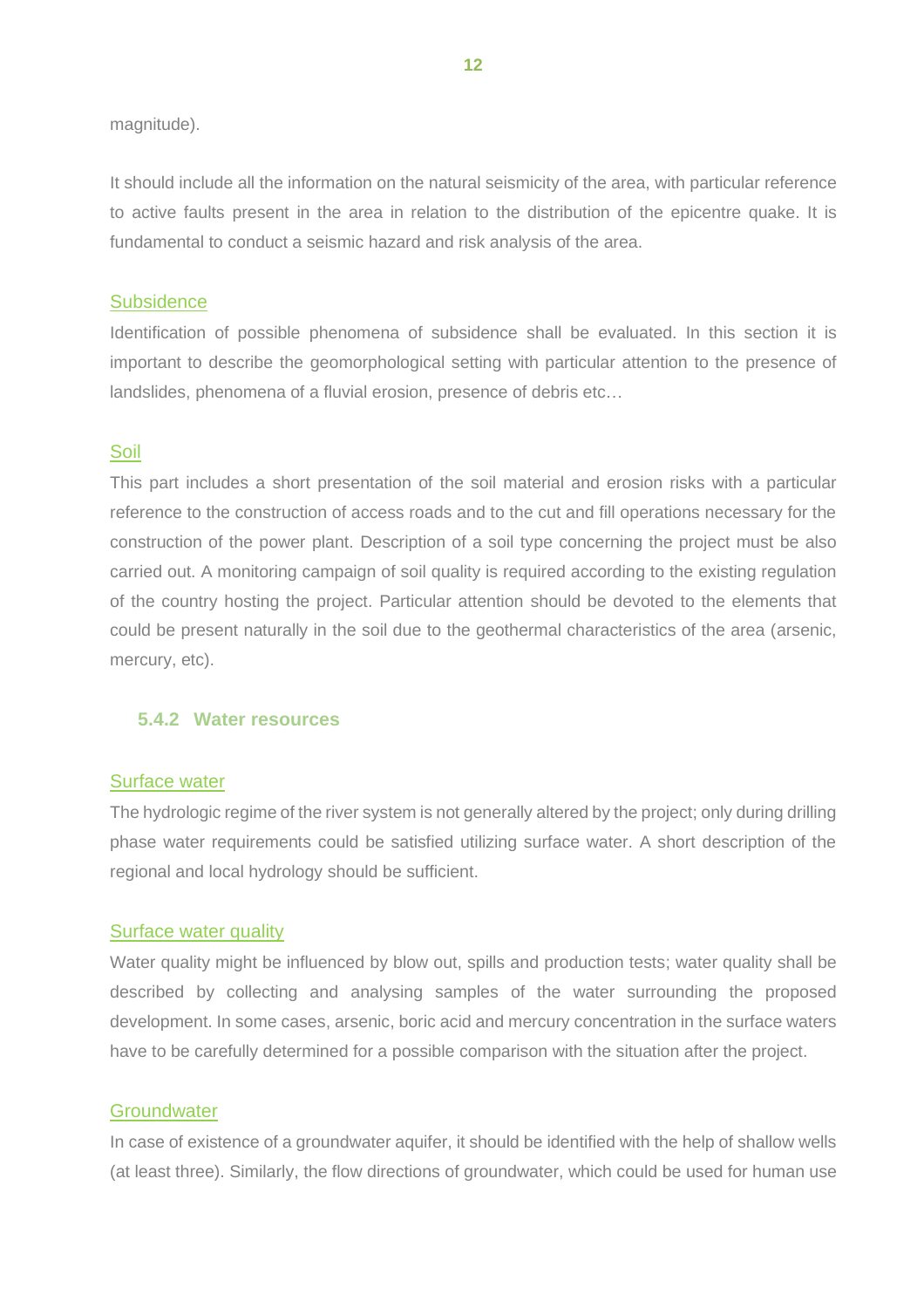#### magnitude).

It should include all the information on the natural seismicity of the area, with particular reference to active faults present in the area in relation to the distribution of the epicentre quake. It is fundamental to conduct a seismic hazard and risk analysis of the area.

#### **Subsidence**

Identification of possible phenomena of subsidence shall be evaluated. In this section it is important to describe the geomorphological setting with particular attention to the presence of landslides, phenomena of a fluvial erosion, presence of debris etc…

#### Soil

This part includes a short presentation of the soil material and erosion risks with a particular reference to the construction of access roads and to the cut and fill operations necessary for the construction of the power plant. Description of a soil type concerning the project must be also carried out. A monitoring campaign of soil quality is required according to the existing regulation of the country hosting the project. Particular attention should be devoted to the elements that could be present naturally in the soil due to the geothermal characteristics of the area (arsenic, mercury, etc).

#### <span id="page-15-0"></span>**5.4.2 Water resources**

#### Surface water

The hydrologic regime of the river system is not generally altered by the project; only during drilling phase water requirements could be satisfied utilizing surface water. A short description of the regional and local hydrology should be sufficient.

#### Surface water quality

Water quality might be influenced by blow out, spills and production tests; water quality shall be described by collecting and analysing samples of the water surrounding the proposed development. In some cases, arsenic, boric acid and mercury concentration in the surface waters have to be carefully determined for a possible comparison with the situation after the project.

#### **Groundwater**

In case of existence of a groundwater aquifer, it should be identified with the help of shallow wells (at least three). Similarly, the flow directions of groundwater, which could be used for human use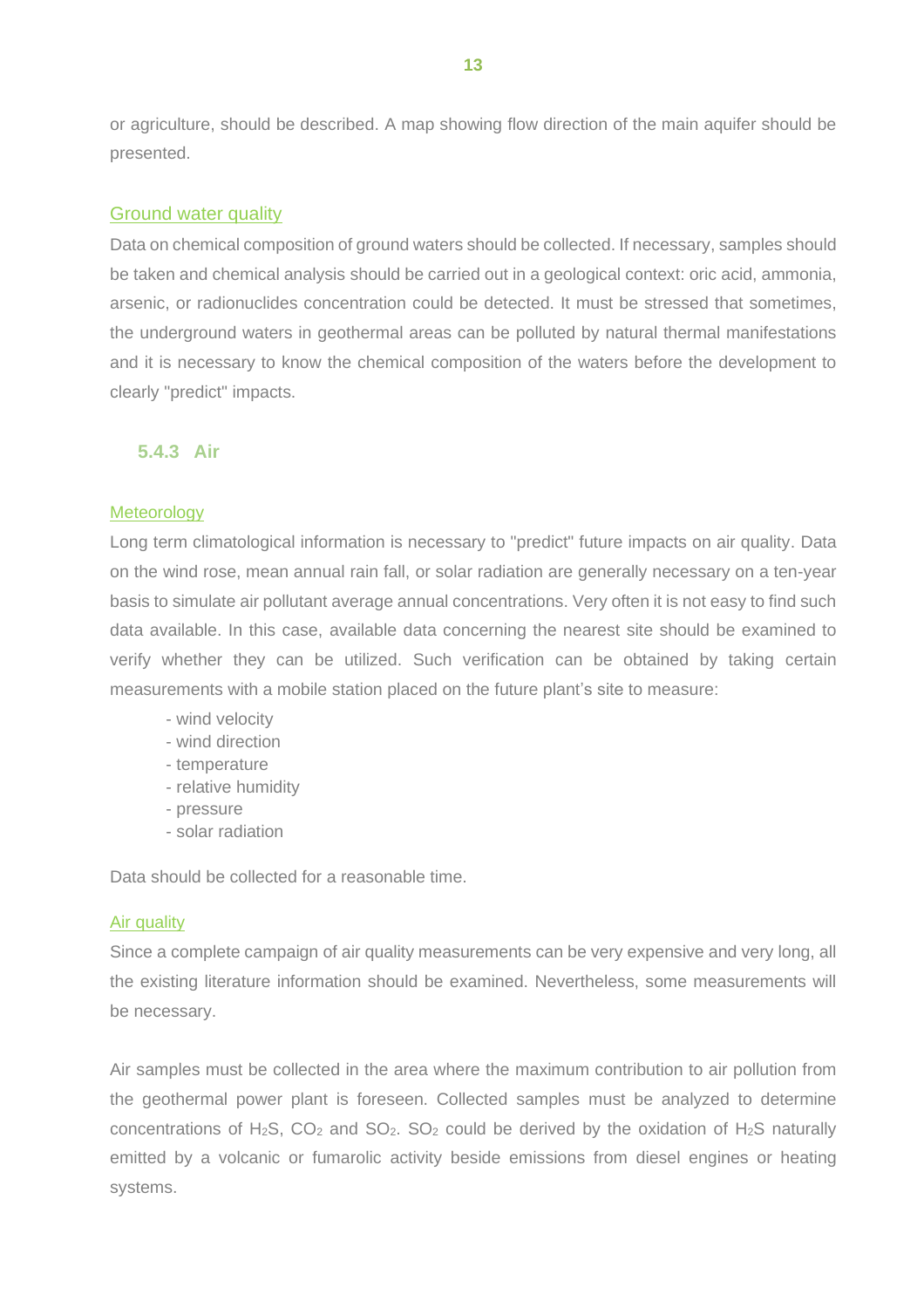or agriculture, should be described. A map showing flow direction of the main aquifer should be presented.

#### Ground water quality

Data on chemical composition of ground waters should be collected. If necessary, samples should be taken and chemical analysis should be carried out in a geological context: oric acid, ammonia, arsenic, or radionuclides concentration could be detected. It must be stressed that sometimes, the underground waters in geothermal areas can be polluted by natural thermal manifestations and it is necessary to know the chemical composition of the waters before the development to clearly "predict" impacts.

## <span id="page-16-0"></span>**5.4.3 Air**

#### **Meteorology**

Long term climatological information is necessary to "predict" future impacts on air quality. Data on the wind rose, mean annual rain fall, or solar radiation are generally necessary on a ten-year basis to simulate air pollutant average annual concentrations. Very often it is not easy to find such data available. In this case, available data concerning the nearest site should be examined to verify whether they can be utilized. Such verification can be obtained by taking certain measurements with a mobile station placed on the future plant's site to measure:

- wind velocity
- wind direction
- temperature
- relative humidity
- pressure
- solar radiation

Data should be collected for a reasonable time.

#### Air quality

Since a complete campaign of air quality measurements can be very expensive and very long, all the existing literature information should be examined. Nevertheless, some measurements will be necessary.

Air samples must be collected in the area where the maximum contribution to air pollution from the geothermal power plant is foreseen. Collected samples must be analyzed to determine concentrations of H<sub>2</sub>S,  $CO_2$  and  $SO_2$ .  $SO_2$  could be derived by the oxidation of H<sub>2</sub>S naturally emitted by a volcanic or fumarolic activity beside emissions from diesel engines or heating systems.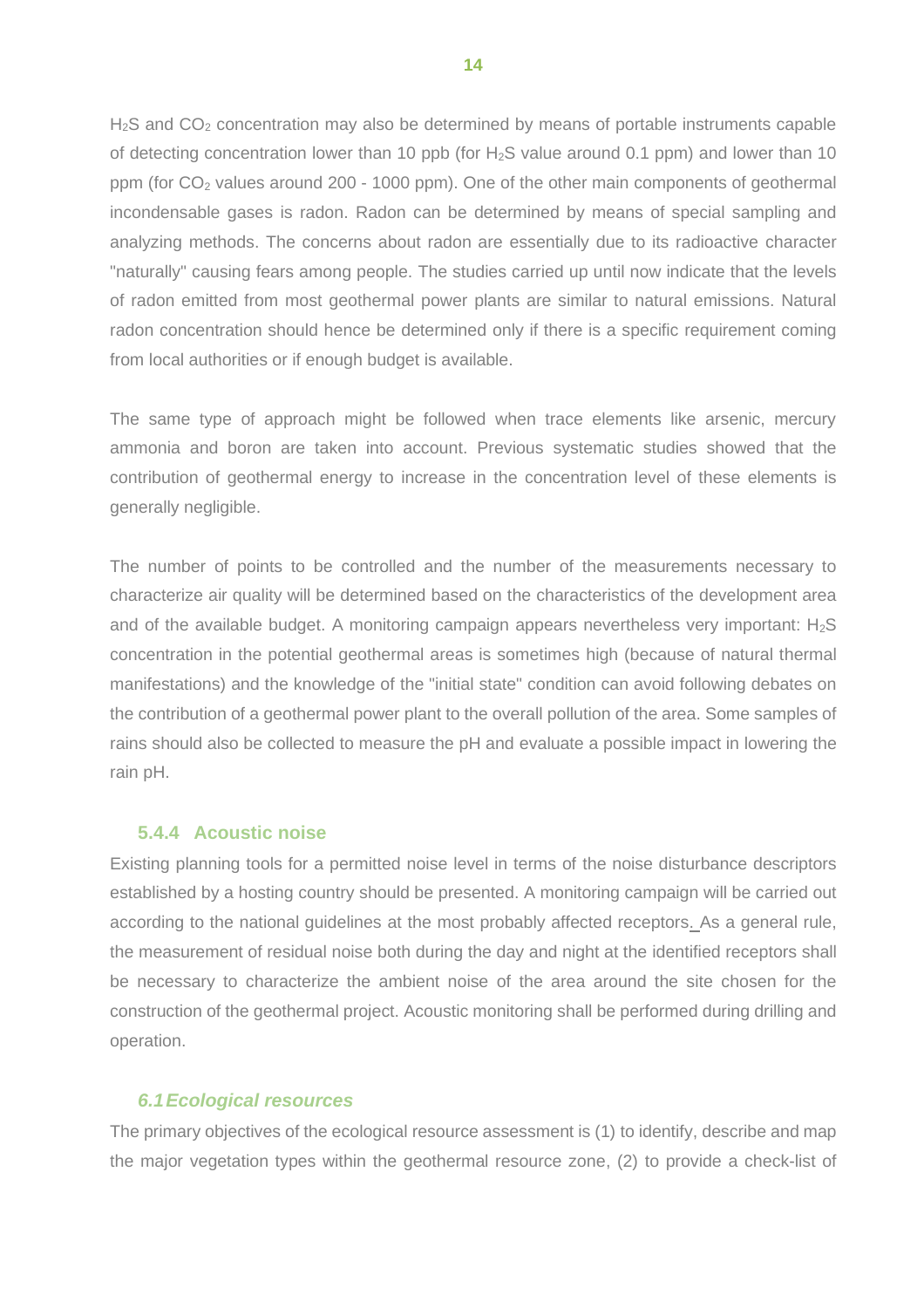H<sub>2</sub>S and CO<sub>2</sub> concentration may also be determined by means of portable instruments capable of detecting concentration lower than 10 ppb (for  $H_2S$  value around 0.1 ppm) and lower than 10 ppm (for  $CO<sub>2</sub>$  values around 200 - 1000 ppm). One of the other main components of geothermal incondensable gases is radon. Radon can be determined by means of special sampling and analyzing methods. The concerns about radon are essentially due to its radioactive character "naturally" causing fears among people. The studies carried up until now indicate that the levels of radon emitted from most geothermal power plants are similar to natural emissions. Natural radon concentration should hence be determined only if there is a specific requirement coming from local authorities or if enough budget is available.

The same type of approach might be followed when trace elements like arsenic, mercury ammonia and boron are taken into account. Previous systematic studies showed that the contribution of geothermal energy to increase in the concentration level of these elements is generally negligible.

The number of points to be controlled and the number of the measurements necessary to characterize air quality will be determined based on the characteristics of the development area and of the available budget. A monitoring campaign appears nevertheless very important:  $H_2S$ concentration in the potential geothermal areas is sometimes high (because of natural thermal manifestations) and the knowledge of the "initial state" condition can avoid following debates on the contribution of a geothermal power plant to the overall pollution of the area. Some samples of rains should also be collected to measure the pH and evaluate a possible impact in lowering the rain pH.

#### <span id="page-17-0"></span>**5.4.4 Acoustic noise**

Existing planning tools for a permitted noise level in terms of the noise disturbance descriptors established by a hosting country should be presented. A monitoring campaign will be carried out according to the national guidelines at the most probably affected receptors. As a general rule, the measurement of residual noise both during the day and night at the identified receptors shall be necessary to characterize the ambient noise of the area around the site chosen for the construction of the geothermal project. Acoustic monitoring shall be performed during drilling and operation.

#### <span id="page-17-1"></span>*6.1Ecological resources*

The primary objectives of the ecological resource assessment is (1) to identify, describe and map the major vegetation types within the geothermal resource zone, (2) to provide a check-list of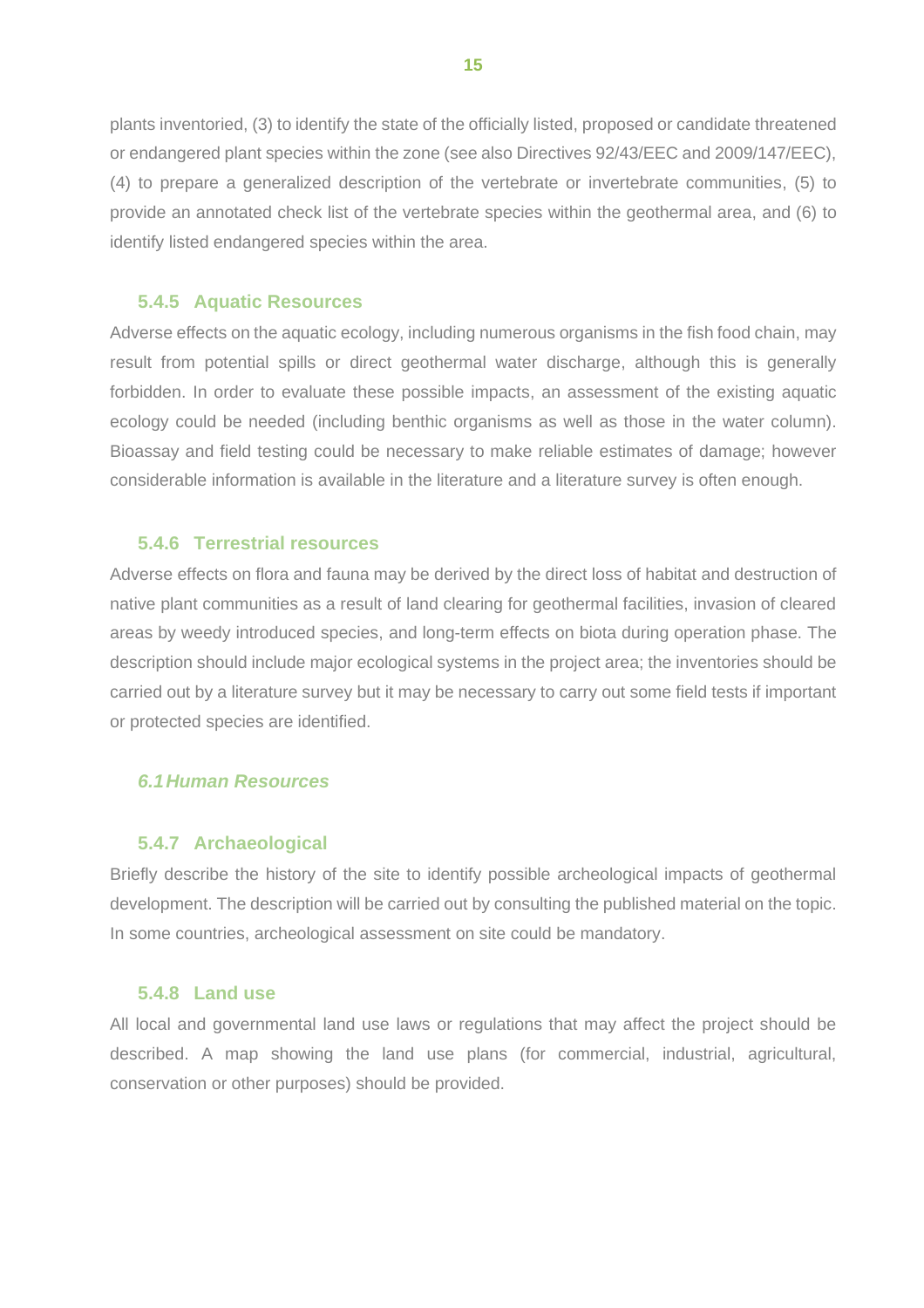plants inventoried, (3) to identify the state of the officially listed, proposed or candidate threatened or endangered plant species within the zone (see also Directives 92/43/EEC and 2009/147/EEC), (4) to prepare a generalized description of the vertebrate or invertebrate communities, (5) to provide an annotated check list of the vertebrate species within the geothermal area, and (6) to identify listed endangered species within the area.

#### **5.4.5 Aquatic Resources**

<span id="page-18-0"></span>Adverse effects on the aquatic ecology, including numerous organisms in the fish food chain, may result from potential spills or direct geothermal water discharge, although this is generally forbidden. In order to evaluate these possible impacts, an assessment of the existing aquatic ecology could be needed (including benthic organisms as well as those in the water column). Bioassay and field testing could be necessary to make reliable estimates of damage; however considerable information is available in the literature and a literature survey is often enough.

## <span id="page-18-1"></span>**5.4.6 Terrestrial resources**

Adverse effects on flora and fauna may be derived by the direct loss of habitat and destruction of native plant communities as a result of land clearing for geothermal facilities, invasion of cleared areas by weedy introduced species, and long-term effects on biota during operation phase. The description should include major ecological systems in the project area; the inventories should be carried out by a literature survey but it may be necessary to carry out some field tests if important or protected species are identified.

## <span id="page-18-2"></span>*6.1Human Resources*

## <span id="page-18-3"></span>**5.4.7 Archaeological**

Briefly describe the history of the site to identify possible archeological impacts of geothermal development. The description will be carried out by consulting the published material on the topic. In some countries, archeological assessment on site could be mandatory.

#### <span id="page-18-4"></span>**5.4.8 Land use**

All local and governmental land use laws or regulations that may affect the project should be described. A map showing the land use plans (for commercial, industrial, agricultural, conservation or other purposes) should be provided.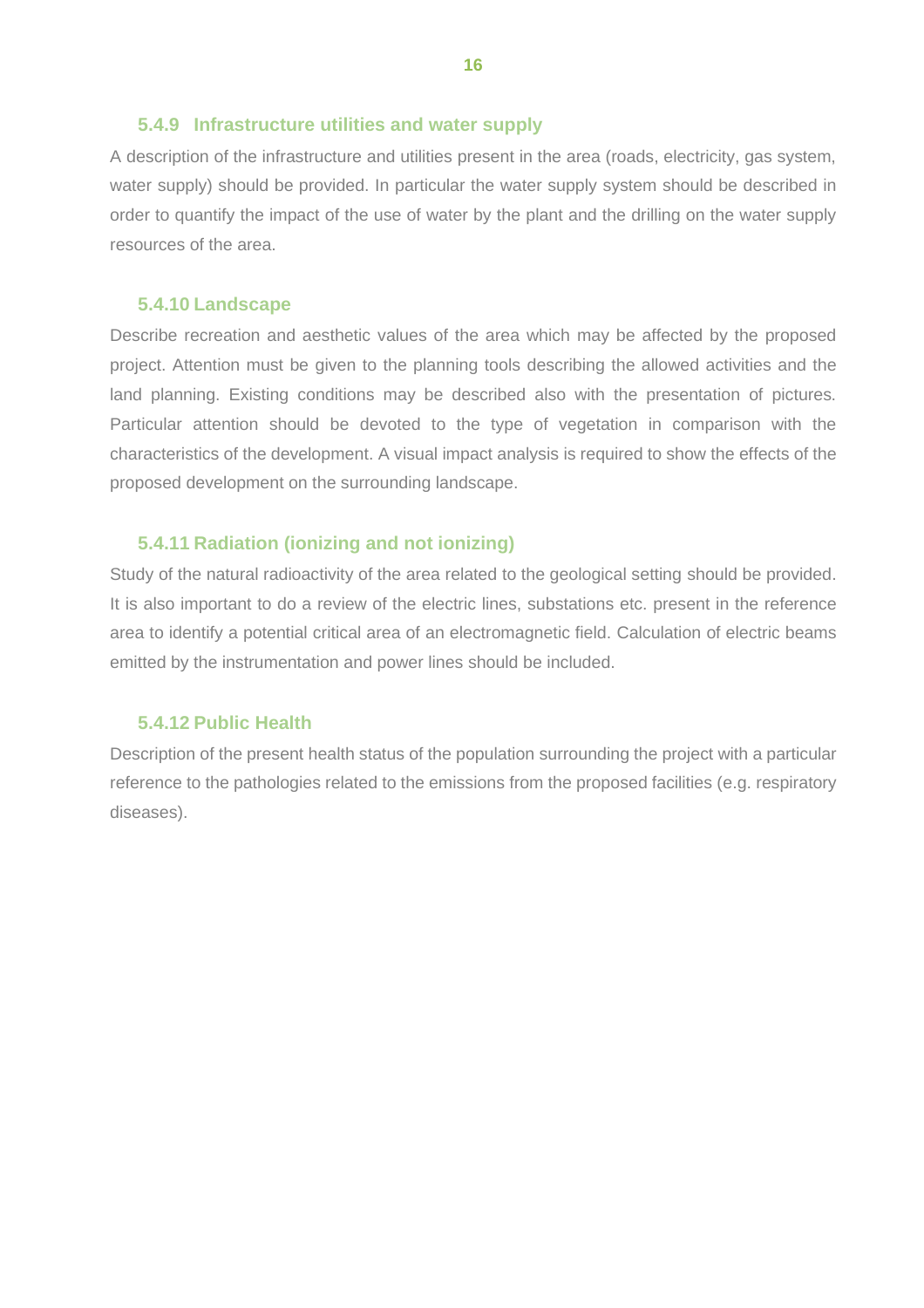#### <span id="page-19-0"></span>**5.4.9 Infrastructure utilities and water supply**

A description of the infrastructure and utilities present in the area (roads, electricity, gas system, water supply) should be provided. In particular the water supply system should be described in order to quantify the impact of the use of water by the plant and the drilling on the water supply resources of the area.

#### <span id="page-19-1"></span>**5.4.10 Landscape**

Describe recreation and aesthetic values of the area which may be affected by the proposed project. Attention must be given to the planning tools describing the allowed activities and the land planning. Existing conditions may be described also with the presentation of pictures. Particular attention should be devoted to the type of vegetation in comparison with the characteristics of the development. A visual impact analysis is required to show the effects of the proposed development on the surrounding landscape.

#### <span id="page-19-2"></span>**5.4.11 Radiation (ionizing and not ionizing)**

Study of the natural radioactivity of the area related to the geological setting should be provided. It is also important to do a review of the electric lines, substations etc. present in the reference area to identify a potential critical area of an electromagnetic field. Calculation of electric beams emitted by the instrumentation and power lines should be included.

## <span id="page-19-3"></span>**5.4.12 Public Health**

Description of the present health status of the population surrounding the project with a particular reference to the pathologies related to the emissions from the proposed facilities (e.g. respiratory diseases).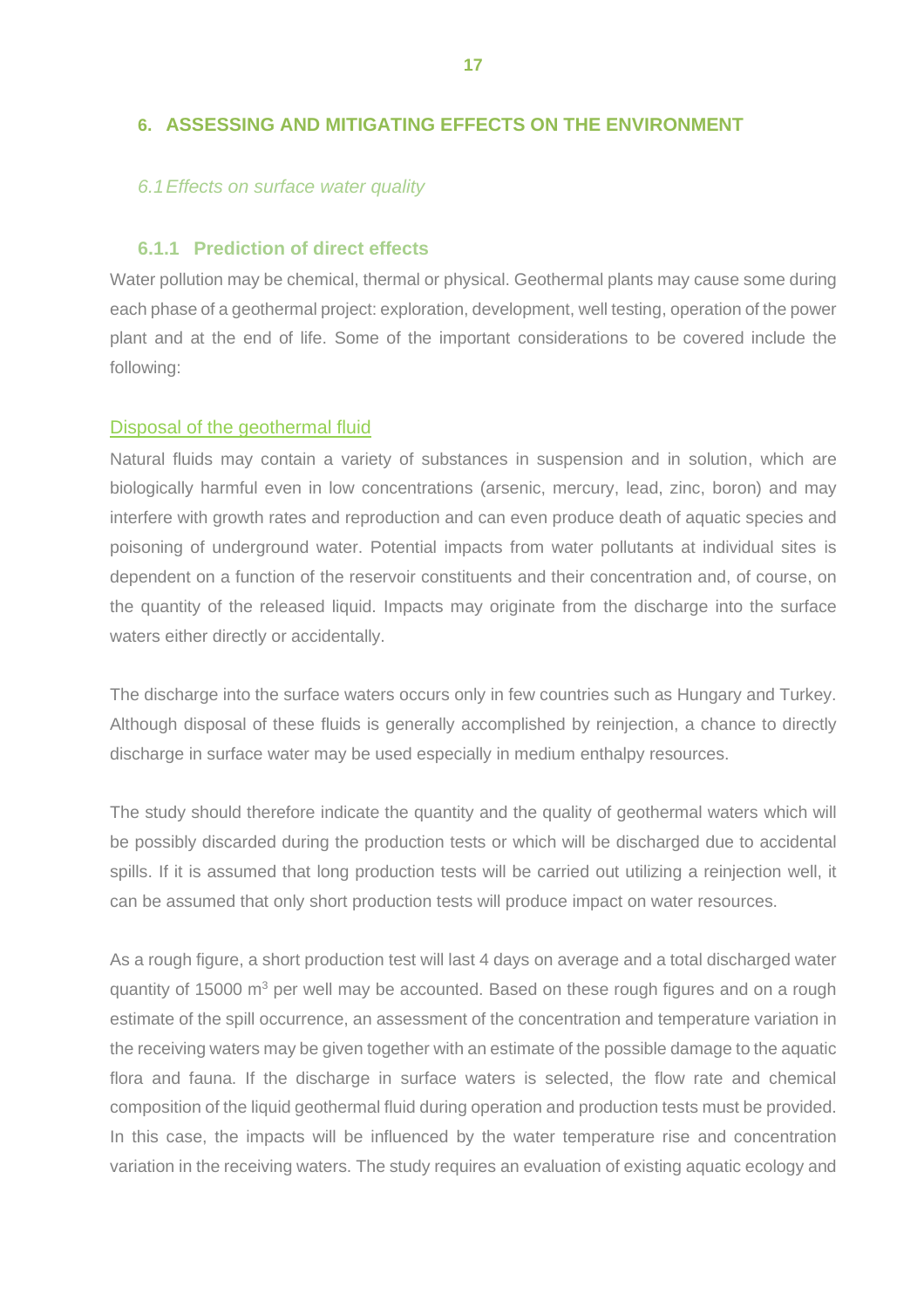## <span id="page-20-0"></span>**6. ASSESSING AND MITIGATING EFFECTS ON THE ENVIRONMENT**

#### <span id="page-20-1"></span>*6.1Effects on surface water quality*

#### <span id="page-20-2"></span>**6.1.1 Prediction of direct effects**

Water pollution may be chemical, thermal or physical. Geothermal plants may cause some during each phase of a geothermal project: exploration, development, well testing, operation of the power plant and at the end of life. Some of the important considerations to be covered include the following:

#### Disposal of the geothermal fluid

Natural fluids may contain a variety of substances in suspension and in solution, which are biologically harmful even in low concentrations (arsenic, mercury, lead, zinc, boron) and may interfere with growth rates and reproduction and can even produce death of aquatic species and poisoning of underground water. Potential impacts from water pollutants at individual sites is dependent on a function of the reservoir constituents and their concentration and, of course, on the quantity of the released liquid. Impacts may originate from the discharge into the surface waters either directly or accidentally.

The discharge into the surface waters occurs only in few countries such as Hungary and Turkey. Although disposal of these fluids is generally accomplished by reinjection, a chance to directly discharge in surface water may be used especially in medium enthalpy resources.

The study should therefore indicate the quantity and the quality of geothermal waters which will be possibly discarded during the production tests or which will be discharged due to accidental spills. If it is assumed that long production tests will be carried out utilizing a reinjection well, it can be assumed that only short production tests will produce impact on water resources.

As a rough figure, a short production test will last 4 days on average and a total discharged water quantity of 15000  $m<sup>3</sup>$  per well may be accounted. Based on these rough figures and on a rough estimate of the spill occurrence, an assessment of the concentration and temperature variation in the receiving waters may be given together with an estimate of the possible damage to the aquatic flora and fauna. If the discharge in surface waters is selected, the flow rate and chemical composition of the liquid geothermal fluid during operation and production tests must be provided. In this case, the impacts will be influenced by the water temperature rise and concentration variation in the receiving waters. The study requires an evaluation of existing aquatic ecology and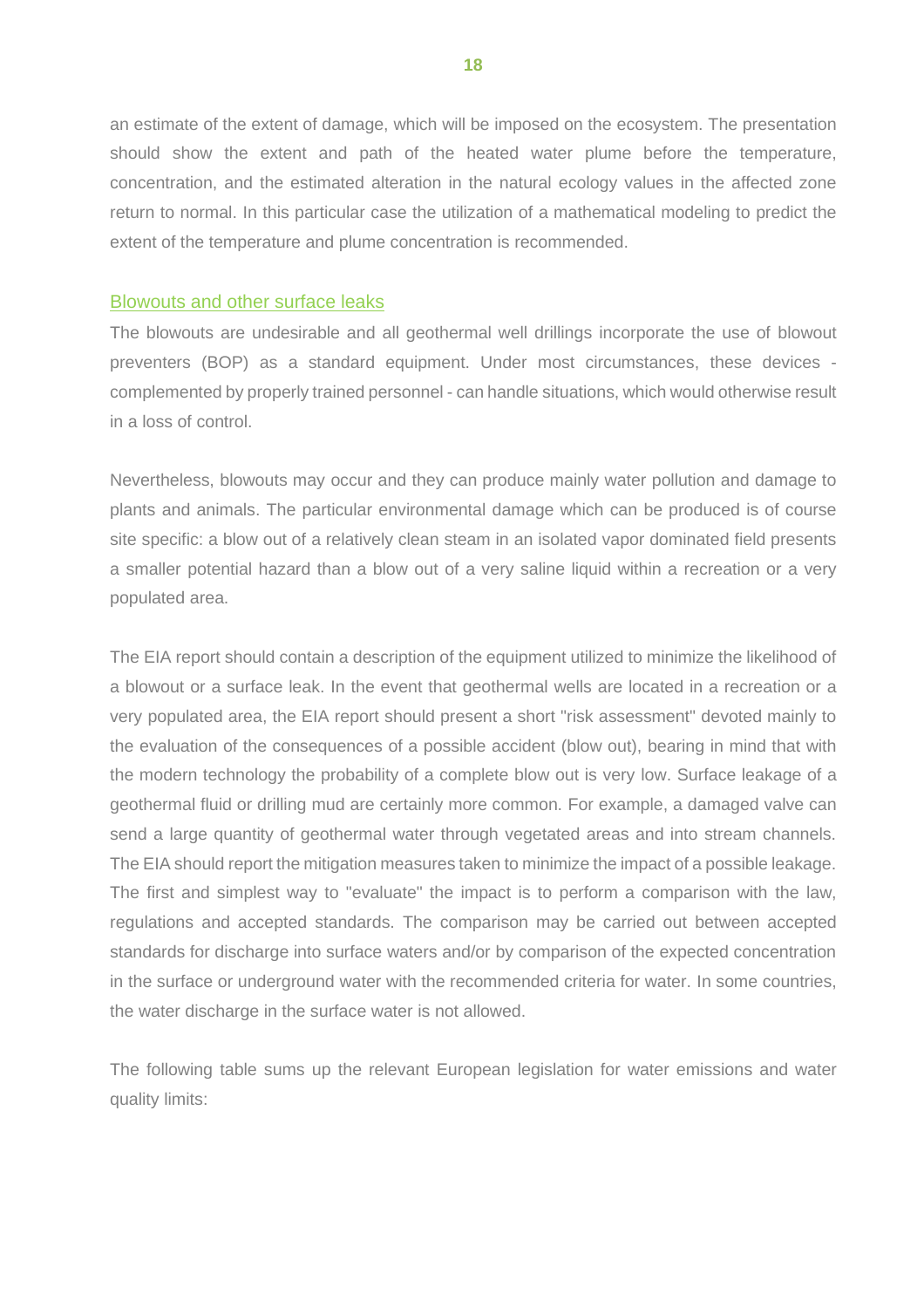an estimate of the extent of damage, which will be imposed on the ecosystem. The presentation should show the extent and path of the heated water plume before the temperature, concentration, and the estimated alteration in the natural ecology values in the affected zone return to normal. In this particular case the utilization of a mathematical modeling to predict the extent of the temperature and plume concentration is recommended.

#### Blowouts and other surface leaks

The blowouts are undesirable and all geothermal well drillings incorporate the use of blowout preventers (BOP) as a standard equipment. Under most circumstances, these devices complemented by properly trained personnel - can handle situations, which would otherwise result in a loss of control.

Nevertheless, blowouts may occur and they can produce mainly water pollution and damage to plants and animals. The particular environmental damage which can be produced is of course site specific: a blow out of a relatively clean steam in an isolated vapor dominated field presents a smaller potential hazard than a blow out of a very saline liquid within a recreation or a very populated area.

The EIA report should contain a description of the equipment utilized to minimize the likelihood of a blowout or a surface leak. In the event that geothermal wells are located in a recreation or a very populated area, the EIA report should present a short "risk assessment" devoted mainly to the evaluation of the consequences of a possible accident (blow out), bearing in mind that with the modern technology the probability of a complete blow out is very low. Surface leakage of a geothermal fluid or drilling mud are certainly more common. For example, a damaged valve can send a large quantity of geothermal water through vegetated areas and into stream channels. The EIA should report the mitigation measures taken to minimize the impact of a possible leakage. The first and simplest way to "evaluate" the impact is to perform a comparison with the law, regulations and accepted standards. The comparison may be carried out between accepted standards for discharge into surface waters and/or by comparison of the expected concentration in the surface or underground water with the recommended criteria for water. In some countries, the water discharge in the surface water is not allowed.

The following table sums up the relevant European legislation for water emissions and water quality limits:

**18**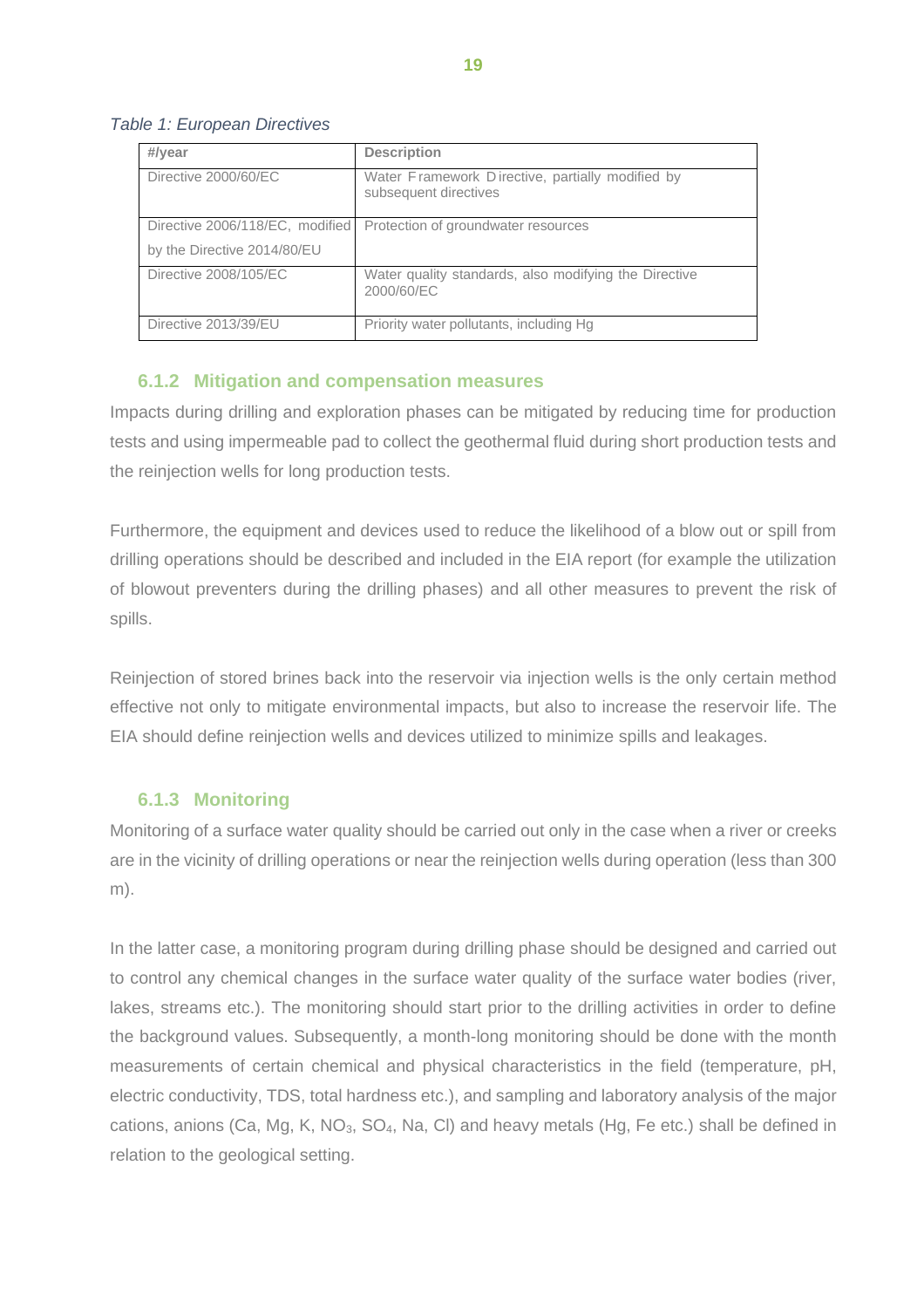#### *Table 1: European Directives*

| #/year                          | <b>Description</b>                                                        |
|---------------------------------|---------------------------------------------------------------------------|
| Directive 2000/60/EC            | Water Framework Directive, partially modified by<br>subsequent directives |
| Directive 2006/118/EC, modified | Protection of groundwater resources                                       |
| by the Directive 2014/80/EU     |                                                                           |
| Directive 2008/105/EC           | Water quality standards, also modifying the Directive<br>2000/60/EC       |
| Directive 2013/39/EU            | Priority water pollutants, including Hg                                   |

## <span id="page-22-0"></span>**6.1.2 Mitigation and compensation measures**

Impacts during drilling and exploration phases can be mitigated by reducing time for production tests and using impermeable pad to collect the geothermal fluid during short production tests and the reinjection wells for long production tests.

Furthermore, the equipment and devices used to reduce the likelihood of a blow out or spill from drilling operations should be described and included in the EIA report (for example the utilization of blowout preventers during the drilling phases) and all other measures to prevent the risk of spills.

Reinjection of stored brines back into the reservoir via injection wells is the only certain method effective not only to mitigate environmental impacts, but also to increase the reservoir life. The EIA should define reinjection wells and devices utilized to minimize spills and leakages.

#### <span id="page-22-1"></span>**6.1.3 Monitoring**

Monitoring of a surface water quality should be carried out only in the case when a river or creeks are in the vicinity of drilling operations or near the reinjection wells during operation (less than 300 m).

In the latter case, a monitoring program during drilling phase should be designed and carried out to control any chemical changes in the surface water quality of the surface water bodies (river, lakes, streams etc.). The monitoring should start prior to the drilling activities in order to define the background values. Subsequently, a month-long monitoring should be done with the month measurements of certain chemical and physical characteristics in the field (temperature, pH, electric conductivity, TDS, total hardness etc.), and sampling and laboratory analysis of the major cations, anions (Ca, Mg, K, NO<sub>3</sub>, SO<sub>4</sub>, Na, CI) and heavy metals (Hg, Fe etc.) shall be defined in relation to the geological setting.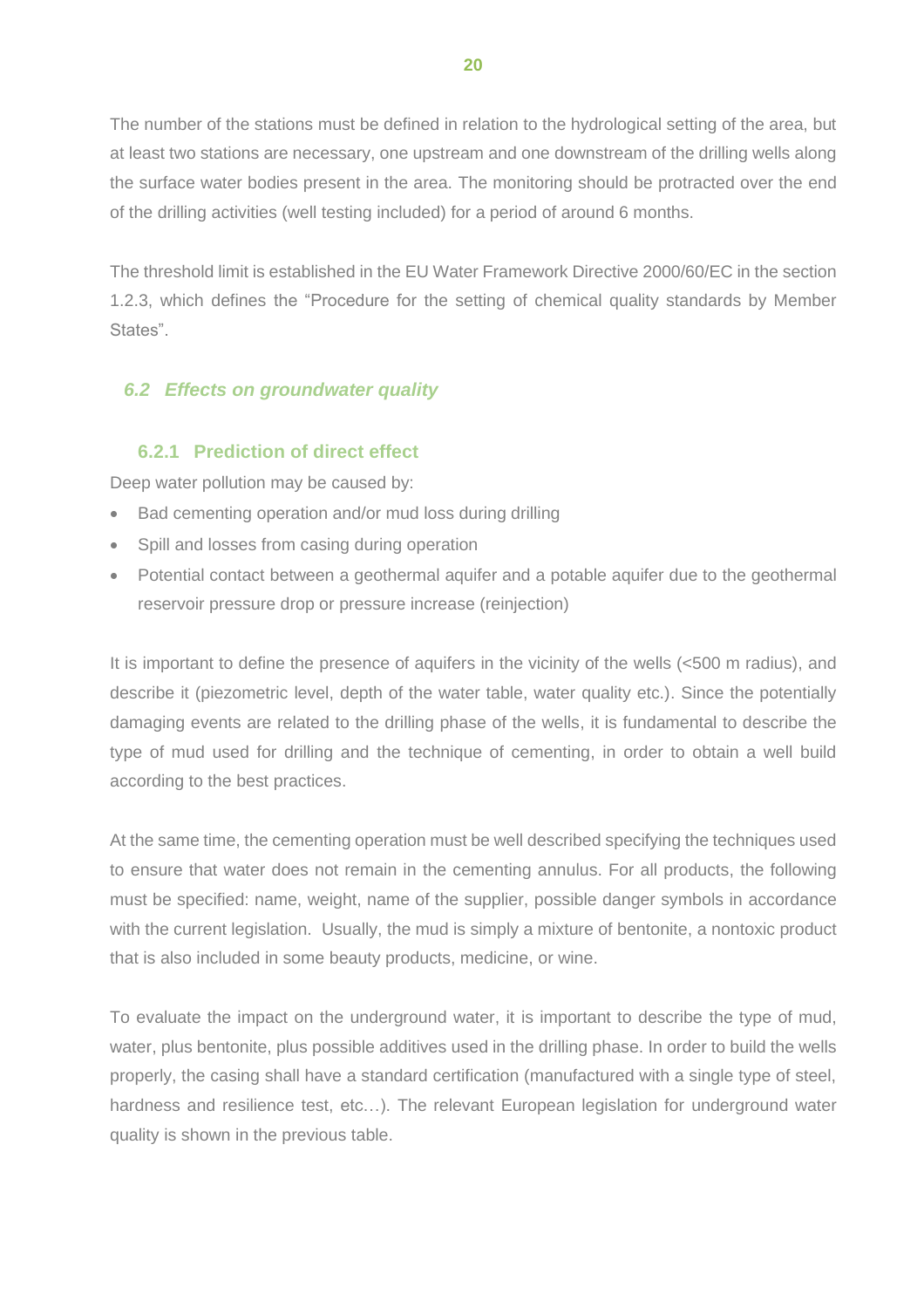The number of the stations must be defined in relation to the hydrological setting of the area, but at least two stations are necessary, one upstream and one downstream of the drilling wells along the surface water bodies present in the area. The monitoring should be protracted over the end of the drilling activities (well testing included) for a period of around 6 months.

The threshold limit is established in the EU Water Framework Directive 2000/60/EC in the section 1.2.3, which defines the "Procedure for the setting of chemical quality standards by Member States".

## <span id="page-23-0"></span>*6.2 Effects on groundwater quality*

## <span id="page-23-1"></span>**6.2.1 Prediction of direct effect**

Deep water pollution may be caused by:

- Bad cementing operation and/or mud loss during drilling
- Spill and losses from casing during operation
- Potential contact between a geothermal aquifer and a potable aquifer due to the geothermal reservoir pressure drop or pressure increase (reinjection)

It is important to define the presence of aquifers in the vicinity of the wells (<500 m radius), and describe it (piezometric level, depth of the water table, water quality etc.). Since the potentially damaging events are related to the drilling phase of the wells, it is fundamental to describe the type of mud used for drilling and the technique of cementing, in order to obtain a well build according to the best practices.

At the same time, the cementing operation must be well described specifying the techniques used to ensure that water does not remain in the cementing annulus. For all products, the following must be specified: name, weight, name of the supplier, possible danger symbols in accordance with the current legislation. Usually, the mud is simply a mixture of bentonite, a nontoxic product that is also included in some beauty products, medicine, or wine.

To evaluate the impact on the underground water, it is important to describe the type of mud, water, plus bentonite, plus possible additives used in the drilling phase. In order to build the wells properly, the casing shall have a standard certification (manufactured with a single type of steel, hardness and resilience test, etc...). The relevant European legislation for underground water quality is shown in the previous table.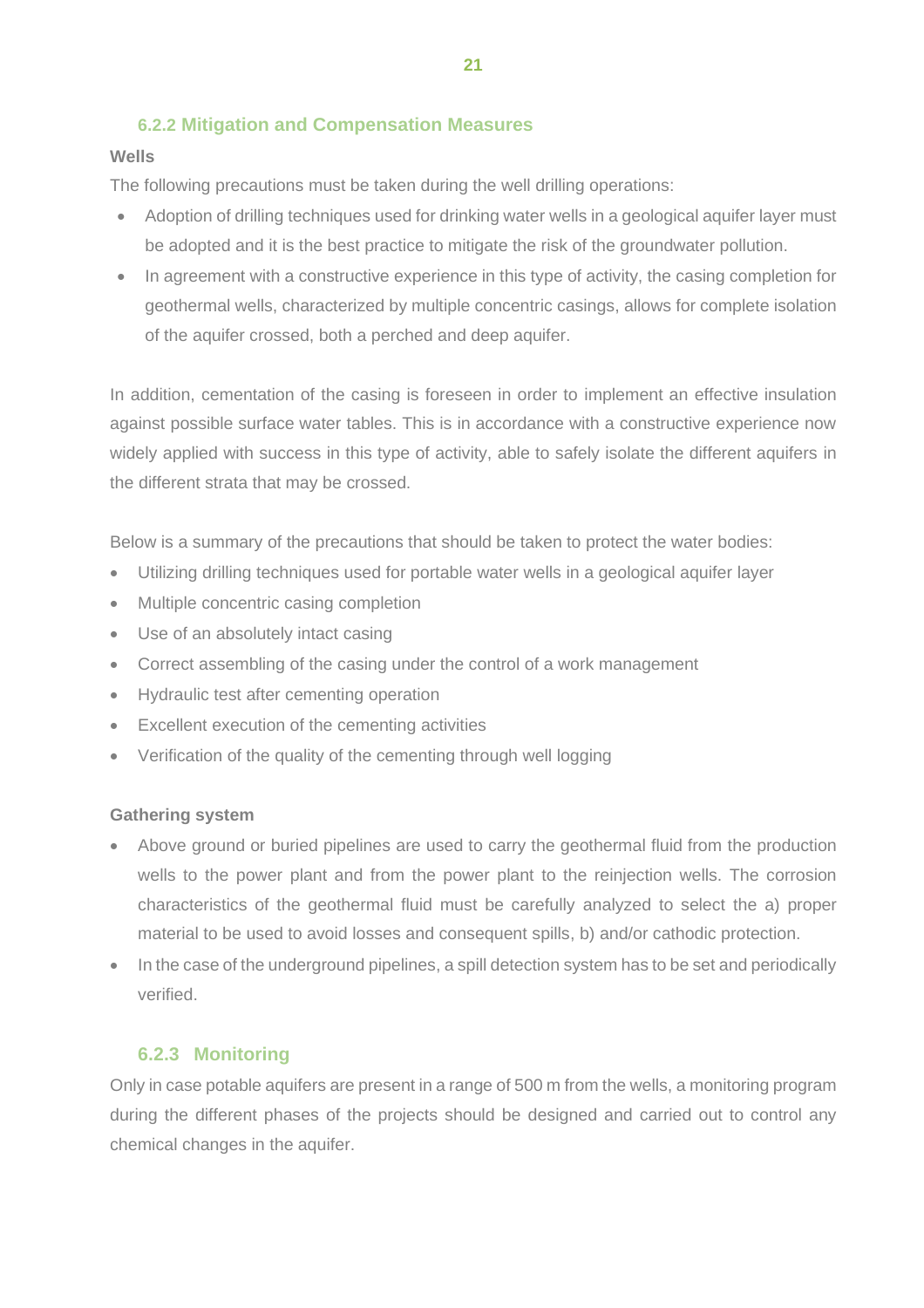# <span id="page-24-0"></span>**6.2.2 Mitigation and Compensation Measures**

## **Wells**

The following precautions must be taken during the well drilling operations:

- Adoption of drilling techniques used for drinking water wells in a geological aquifer layer must be adopted and it is the best practice to mitigate the risk of the groundwater pollution.
- In agreement with a constructive experience in this type of activity, the casing completion for geothermal wells, characterized by multiple concentric casings, allows for complete isolation of the aquifer crossed, both a perched and deep aquifer.

In addition, cementation of the casing is foreseen in order to implement an effective insulation against possible surface water tables. This is in accordance with a constructive experience now widely applied with success in this type of activity, able to safely isolate the different aquifers in the different strata that may be crossed.

Below is a summary of the precautions that should be taken to protect the water bodies:

- Utilizing drilling techniques used for portable water wells in a geological aquifer layer
- Multiple concentric casing completion
- Use of an absolutely intact casing
- Correct assembling of the casing under the control of a work management
- Hydraulic test after cementing operation
- Excellent execution of the cementing activities
- Verification of the quality of the cementing through well logging

#### **Gathering system**

- Above ground or buried pipelines are used to carry the geothermal fluid from the production wells to the power plant and from the power plant to the reinjection wells. The corrosion characteristics of the geothermal fluid must be carefully analyzed to select the a) proper material to be used to avoid losses and consequent spills, b) and/or cathodic protection.
- In the case of the underground pipelines, a spill detection system has to be set and periodically verified.

## <span id="page-24-1"></span>**6.2.3 Monitoring**

Only in case potable aquifers are present in a range of 500 m from the wells, a monitoring program during the different phases of the projects should be designed and carried out to control any chemical changes in the aquifer.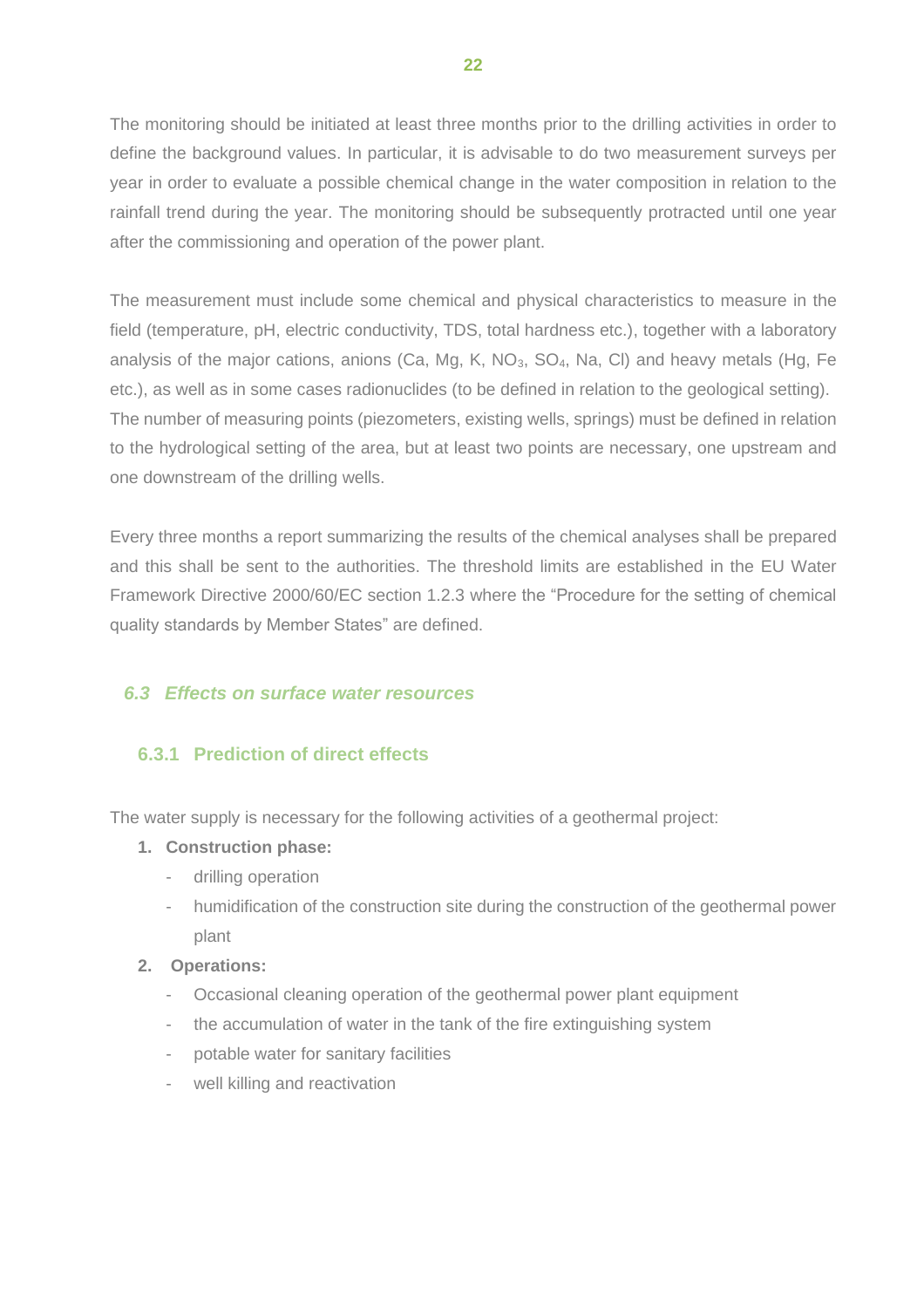The monitoring should be initiated at least three months prior to the drilling activities in order to define the background values. In particular, it is advisable to do two measurement surveys per year in order to evaluate a possible chemical change in the water composition in relation to the rainfall trend during the year. The monitoring should be subsequently protracted until one year after the commissioning and operation of the power plant.

The measurement must include some chemical and physical characteristics to measure in the field (temperature, pH, electric conductivity, TDS, total hardness etc.), together with a laboratory analysis of the major cations, anions (Ca, Mg, K, NO $_3$ , SO<sub>4</sub>, Na, CI) and heavy metals (Hg, Fe etc.), as well as in some cases radionuclides (to be defined in relation to the geological setting). The number of measuring points (piezometers, existing wells, springs) must be defined in relation to the hydrological setting of the area, but at least two points are necessary, one upstream and one downstream of the drilling wells.

Every three months a report summarizing the results of the chemical analyses shall be prepared and this shall be sent to the authorities. The threshold limits are established in the EU Water Framework Directive 2000/60/EC section 1.2.3 where the "Procedure for the setting of chemical quality standards by Member States" are defined.

## <span id="page-25-0"></span>*6.3 Effects on surface water resources*

# <span id="page-25-1"></span>**6.3.1 Prediction of direct effects**

The water supply is necessary for the following activities of a geothermal project:

#### **1. Construction phase:**

- drilling operation
- humidification of the construction site during the construction of the geothermal power plant

#### **2. Operations:**

- Occasional cleaning operation of the geothermal power plant equipment
- the accumulation of water in the tank of the fire extinguishing system
- potable water for sanitary facilities
- well killing and reactivation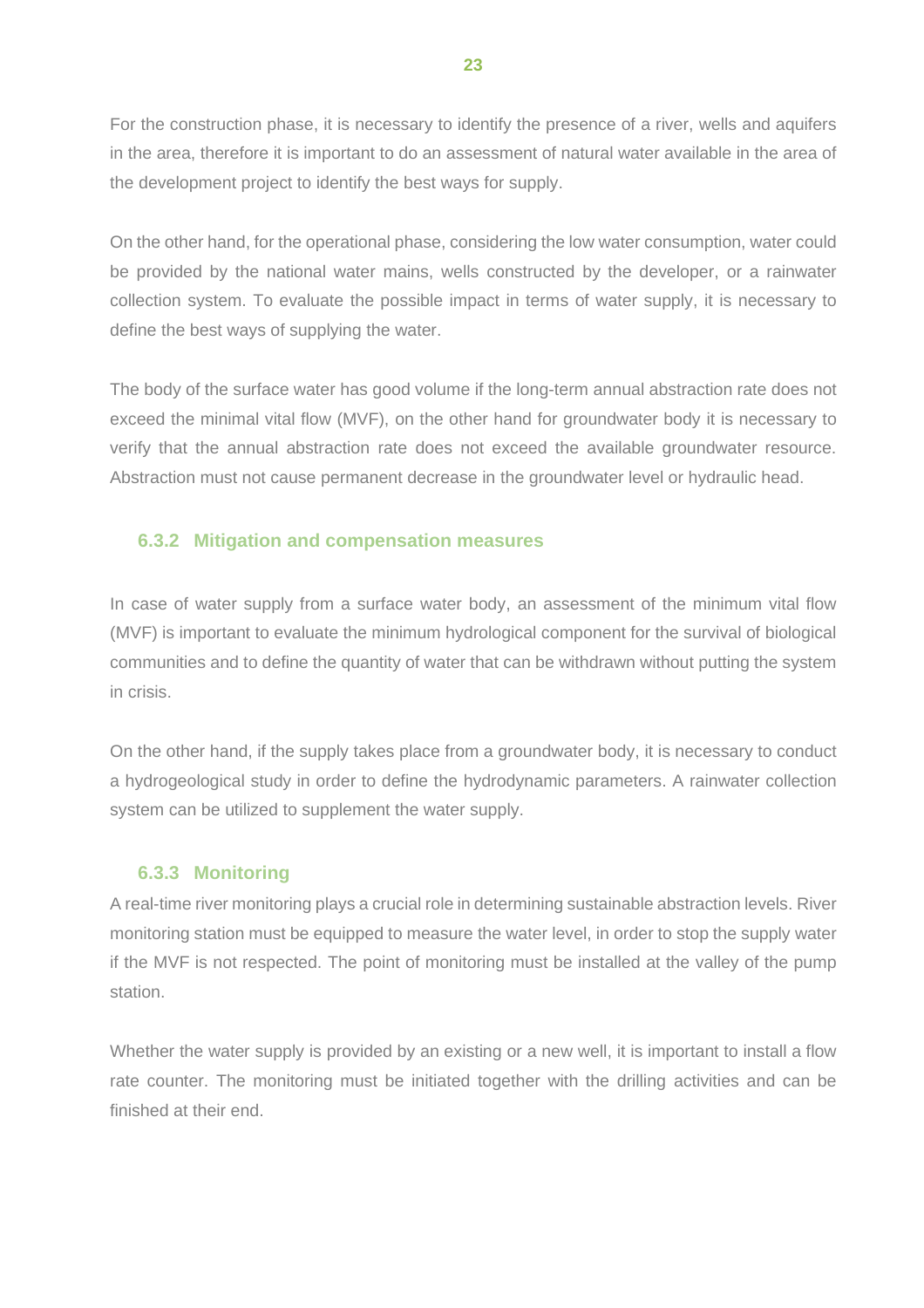For the construction phase, it is necessary to identify the presence of a river, wells and aquifers in the area, therefore it is important to do an assessment of natural water available in the area of the development project to identify the best ways for supply.

On the other hand, for the operational phase, considering the low water consumption, water could be provided by the national water mains, wells constructed by the developer, or a rainwater collection system. To evaluate the possible impact in terms of water supply, it is necessary to define the best ways of supplying the water.

The body of the surface water has good volume if the long-term annual abstraction rate does not exceed the minimal vital flow (MVF), on the other hand for groundwater body it is necessary to verify that the annual abstraction rate does not exceed the available groundwater resource. Abstraction must not cause permanent decrease in the groundwater level or hydraulic head.

# <span id="page-26-0"></span>**6.3.2 Mitigation and compensation measures**

In case of water supply from a surface water body, an assessment of the minimum vital flow (MVF) is important to evaluate the minimum hydrological component for the survival of biological communities and to define the quantity of water that can be withdrawn without putting the system in crisis.

On the other hand, if the supply takes place from a groundwater body, it is necessary to conduct a hydrogeological study in order to define the hydrodynamic parameters. A rainwater collection system can be utilized to supplement the water supply.

# <span id="page-26-1"></span>**6.3.3 Monitoring**

A real-time river monitoring plays a crucial role in determining sustainable abstraction levels. River monitoring station must be equipped to measure the water level, in order to stop the supply water if the MVF is not respected. The point of monitoring must be installed at the valley of the pump station.

Whether the water supply is provided by an existing or a new well, it is important to install a flow rate counter. The monitoring must be initiated together with the drilling activities and can be finished at their end.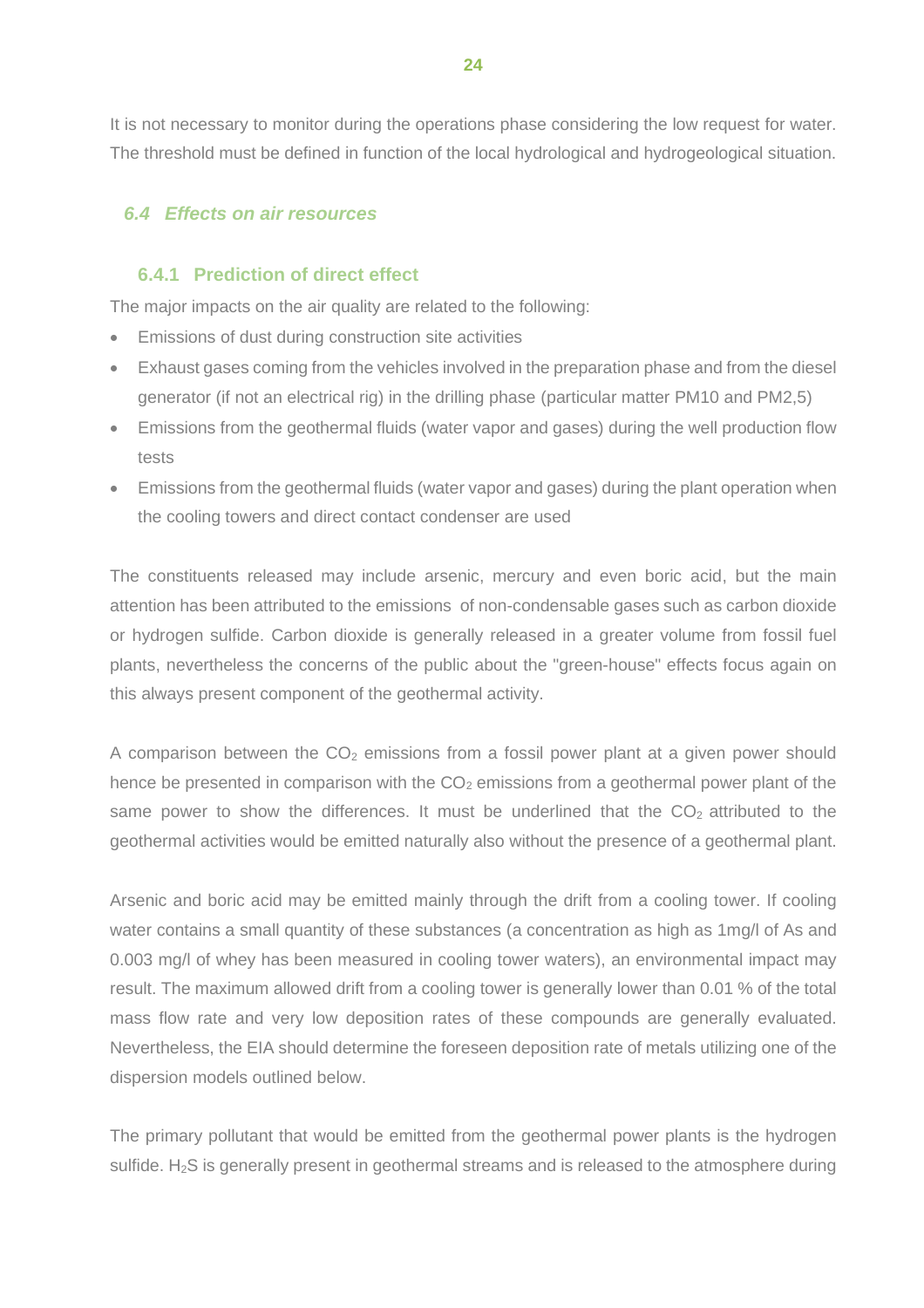It is not necessary to monitor during the operations phase considering the low request for water. The threshold must be defined in function of the local hydrological and hydrogeological situation.

# <span id="page-27-0"></span>*6.4 Effects on air resources*

# <span id="page-27-1"></span>**6.4.1 Prediction of direct effect**

The major impacts on the air quality are related to the following:

- Emissions of dust during construction site activities
- Exhaust gases coming from the vehicles involved in the preparation phase and from the diesel generator (if not an electrical rig) in the drilling phase (particular matter PM10 and PM2,5)
- Emissions from the geothermal fluids (water vapor and gases) during the well production flow tests
- Emissions from the geothermal fluids (water vapor and gases) during the plant operation when the cooling towers and direct contact condenser are used

The constituents released may include arsenic, mercury and even boric acid, but the main attention has been attributed to the emissions of non-condensable gases such as carbon dioxide or hydrogen sulfide. Carbon dioxide is generally released in a greater volume from fossil fuel plants, nevertheless the concerns of the public about the "green-house" effects focus again on this always present component of the geothermal activity.

A comparison between the  $CO<sub>2</sub>$  emissions from a fossil power plant at a given power should hence be presented in comparison with the  $CO<sub>2</sub>$  emissions from a geothermal power plant of the same power to show the differences. It must be underlined that the  $CO<sub>2</sub>$  attributed to the geothermal activities would be emitted naturally also without the presence of a geothermal plant.

Arsenic and boric acid may be emitted mainly through the drift from a cooling tower. If cooling water contains a small quantity of these substances (a concentration as high as 1mg/l of As and 0.003 mg/l of whey has been measured in cooling tower waters), an environmental impact may result. The maximum allowed drift from a cooling tower is generally lower than 0.01 % of the total mass flow rate and very low deposition rates of these compounds are generally evaluated. Nevertheless, the EIA should determine the foreseen deposition rate of metals utilizing one of the dispersion models outlined below.

The primary pollutant that would be emitted from the geothermal power plants is the hydrogen sulfide.  $H_2S$  is generally present in geothermal streams and is released to the atmosphere during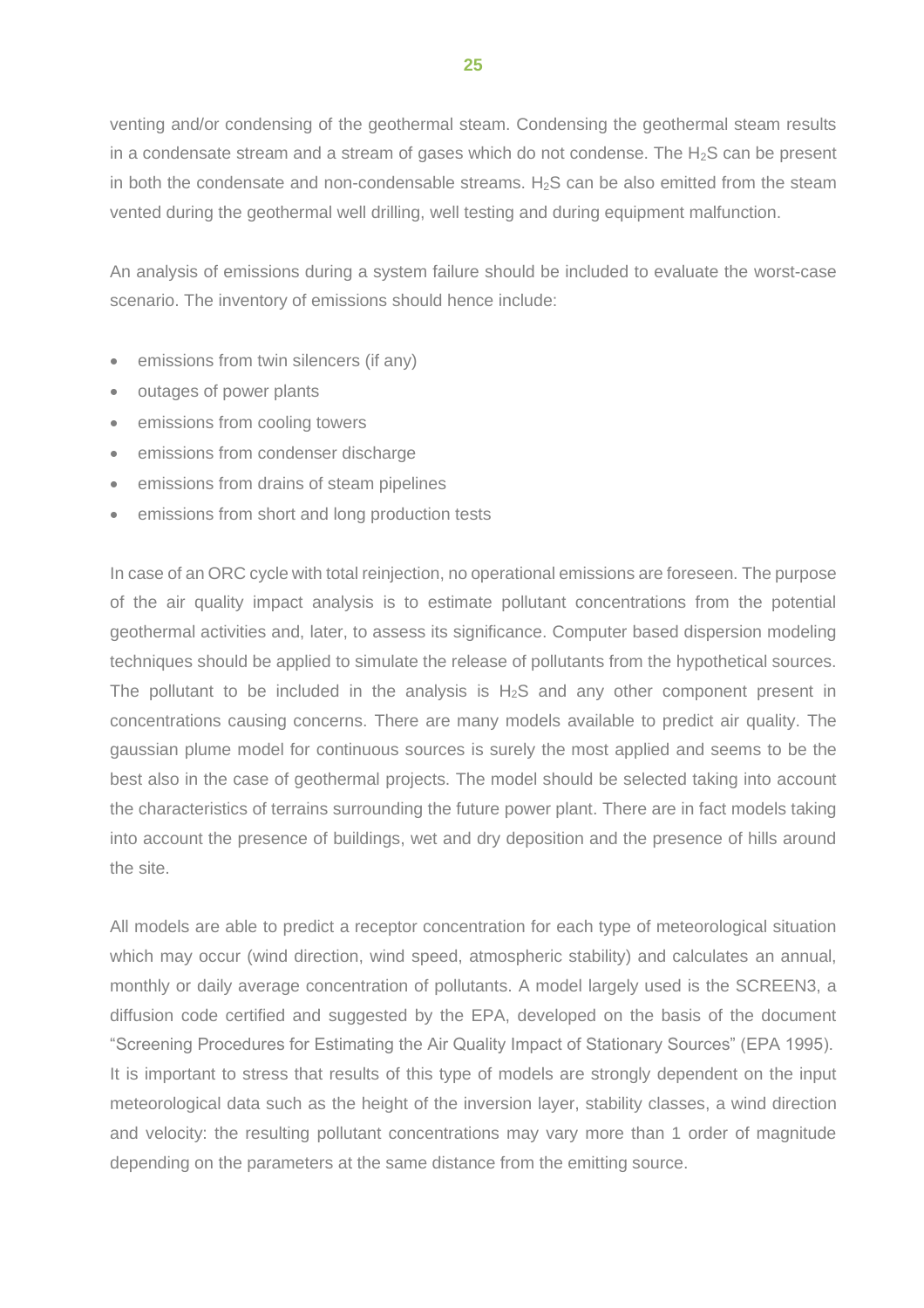venting and/or condensing of the geothermal steam. Condensing the geothermal steam results in a condensate stream and a stream of gases which do not condense. The  $H_2S$  can be present in both the condensate and non-condensable streams.  $H<sub>2</sub>S$  can be also emitted from the steam vented during the geothermal well drilling, well testing and during equipment malfunction.

An analysis of emissions during a system failure should be included to evaluate the worst-case scenario. The inventory of emissions should hence include:

- emissions from twin silencers (if any)
- outages of power plants
- emissions from cooling towers
- emissions from condenser discharge
- emissions from drains of steam pipelines
- emissions from short and long production tests

In case of an ORC cycle with total reinjection, no operational emissions are foreseen. The purpose of the air quality impact analysis is to estimate pollutant concentrations from the potential geothermal activities and, later, to assess its significance. Computer based dispersion modeling techniques should be applied to simulate the release of pollutants from the hypothetical sources. The pollutant to be included in the analysis is  $H_2S$  and any other component present in concentrations causing concerns. There are many models available to predict air quality. The gaussian plume model for continuous sources is surely the most applied and seems to be the best also in the case of geothermal projects. The model should be selected taking into account the characteristics of terrains surrounding the future power plant. There are in fact models taking into account the presence of buildings, wet and dry deposition and the presence of hills around the site.

All models are able to predict a receptor concentration for each type of meteorological situation which may occur (wind direction, wind speed, atmospheric stability) and calculates an annual, monthly or daily average concentration of pollutants. A model largely used is the SCREEN3, a diffusion code certified and suggested by the EPA, developed on the basis of the document "Screening Procedures for Estimating the Air Quality Impact of Stationary Sources" (EPA 1995). It is important to stress that results of this type of models are strongly dependent on the input meteorological data such as the height of the inversion layer, stability classes, a wind direction and velocity: the resulting pollutant concentrations may vary more than 1 order of magnitude depending on the parameters at the same distance from the emitting source.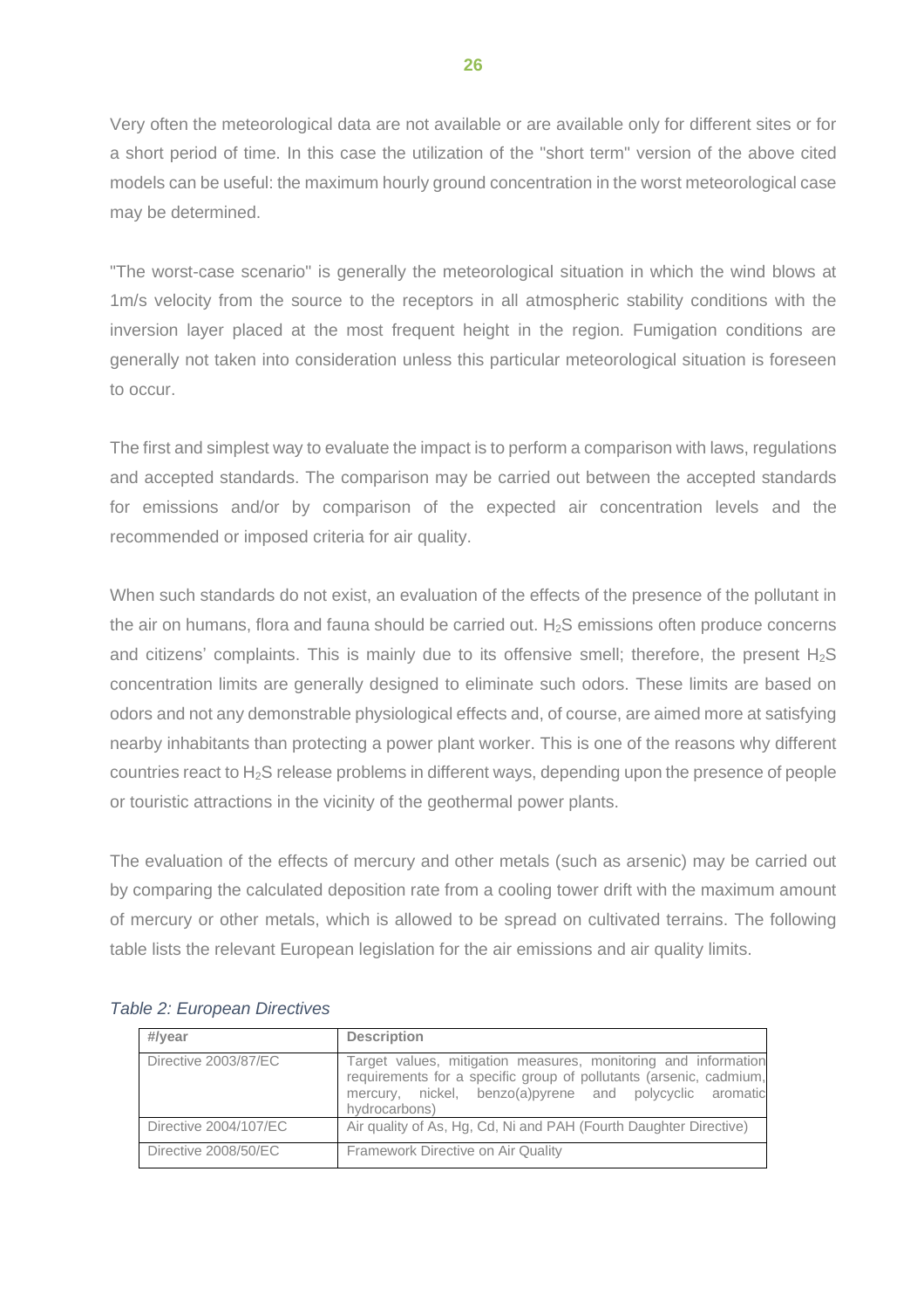Very often the meteorological data are not available or are available only for different sites or for a short period of time. In this case the utilization of the "short term" version of the above cited models can be useful: the maximum hourly ground concentration in the worst meteorological case may be determined.

"The worst-case scenario" is generally the meteorological situation in which the wind blows at 1m/s velocity from the source to the receptors in all atmospheric stability conditions with the inversion layer placed at the most frequent height in the region. Fumigation conditions are generally not taken into consideration unless this particular meteorological situation is foreseen to occur.

The first and simplest way to evaluate the impact is to perform a comparison with laws, regulations and accepted standards. The comparison may be carried out between the accepted standards for emissions and/or by comparison of the expected air concentration levels and the recommended or imposed criteria for air quality.

When such standards do not exist, an evaluation of the effects of the presence of the pollutant in the air on humans, flora and fauna should be carried out.  $H_2S$  emissions often produce concerns and citizens' complaints. This is mainly due to its offensive smell; therefore, the present  $H_2S$ concentration limits are generally designed to eliminate such odors. These limits are based on odors and not any demonstrable physiological effects and, of course, are aimed more at satisfying nearby inhabitants than protecting a power plant worker. This is one of the reasons why different countries react to H2S release problems in different ways, depending upon the presence of people or touristic attractions in the vicinity of the geothermal power plants.

The evaluation of the effects of mercury and other metals (such as arsenic) may be carried out by comparing the calculated deposition rate from a cooling tower drift with the maximum amount of mercury or other metals, which is allowed to be spread on cultivated terrains. The following table lists the relevant European legislation for the air emissions and air quality limits.

| #/year                | <b>Description</b>                                                                                                                                                                                                |
|-----------------------|-------------------------------------------------------------------------------------------------------------------------------------------------------------------------------------------------------------------|
| Directive 2003/87/EC  | Target values, mitigation measures, monitoring and information<br>requirements for a specific group of pollutants (arsenic, cadmium,<br>mercury, nickel, benzo(a) pyrene and polycyclic aromatic<br>hydrocarbons) |
| Directive 2004/107/EC | Air quality of As, Hg, Cd, Ni and PAH (Fourth Daughter Directive)                                                                                                                                                 |
| Directive 2008/50/EC  | Framework Directive on Air Quality                                                                                                                                                                                |

|  | Table 2: European Directives |  |
|--|------------------------------|--|
|--|------------------------------|--|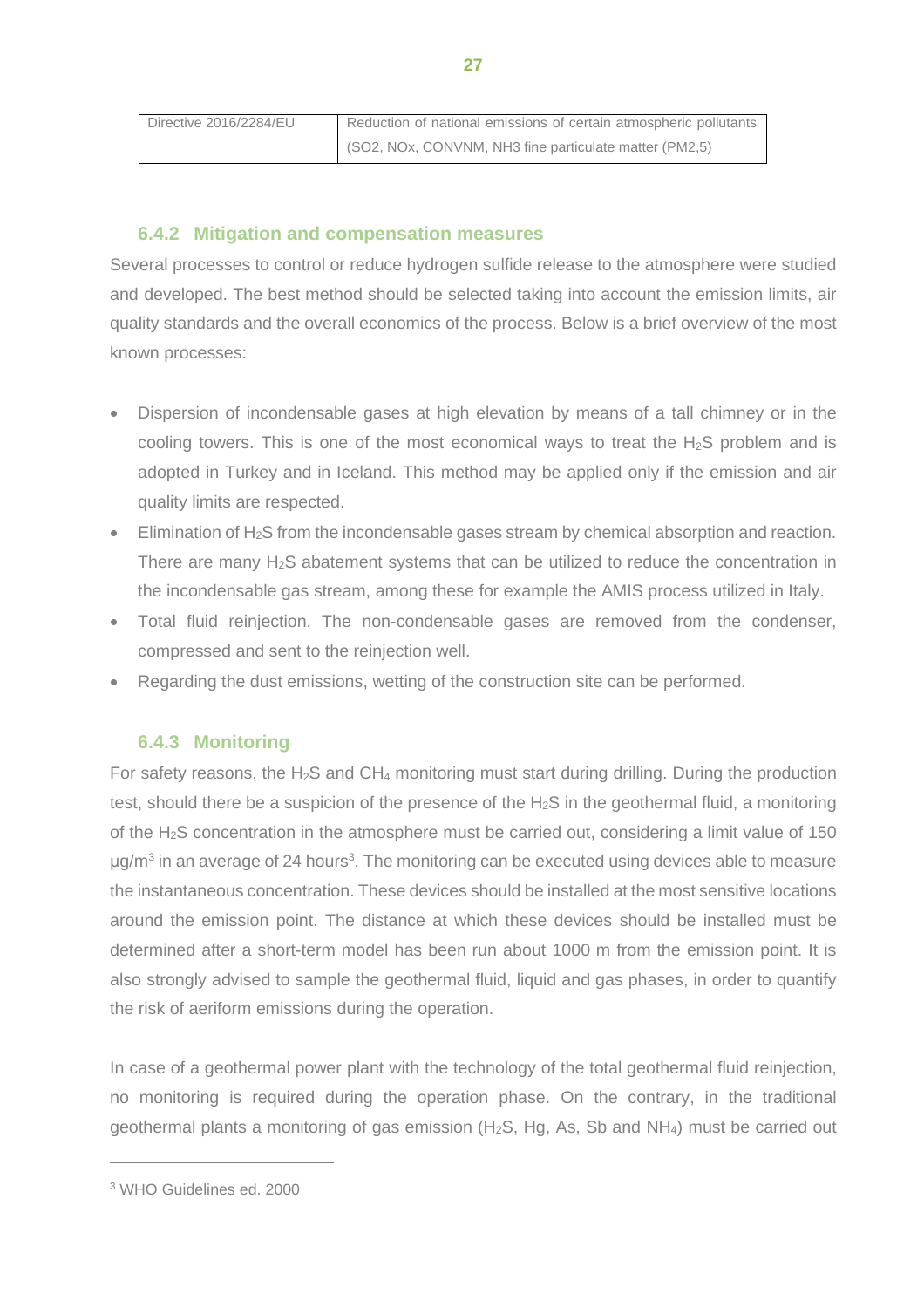| Directive 2016/2284/EU | Reduction of national emissions of certain atmospheric pollutants |  |
|------------------------|-------------------------------------------------------------------|--|
|                        | (SO2, NOx, CONVNM, NH3 fine particulate matter (PM2,5)            |  |

# **6.4.2 Mitigation and compensation measures**

<span id="page-30-0"></span>Several processes to control or reduce hydrogen sulfide release to the atmosphere were studied and developed. The best method should be selected taking into account the emission limits, air quality standards and the overall economics of the process. Below is a brief overview of the most known processes:

- Dispersion of incondensable gases at high elevation by means of a tall chimney or in the cooling towers. This is one of the most economical ways to treat the  $H_2S$  problem and is adopted in Turkey and in Iceland. This method may be applied only if the emission and air quality limits are respected.
- $\bullet$  Elimination of H<sub>2</sub>S from the incondensable gases stream by chemical absorption and reaction. There are many H<sub>2</sub>S abatement systems that can be utilized to reduce the concentration in the incondensable gas stream, among these for example the AMIS process utilized in Italy.
- Total fluid reinjection. The non-condensable gases are removed from the condenser, compressed and sent to the reinjection well.
- Regarding the dust emissions, wetting of the construction site can be performed.

## **6.4.3 Monitoring**

<span id="page-30-1"></span>For safety reasons, the  $H_2S$  and  $CH_4$  monitoring must start during drilling. During the production test, should there be a suspicion of the presence of the  $H_2S$  in the geothermal fluid, a monitoring of the  $H<sub>2</sub>S$  concentration in the atmosphere must be carried out, considering a limit value of 150  $\mu$ g/m<sup>3</sup> in an average of 24 hours<sup>3</sup>. The monitoring can be executed using devices able to measure the instantaneous concentration. These devices should be installed at the most sensitive locations around the emission point. The distance at which these devices should be installed must be determined after a short-term model has been run about 1000 m from the emission point. It is also strongly advised to sample the geothermal fluid, liquid and gas phases, in order to quantify the risk of aeriform emissions during the operation.

In case of a geothermal power plant with the technology of the total geothermal fluid reinjection, no monitoring is required during the operation phase. On the contrary, in the traditional geothermal plants a monitoring of gas emission ( $H_2S$ , Hg, As, Sb and NH<sub>4</sub>) must be carried out

<sup>3</sup> WHO Guidelines ed. 2000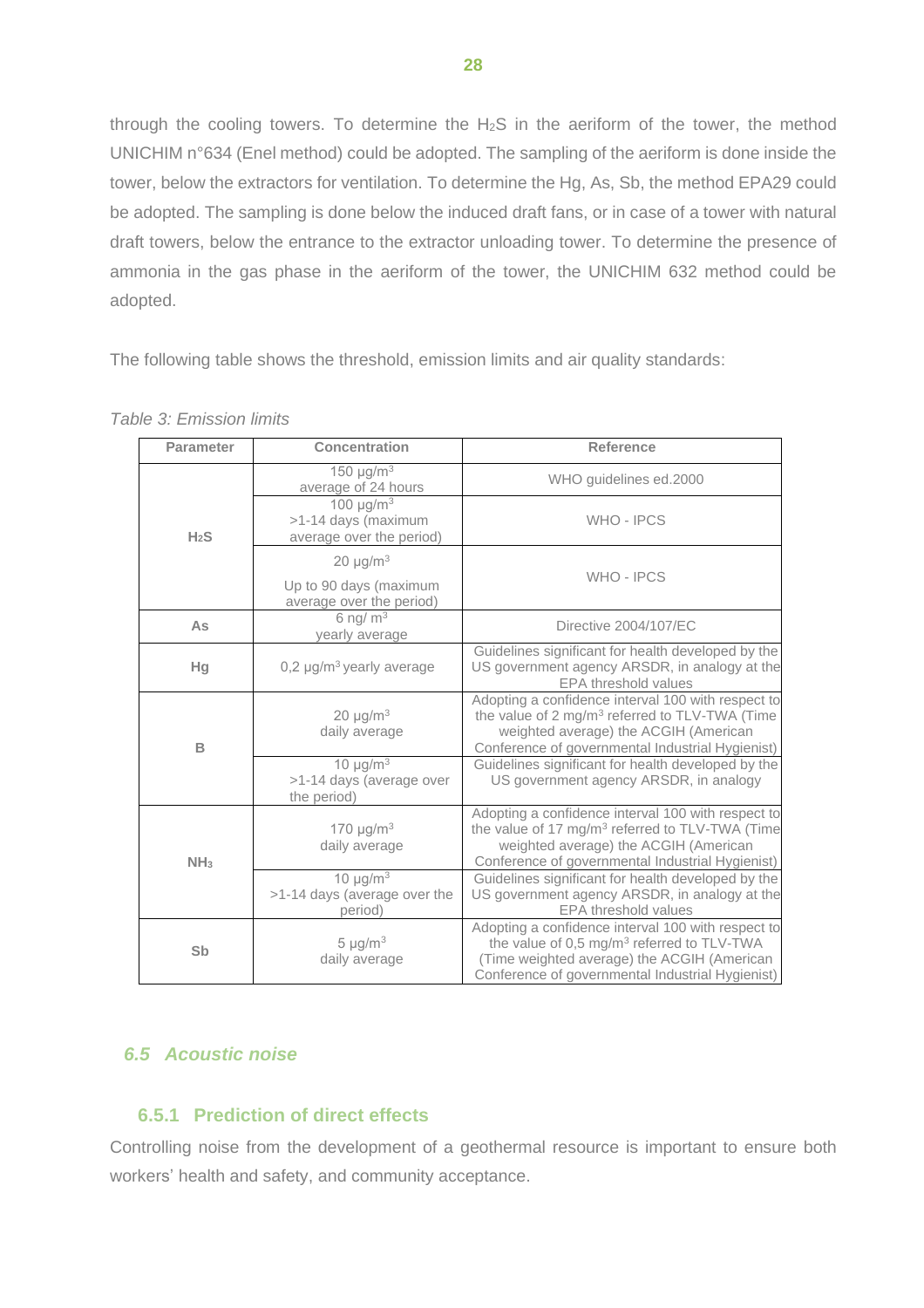through the cooling towers. To determine the  $H_2S$  in the aeriform of the tower, the method UNICHIM n°634 (Enel method) could be adopted. The sampling of the aeriform is done inside the tower, below the extractors for ventilation. To determine the Hg, As, Sb, the method EPA29 could be adopted. The sampling is done below the induced draft fans, or in case of a tower with natural draft towers, below the entrance to the extractor unloading tower. To determine the presence of ammonia in the gas phase in the aeriform of the tower, the UNICHIM 632 method could be adopted.

The following table shows the threshold, emission limits and air quality standards:

| <b>Parameter</b> | <b>Concentration</b>                                                          | <b>Reference</b>                                                                                                                                                                                                |
|------------------|-------------------------------------------------------------------------------|-----------------------------------------------------------------------------------------------------------------------------------------------------------------------------------------------------------------|
|                  | 150 $\mu$ g/m <sup>3</sup><br>average of 24 hours                             | WHO guidelines ed.2000                                                                                                                                                                                          |
| H <sub>2</sub> S | 100 $\mu$ g/m <sup>3</sup><br>>1-14 days (maximum<br>average over the period) | <b>WHO-IPCS</b>                                                                                                                                                                                                 |
|                  | $20 \mu g/m^3$<br>Up to 90 days (maximum<br>average over the period)          | <b>WHO-IPCS</b>                                                                                                                                                                                                 |
| As               | 6 ng/ $m3$<br>yearly average                                                  | Directive 2004/107/EC                                                                                                                                                                                           |
| Hg               | $0.2 \mu q/m^3$ yearly average                                                | Guidelines significant for health developed by the<br>US government agency ARSDR, in analogy at the<br><b>EPA threshold values</b>                                                                              |
| В                | $20 \mu g/m3$<br>daily average                                                | Adopting a confidence interval 100 with respect to<br>the value of 2 mg/m <sup>3</sup> referred to TLV-TWA (Time<br>weighted average) the ACGIH (American<br>Conference of governmental Industrial Hygienist)   |
|                  | 10 $\mu$ g/m <sup>3</sup><br>>1-14 days (average over<br>the period)          | Guidelines significant for health developed by the<br>US government agency ARSDR, in analogy                                                                                                                    |
| NH <sub>3</sub>  | 170 $\mu$ g/m <sup>3</sup><br>daily average                                   | Adopting a confidence interval 100 with respect to<br>the value of 17 mg/m <sup>3</sup> referred to TLV-TWA (Time<br>weighted average) the ACGIH (American<br>Conference of governmental Industrial Hygienist)  |
|                  | 10 $\mu$ g/m <sup>3</sup><br>>1-14 days (average over the<br>period)          | Guidelines significant for health developed by the<br>US government agency ARSDR, in analogy at the<br>EPA threshold values                                                                                     |
| Sb               | $5 \mu g/m^3$<br>daily average                                                | Adopting a confidence interval 100 with respect to<br>the value of 0,5 mg/m <sup>3</sup> referred to TLV-TWA<br>(Time weighted average) the ACGIH (American<br>Conference of governmental Industrial Hygienist) |

*Table 3: Emission limits*

# <span id="page-31-0"></span>*6.5 Acoustic noise*

## <span id="page-31-1"></span>**6.5.1 Prediction of direct effects**

Controlling noise from the development of a geothermal resource is important to ensure both workers' health and safety, and community acceptance.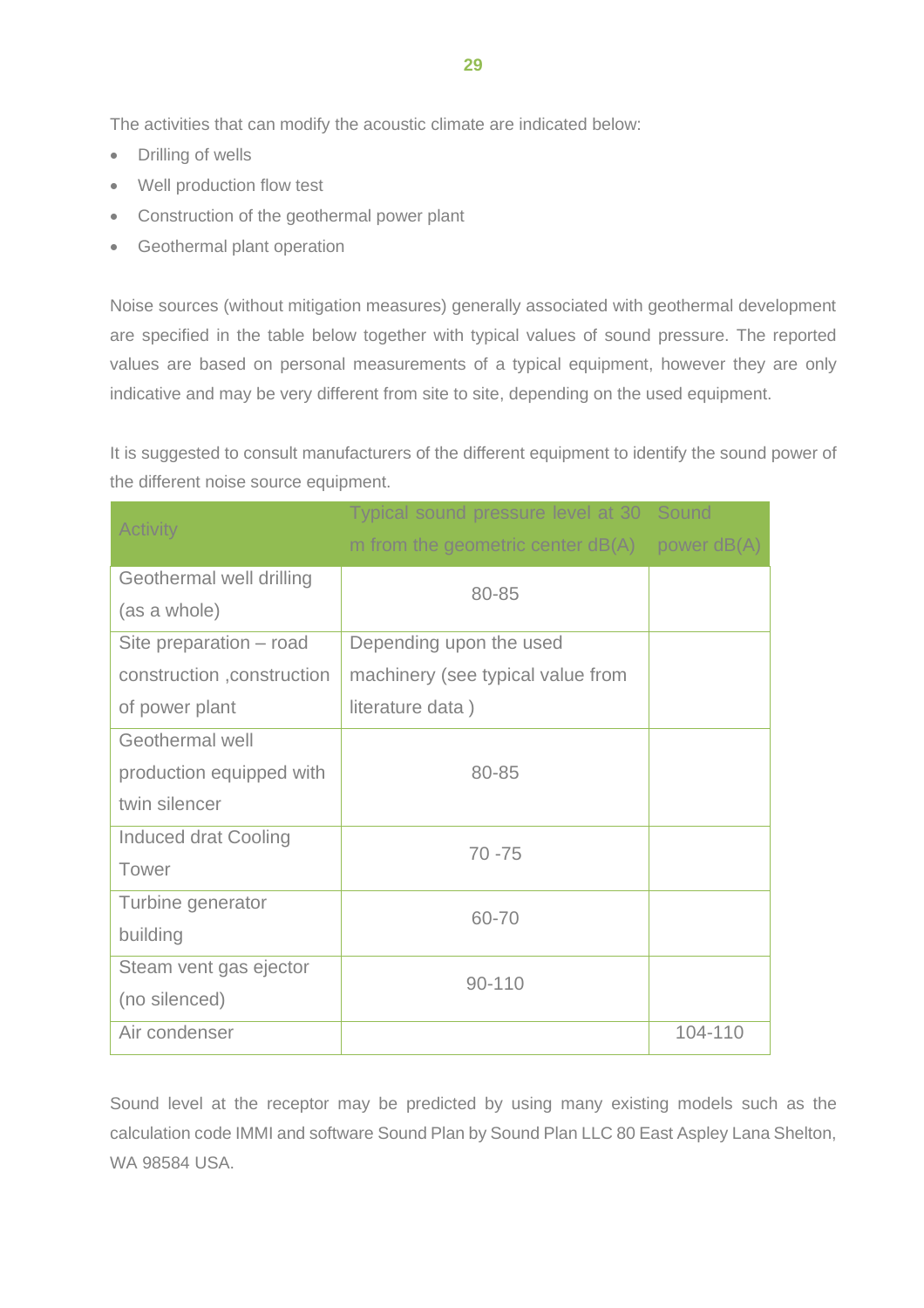The activities that can modify the acoustic climate are indicated below:

- Drilling of wells
- Well production flow test
- Construction of the geothermal power plant
- Geothermal plant operation

Noise sources (without mitigation measures) generally associated with geothermal development are specified in the table below together with typical values of sound pressure. The reported values are based on personal measurements of a typical equipment, however they are only indicative and may be very different from site to site, depending on the used equipment.

It is suggested to consult manufacturers of the different equipment to identify the sound power of the different noise source equipment.

| <b>Activity</b>             | Typical sound pressure level at 30 Sound |               |
|-----------------------------|------------------------------------------|---------------|
|                             | m from the geometric center $dB(A)$      | power $dB(A)$ |
| Geothermal well drilling    | 80-85                                    |               |
| (as a whole)                |                                          |               |
| Site preparation – road     | Depending upon the used                  |               |
| construction, construction  | machinery (see typical value from        |               |
| of power plant              | literature data)                         |               |
| Geothermal well             |                                          |               |
| production equipped with    | 80-85                                    |               |
| twin silencer               |                                          |               |
| <b>Induced drat Cooling</b> | $70 - 75$                                |               |
| Tower                       |                                          |               |
| Turbine generator           | 60-70                                    |               |
| building                    |                                          |               |
| Steam vent gas ejector      | $90 - 110$                               |               |
| (no silenced)               |                                          |               |
| Air condenser               |                                          | 104-110       |

Sound level at the receptor may be predicted by using many existing models such as the calculation code IMMI and software Sound Plan by Sound Plan LLC 80 East Aspley Lana Shelton, WA 98584 USA.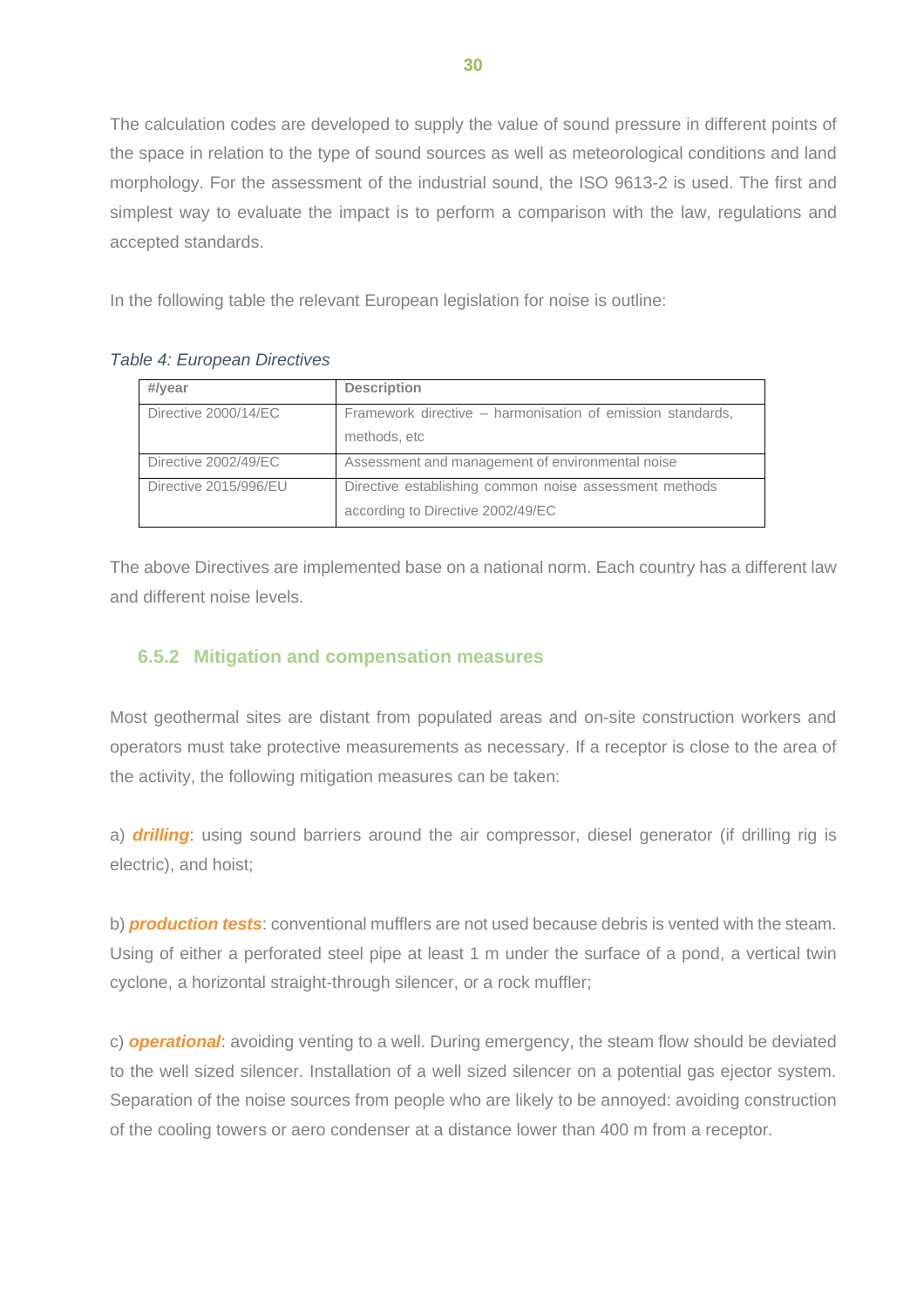The calculation codes are developed to supply the value of sound pressure in different points of the space in relation to the type of sound sources as well as meteorological conditions and land morphology. For the assessment of the industrial sound, the ISO 9613-2 is used. The first and simplest way to evaluate the impact is to perform a comparison with the law, regulations and accepted standards.

In the following table the relevant European legislation for noise is outline:

| #/year                | <b>Description</b>                                                                          |
|-----------------------|---------------------------------------------------------------------------------------------|
| Directive 2000/14/EC  | Framework directive – harmonisation of emission standards,<br>methods, etc                  |
| Directive 2002/49/EC  | Assessment and management of environmental noise                                            |
| Directive 2015/996/EU | Directive establishing common noise assessment methods<br>according to Directive 2002/49/EC |

#### *Table 4: European Directives*

The above Directives are implemented base on a national norm. Each country has a different law and different noise levels.

## <span id="page-33-0"></span>**6.5.2 Mitigation and compensation measures**

Most geothermal sites are distant from populated areas and on-site construction workers and operators must take protective measurements as necessary. If a receptor is close to the area of the activity, the following mitigation measures can be taken:

a) *drilling*: using sound barriers around the air compressor, diesel generator (if drilling rig is electric), and hoist;

b) *production tests*: conventional mufflers are not used because debris is vented with the steam. Using of either a perforated steel pipe at least 1 m under the surface of a pond, a vertical twin cyclone, a horizontal straight-through silencer, or a rock muffler;

c) *operational*: avoiding venting to a well. During emergency, the steam flow should be deviated to the well sized silencer. Installation of a well sized silencer on a potential gas ejector system. Separation of the noise sources from people who are likely to be annoyed: avoiding construction of the cooling towers or aero condenser at a distance lower than 400 m from a receptor.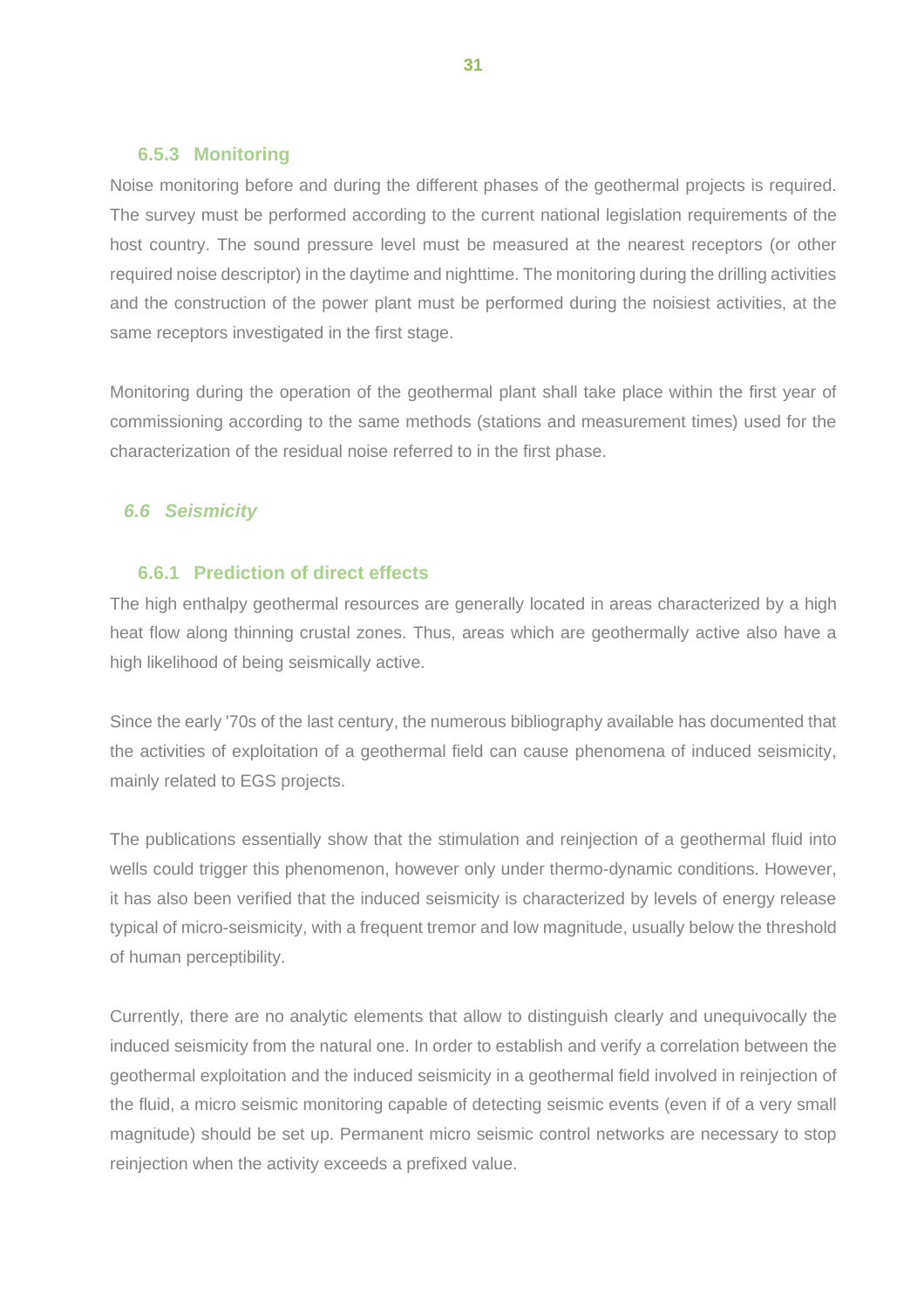#### <span id="page-34-0"></span>**6.5.3 Monitoring**

Noise monitoring before and during the different phases of the geothermal projects is required. The survey must be performed according to the current national legislation requirements of the host country. The sound pressure level must be measured at the nearest receptors (or other required noise descriptor) in the daytime and nighttime. The monitoring during the drilling activities and the construction of the power plant must be performed during the noisiest activities, at the same receptors investigated in the first stage.

Monitoring during the operation of the geothermal plant shall take place within the first year of commissioning according to the same methods (stations and measurement times) used for the characterization of the residual noise referred to in the first phase.

# <span id="page-34-1"></span>*6.6 Seismicity*

## <span id="page-34-2"></span>**6.6.1 Prediction of direct effects**

The high enthalpy geothermal resources are generally located in areas characterized by a high heat flow along thinning crustal zones. Thus, areas which are geothermally active also have a high likelihood of being seismically active.

Since the early '70s of the last century, the numerous bibliography available has documented that the activities of exploitation of a geothermal field can cause phenomena of induced seismicity, mainly related to EGS projects.

The publications essentially show that the stimulation and reinjection of a geothermal fluid into wells could trigger this phenomenon, however only under thermo-dynamic conditions. However, it has also been verified that the induced seismicity is characterized by levels of energy release typical of micro-seismicity, with a frequent tremor and low magnitude, usually below the threshold of human perceptibility.

Currently, there are no analytic elements that allow to distinguish clearly and unequivocally the induced seismicity from the natural one. In order to establish and verify a correlation between the geothermal exploitation and the induced seismicity in a geothermal field involved in reinjection of the fluid, a micro seismic monitoring capable of detecting seismic events (even if of a very small magnitude) should be set up. Permanent micro seismic control networks are necessary to stop reinjection when the activity exceeds a prefixed value.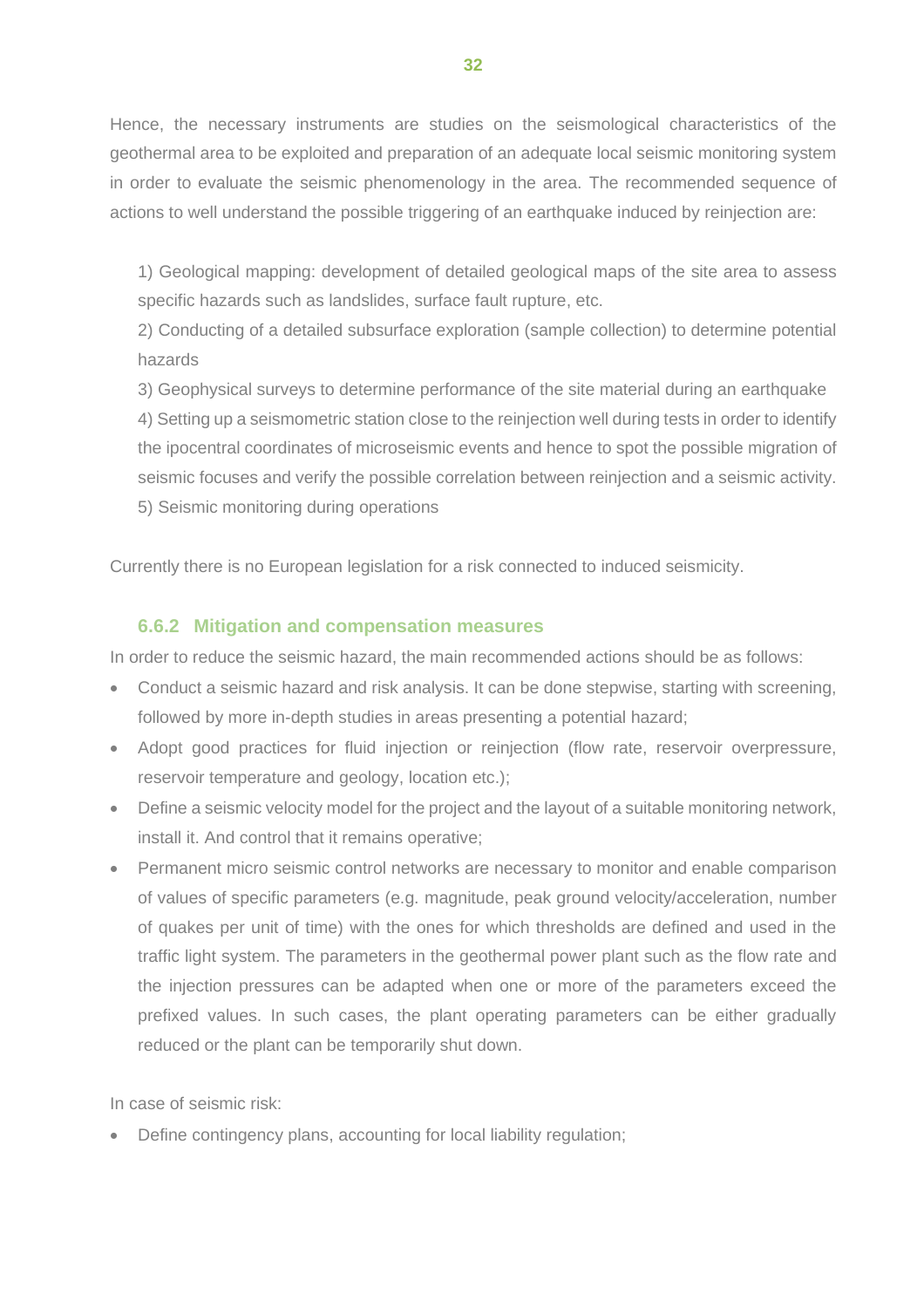Hence, the necessary instruments are studies on the seismological characteristics of the geothermal area to be exploited and preparation of an adequate local seismic monitoring system in order to evaluate the seismic phenomenology in the area. The recommended sequence of actions to well understand the possible triggering of an earthquake induced by reinjection are:

1) Geological mapping: development of detailed geological maps of the site area to assess specific hazards such as landslides, surface fault rupture, etc.

2) Conducting of a detailed subsurface exploration (sample collection) to determine potential hazards

3) Geophysical surveys to determine performance of the site material during an earthquake

4) Setting up a seismometric station close to the reinjection well during tests in order to identify the ipocentral coordinates of microseismic events and hence to spot the possible migration of seismic focuses and verify the possible correlation between reinjection and a seismic activity. 5) Seismic monitoring during operations

Currently there is no European legislation for a risk connected to induced seismicity.

## <span id="page-35-0"></span>**6.6.2 Mitigation and compensation measures**

In order to reduce the seismic hazard, the main recommended actions should be as follows:

- Conduct a seismic hazard and risk analysis. It can be done stepwise, starting with screening, followed by more in-depth studies in areas presenting a potential hazard;
- Adopt good practices for fluid injection or reinjection (flow rate, reservoir overpressure, reservoir temperature and geology, location etc.);
- Define a seismic velocity model for the project and the layout of a suitable monitoring network, install it. And control that it remains operative;
- Permanent micro seismic control networks are necessary to monitor and enable comparison of values of specific parameters (e.g. magnitude, peak ground velocity/acceleration, number of quakes per unit of time) with the ones for which thresholds are defined and used in the traffic light system. The parameters in the geothermal power plant such as the flow rate and the injection pressures can be adapted when one or more of the parameters exceed the prefixed values. In such cases, the plant operating parameters can be either gradually reduced or the plant can be temporarily shut down.

In case of seismic risk:

• Define contingency plans, accounting for local liability regulation;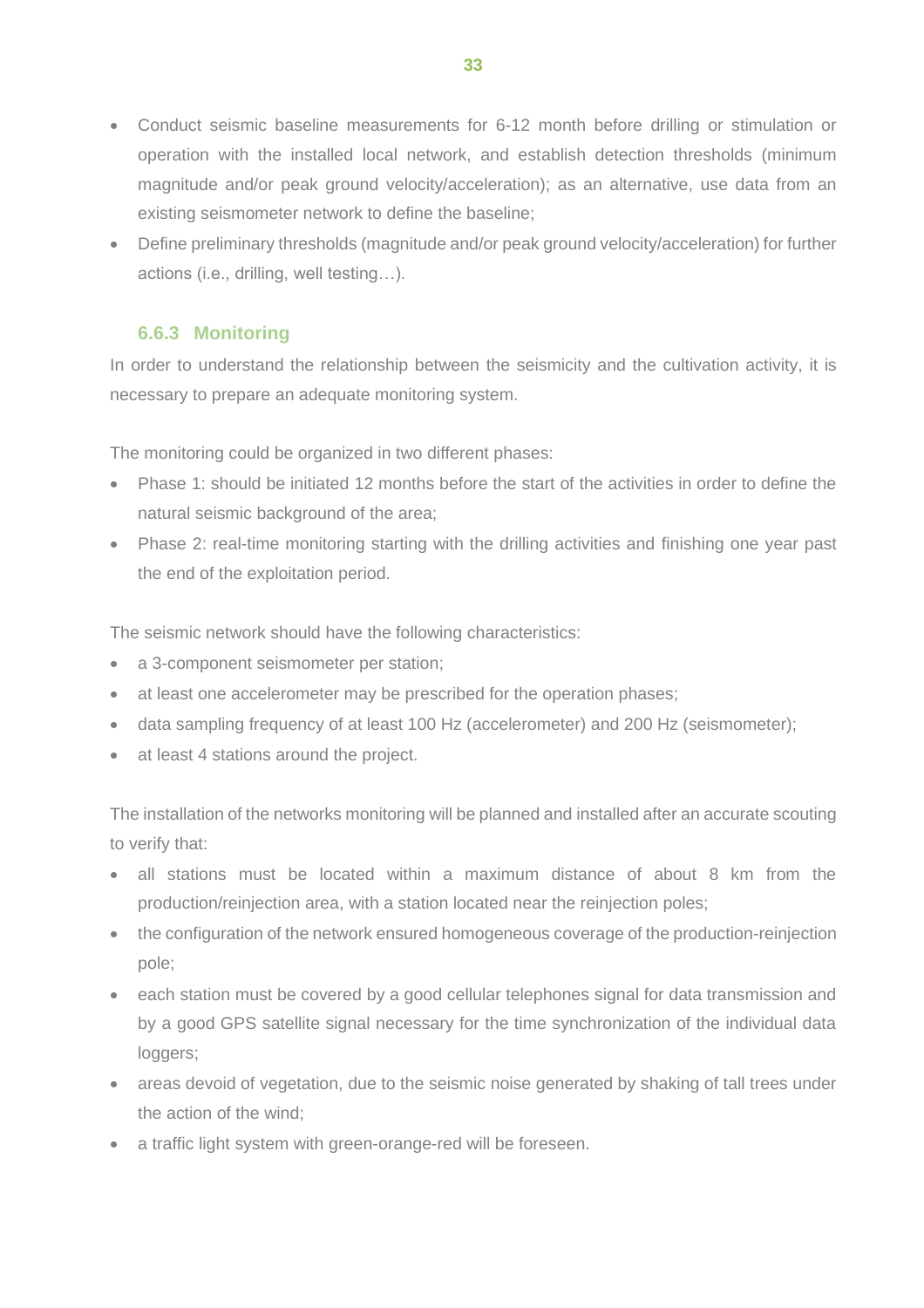- Conduct seismic baseline measurements for 6-12 month before drilling or stimulation or operation with the installed local network, and establish detection thresholds (minimum magnitude and/or peak ground velocity/acceleration); as an alternative, use data from an existing seismometer network to define the baseline;
- Define preliminary thresholds (magnitude and/or peak ground velocity/acceleration) for further actions (i.e., drilling, well testing…).

# **6.6.3 Monitoring**

<span id="page-36-0"></span>In order to understand the relationship between the seismicity and the cultivation activity, it is necessary to prepare an adequate monitoring system.

The monitoring could be organized in two different phases:

- Phase 1: should be initiated 12 months before the start of the activities in order to define the natural seismic background of the area;
- Phase 2: real-time monitoring starting with the drilling activities and finishing one year past the end of the exploitation period.

The seismic network should have the following characteristics:

- a 3-component seismometer per station;
- at least one accelerometer may be prescribed for the operation phases;
- data sampling frequency of at least 100 Hz (accelerometer) and 200 Hz (seismometer);
- at least 4 stations around the project.

The installation of the networks monitoring will be planned and installed after an accurate scouting to verify that:

- all stations must be located within a maximum distance of about 8 km from the production/reinjection area, with a station located near the reinjection poles;
- the configuration of the network ensured homogeneous coverage of the production-reinjection pole;
- each station must be covered by a good cellular telephones signal for data transmission and by a good GPS satellite signal necessary for the time synchronization of the individual data loggers;
- areas devoid of vegetation, due to the seismic noise generated by shaking of tall trees under the action of the wind;
- a traffic light system with green-orange-red will be foreseen.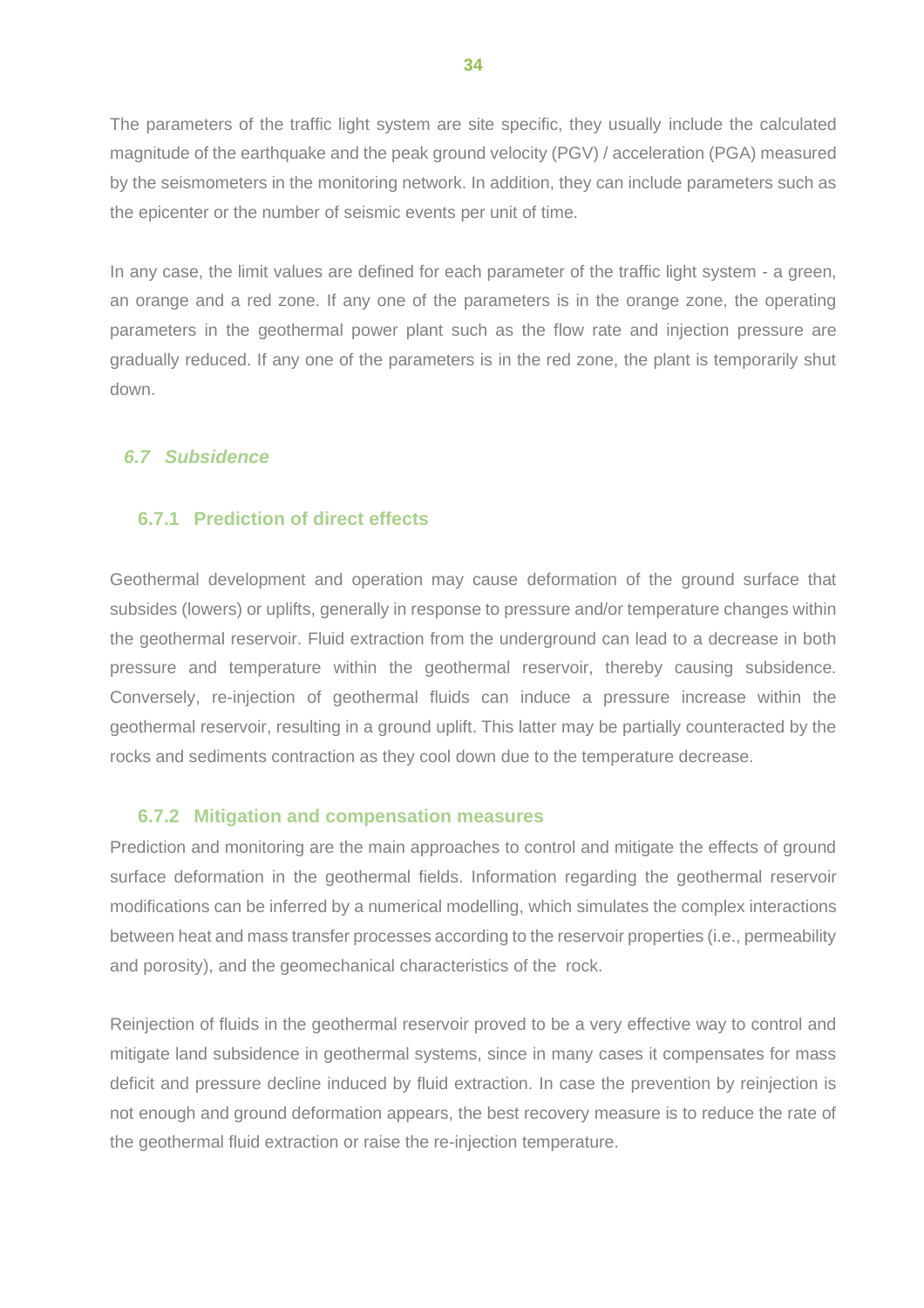The parameters of the traffic light system are site specific, they usually include the calculated magnitude of the earthquake and the peak ground velocity (PGV) / acceleration (PGA) measured by the seismometers in the monitoring network. In addition, they can include parameters such as the epicenter or the number of seismic events per unit of time.

In any case, the limit values are defined for each parameter of the traffic light system - a green, an orange and a red zone. If any one of the parameters is in the orange zone, the operating parameters in the geothermal power plant such as the flow rate and injection pressure are gradually reduced. If any one of the parameters is in the red zone, the plant is temporarily shut down.

#### <span id="page-37-0"></span>*6.7 Subsidence*

# <span id="page-37-1"></span>**6.7.1 Prediction of direct effects**

Geothermal development and operation may cause deformation of the ground surface that subsides (lowers) or uplifts, generally in response to pressure and/or temperature changes within the geothermal reservoir. Fluid extraction from the underground can lead to a decrease in both pressure and temperature within the geothermal reservoir, thereby causing subsidence. Conversely, re-injection of geothermal fluids can induce a pressure increase within the geothermal reservoir, resulting in a ground uplift. This latter may be partially counteracted by the rocks and sediments contraction as they cool down due to the temperature decrease.

#### <span id="page-37-2"></span>**6.7.2 Mitigation and compensation measures**

Prediction and monitoring are the main approaches to control and mitigate the effects of ground surface deformation in the geothermal fields. Information regarding the geothermal reservoir modifications can be inferred by a numerical modelling, which simulates the complex interactions between heat and mass transfer processes according to the reservoir properties (i.e., permeability and porosity), and the geomechanical characteristics of the rock.

Reinjection of fluids in the geothermal reservoir proved to be a very effective way to control and mitigate land subsidence in geothermal systems, since in many cases it compensates for mass deficit and pressure decline induced by fluid extraction. In case the prevention by reinjection is not enough and ground deformation appears, the best recovery measure is to reduce the rate of the geothermal fluid extraction or raise the re-injection temperature.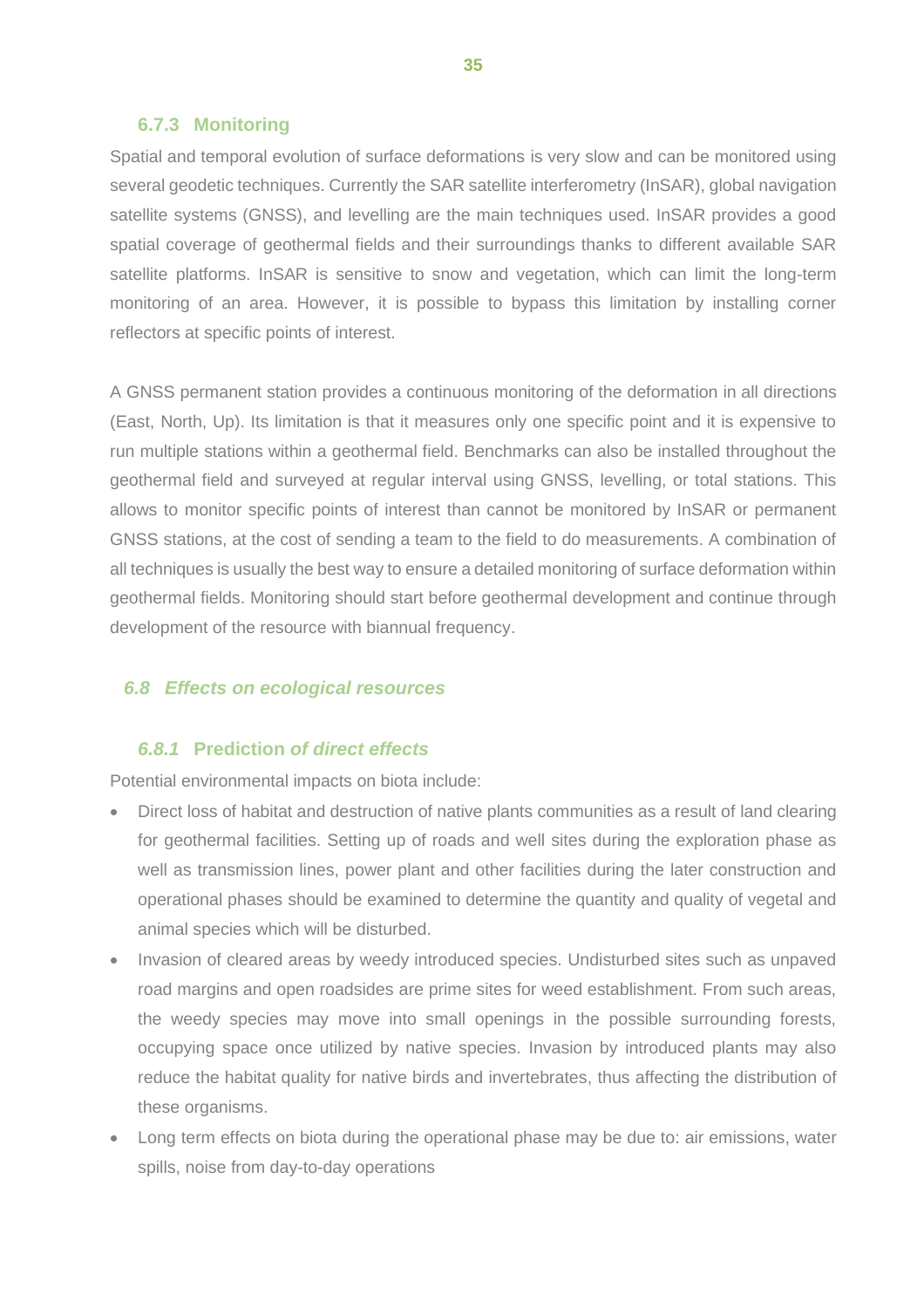#### <span id="page-38-0"></span>**6.7.3 Monitoring**

Spatial and temporal evolution of surface deformations is very slow and can be monitored using several geodetic techniques. Currently the SAR satellite interferometry (InSAR), global navigation satellite systems (GNSS), and levelling are the main techniques used. InSAR provides a good spatial coverage of geothermal fields and their surroundings thanks to different available SAR satellite platforms. InSAR is sensitive to snow and vegetation, which can limit the long-term monitoring of an area. However, it is possible to bypass this limitation by installing corner reflectors at specific points of interest.

A GNSS permanent station provides a continuous monitoring of the deformation in all directions (East, North, Up). Its limitation is that it measures only one specific point and it is expensive to run multiple stations within a geothermal field. Benchmarks can also be installed throughout the geothermal field and surveyed at regular interval using GNSS, levelling, or total stations. This allows to monitor specific points of interest than cannot be monitored by InSAR or permanent GNSS stations, at the cost of sending a team to the field to do measurements. A combination of all techniques is usually the best way to ensure a detailed monitoring of surface deformation within geothermal fields. Monitoring should start before geothermal development and continue through development of the resource with biannual frequency.

#### <span id="page-38-1"></span>*6.8 Effects on ecological resources*

# <span id="page-38-2"></span>*6.8.1* **Prediction** *of direct effects*

Potential environmental impacts on biota include:

- Direct loss of habitat and destruction of native plants communities as a result of land clearing for geothermal facilities. Setting up of roads and well sites during the exploration phase as well as transmission lines, power plant and other facilities during the later construction and operational phases should be examined to determine the quantity and quality of vegetal and animal species which will be disturbed.
- Invasion of cleared areas by weedy introduced species. Undisturbed sites such as unpaved road margins and open roadsides are prime sites for weed establishment. From such areas, the weedy species may move into small openings in the possible surrounding forests, occupying space once utilized by native species. Invasion by introduced plants may also reduce the habitat quality for native birds and invertebrates, thus affecting the distribution of these organisms.
- Long term effects on biota during the operational phase may be due to: air emissions, water spills, noise from day-to-day operations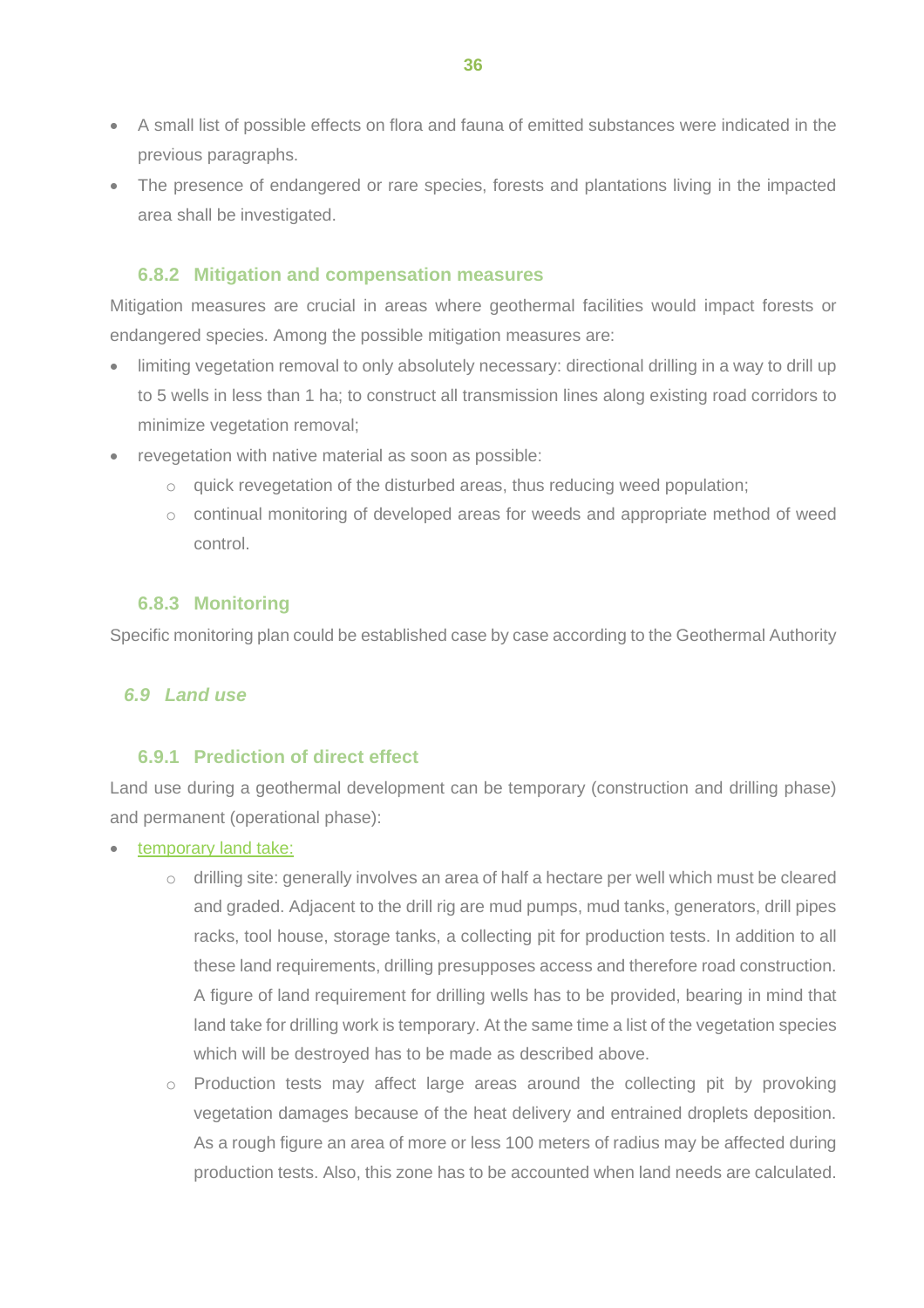- A small list of possible effects on flora and fauna of emitted substances were indicated in the previous paragraphs.
- The presence of endangered or rare species, forests and plantations living in the impacted area shall be investigated.

## <span id="page-39-0"></span>**6.8.2 Mitigation and compensation measures**

Mitigation measures are crucial in areas where geothermal facilities would impact forests or endangered species. Among the possible mitigation measures are:

- limiting vegetation removal to only absolutely necessary: directional drilling in a way to drill up to 5 wells in less than 1 ha; to construct all transmission lines along existing road corridors to minimize vegetation removal;
- revegetation with native material as soon as possible:
	- o quick revegetation of the disturbed areas, thus reducing weed population;
	- $\circ$  continual monitoring of developed areas for weeds and appropriate method of weed control.

## **6.8.3 Monitoring**

<span id="page-39-1"></span>Specific monitoring plan could be established case by case according to the Geothermal Authority

## <span id="page-39-2"></span>*6.9 Land use*

## <span id="page-39-3"></span>**6.9.1 Prediction of direct effect**

Land use during a geothermal development can be temporary (construction and drilling phase) and permanent (operational phase):

• temporary land take:

- o drilling site: generally involves an area of half a hectare per well which must be cleared and graded. Adjacent to the drill rig are mud pumps, mud tanks, generators, drill pipes racks, tool house, storage tanks, a collecting pit for production tests. In addition to all these land requirements, drilling presupposes access and therefore road construction. A figure of land requirement for drilling wells has to be provided, bearing in mind that land take for drilling work is temporary. At the same time a list of the vegetation species which will be destroyed has to be made as described above.
- $\circ$  Production tests may affect large areas around the collecting pit by provoking vegetation damages because of the heat delivery and entrained droplets deposition. As a rough figure an area of more or less 100 meters of radius may be affected during production tests. Also, this zone has to be accounted when land needs are calculated.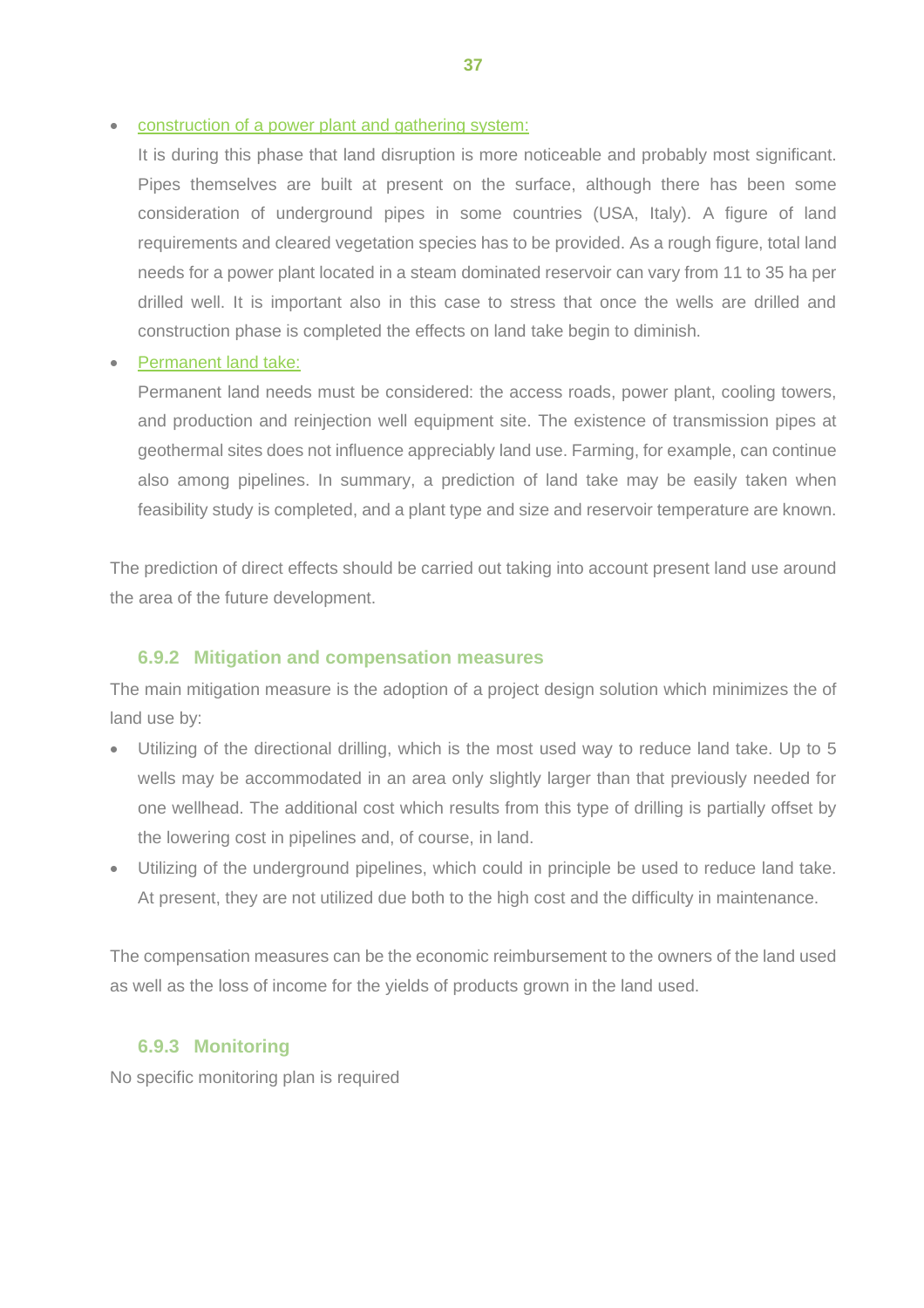• construction of a power plant and gathering system:

It is during this phase that land disruption is more noticeable and probably most significant. Pipes themselves are built at present on the surface, although there has been some consideration of underground pipes in some countries (USA, Italy). A figure of land requirements and cleared vegetation species has to be provided. As a rough figure, total land needs for a power plant located in a steam dominated reservoir can vary from 11 to 35 ha per drilled well. It is important also in this case to stress that once the wells are drilled and construction phase is completed the effects on land take begin to diminish.

#### • Permanent land take:

Permanent land needs must be considered: the access roads, power plant, cooling towers, and production and reinjection well equipment site. The existence of transmission pipes at geothermal sites does not influence appreciably land use. Farming, for example, can continue also among pipelines. In summary, a prediction of land take may be easily taken when feasibility study is completed, and a plant type and size and reservoir temperature are known.

The prediction of direct effects should be carried out taking into account present land use around the area of the future development.

#### **6.9.2 Mitigation and compensation measures**

<span id="page-40-0"></span>The main mitigation measure is the adoption of a project design solution which minimizes the of land use by:

- Utilizing of the directional drilling, which is the most used way to reduce land take. Up to 5 wells may be accommodated in an area only slightly larger than that previously needed for one wellhead. The additional cost which results from this type of drilling is partially offset by the lowering cost in pipelines and, of course, in land.
- Utilizing of the underground pipelines, which could in principle be used to reduce land take. At present, they are not utilized due both to the high cost and the difficulty in maintenance.

The compensation measures can be the economic reimbursement to the owners of the land used as well as the loss of income for the yields of products grown in the land used.

#### <span id="page-40-1"></span>**6.9.3 Monitoring**

No specific monitoring plan is required

**37**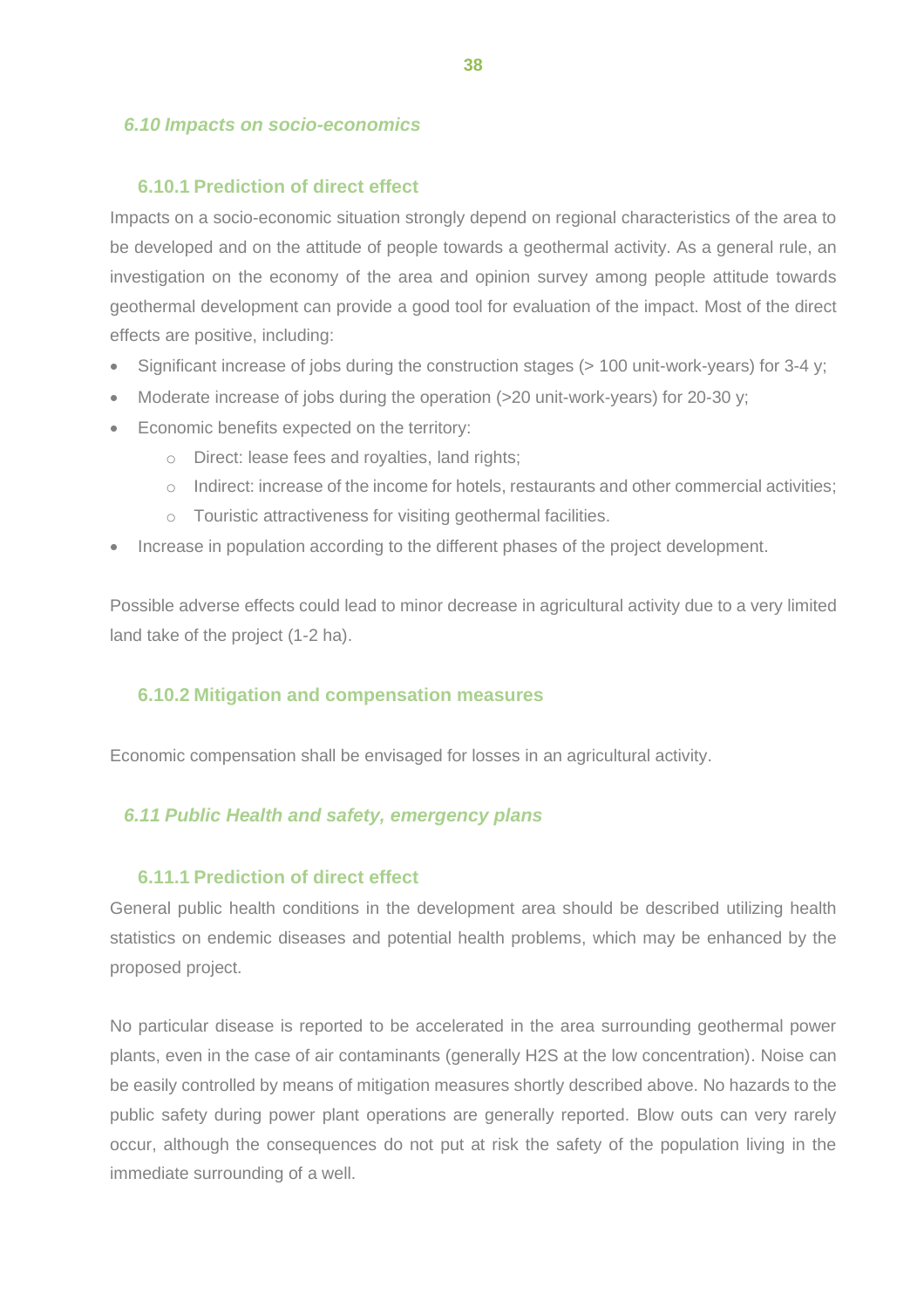## <span id="page-41-0"></span>*6.10 Impacts on socio-economics*

#### **6.10.1 Prediction of direct effect**

<span id="page-41-1"></span>Impacts on a socio-economic situation strongly depend on regional characteristics of the area to be developed and on the attitude of people towards a geothermal activity. As a general rule, an investigation on the economy of the area and opinion survey among people attitude towards geothermal development can provide a good tool for evaluation of the impact. Most of the direct effects are positive, including:

- Significant increase of jobs during the construction stages (> 100 unit-work-years) for 3-4 y;
- Moderate increase of jobs during the operation (>20 unit-work-years) for 20-30 y;
- Economic benefits expected on the territory:
	- o Direct: lease fees and royalties, land rights;
	- $\circ$  Indirect: increase of the income for hotels, restaurants and other commercial activities;
	- o Touristic attractiveness for visiting geothermal facilities.
- Increase in population according to the different phases of the project development.

Possible adverse effects could lead to minor decrease in agricultural activity due to a very limited land take of the project (1-2 ha).

## <span id="page-41-2"></span>**6.10.2 Mitigation and compensation measures**

Economic compensation shall be envisaged for losses in an agricultural activity.

#### <span id="page-41-3"></span>*6.11 Public Health and safety, emergency plans*

#### <span id="page-41-4"></span>**6.11.1 Prediction of direct effect**

General public health conditions in the development area should be described utilizing health statistics on endemic diseases and potential health problems, which may be enhanced by the proposed project.

No particular disease is reported to be accelerated in the area surrounding geothermal power plants, even in the case of air contaminants (generally H2S at the low concentration). Noise can be easily controlled by means of mitigation measures shortly described above. No hazards to the public safety during power plant operations are generally reported. Blow outs can very rarely occur, although the consequences do not put at risk the safety of the population living in the immediate surrounding of a well.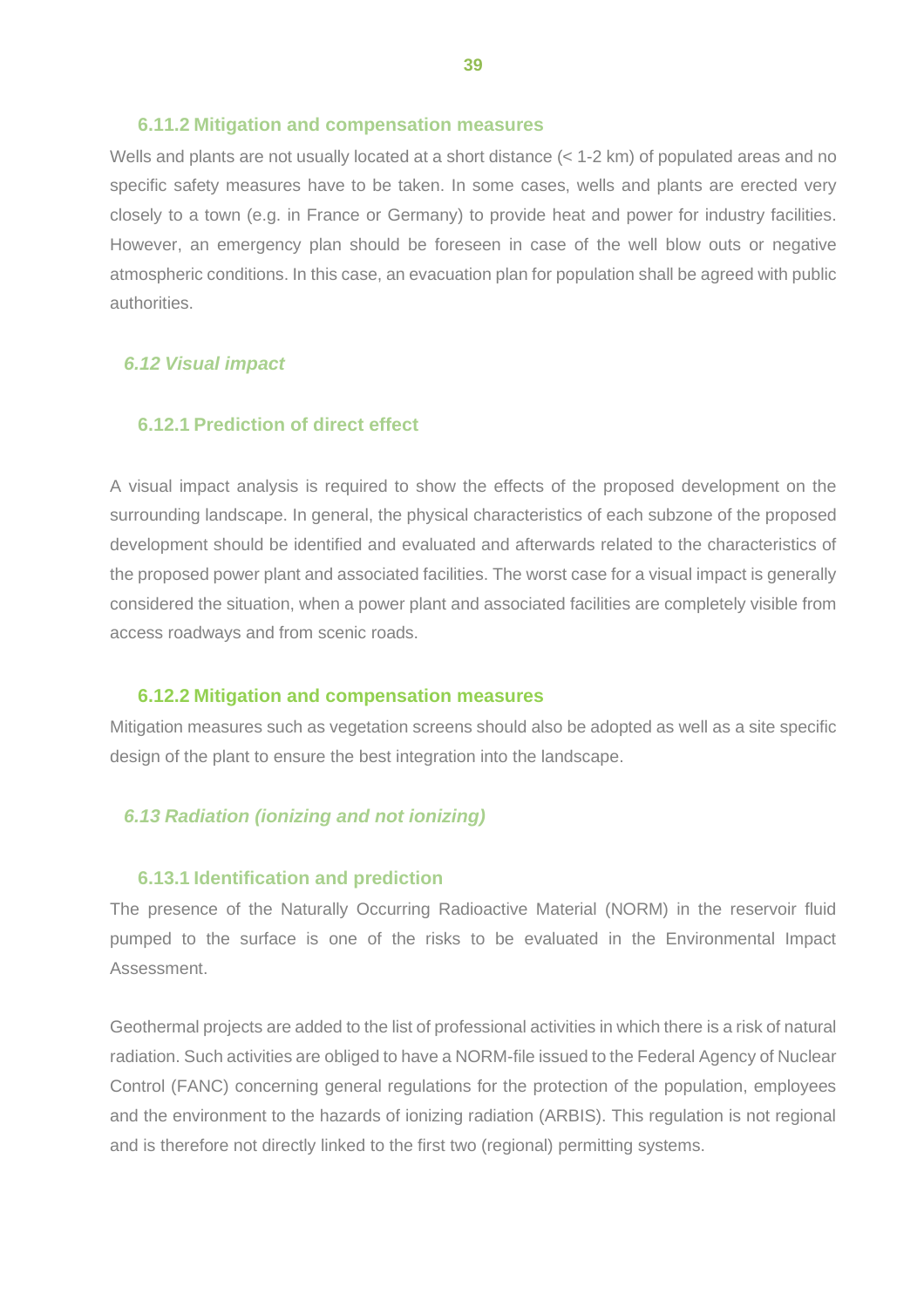#### <span id="page-42-0"></span>**6.11.2 Mitigation and compensation measures**

Wells and plants are not usually located at a short distance (< 1-2 km) of populated areas and no specific safety measures have to be taken. In some cases, wells and plants are erected very closely to a town (e.g. in France or Germany) to provide heat and power for industry facilities. However, an emergency plan should be foreseen in case of the well blow outs or negative atmospheric conditions. In this case, an evacuation plan for population shall be agreed with public authorities.

#### <span id="page-42-1"></span>*6.12 Visual impact*

#### <span id="page-42-2"></span>**6.12.1 Prediction of direct effect**

A visual impact analysis is required to show the effects of the proposed development on the surrounding landscape. In general, the physical characteristics of each subzone of the proposed development should be identified and evaluated and afterwards related to the characteristics of the proposed power plant and associated facilities. The worst case for a visual impact is generally considered the situation, when a power plant and associated facilities are completely visible from access roadways and from scenic roads.

#### <span id="page-42-3"></span>**6.12.2 Mitigation and compensation measures**

Mitigation measures such as vegetation screens should also be adopted as well as a site specific design of the plant to ensure the best integration into the landscape.

#### <span id="page-42-4"></span>*6.13 Radiation (ionizing and not ionizing)*

#### <span id="page-42-5"></span>**6.13.1 Identification and prediction**

The presence of the Naturally Occurring Radioactive Material (NORM) in the reservoir fluid pumped to the surface is one of the risks to be evaluated in the Environmental Impact Assessment.

Geothermal projects are added to the list of professional activities in which there is a risk of natural radiation. Such activities are obliged to have a NORM-file issued to the Federal Agency of Nuclear Control (FANC) concerning general regulations for the protection of the population, employees and the environment to the hazards of ionizing radiation (ARBIS). This regulation is not regional and is therefore not directly linked to the first two (regional) permitting systems.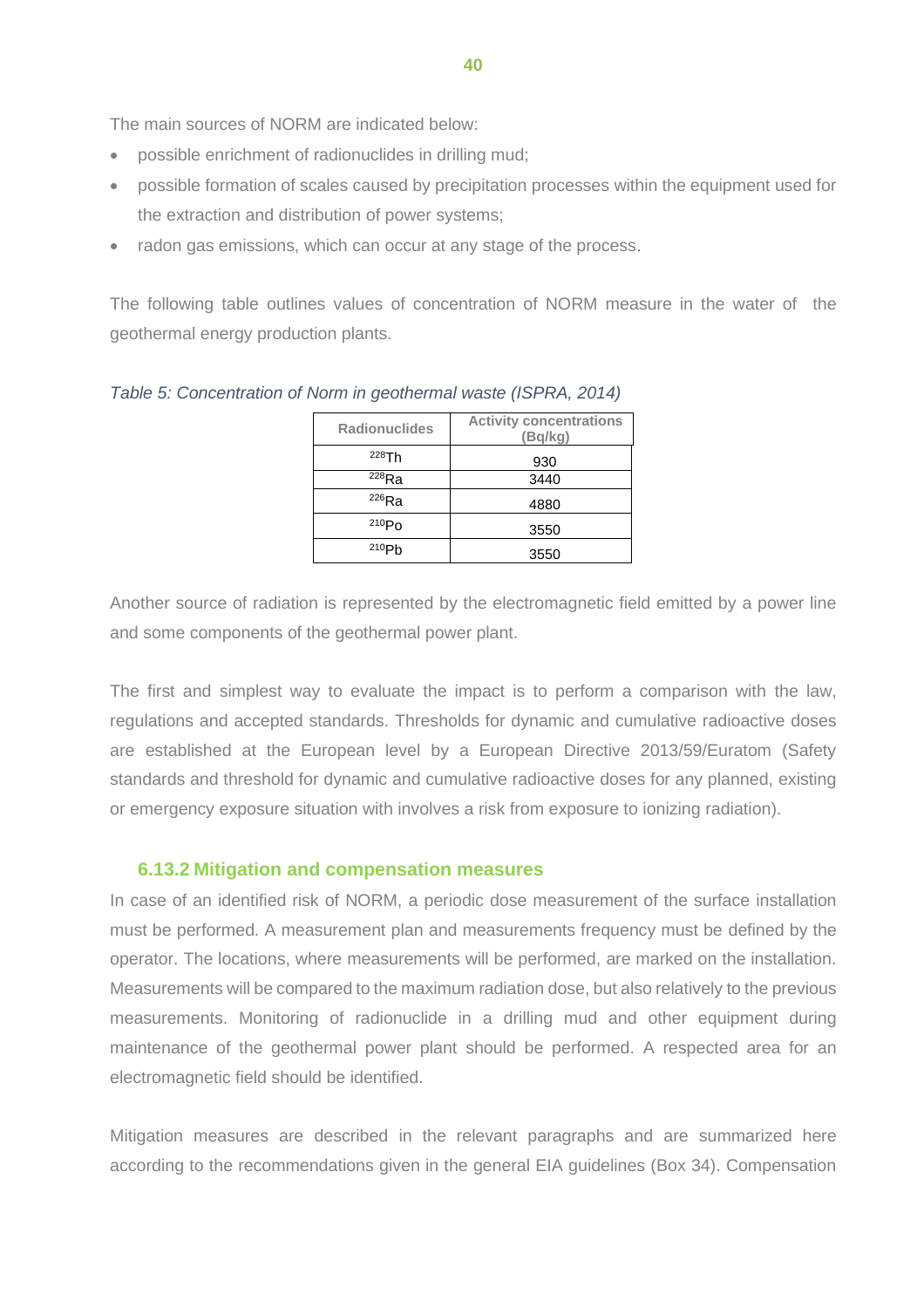The main sources of NORM are indicated below:

- possible enrichment of radionuclides in drilling mud;
- possible formation of scales caused by precipitation processes within the equipment used for the extraction and distribution of power systems;
- radon gas emissions, which can occur at any stage of the process.

The following table outlines values of concentration of NORM measure in the water of the geothermal energy production plants.

| <b>Radionuclides</b> | <b>Activity concentrations</b><br>(Bq/kg) |
|----------------------|-------------------------------------------|
| 228Th                | 930                                       |
| $^{228}$ Ra          | 3440                                      |
| $^{226}$ Ra          | 4880                                      |
| $^{210}Po$           | 3550                                      |
| 210P <sub>b</sub>    | 3550                                      |

*Table 5: Concentration of Norm in geothermal waste (ISPRA, 2014)*

Another source of radiation is represented by the electromagnetic field emitted by a power line and some components of the geothermal power plant.

The first and simplest way to evaluate the impact is to perform a comparison with the law, regulations and accepted standards. Thresholds for dynamic and cumulative radioactive doses are established at the European level by a European Directive 2013/59/Euratom (Safety standards and threshold for dynamic and cumulative radioactive doses for any planned, existing or emergency exposure situation with involves a risk from exposure to ionizing radiation).

#### <span id="page-43-0"></span>**6.13.2 Mitigation and compensation measures**

In case of an identified risk of NORM, a periodic dose measurement of the surface installation must be performed. A measurement plan and measurements frequency must be defined by the operator. The locations, where measurements will be performed, are marked on the installation. Measurements will be compared to the maximum radiation dose, but also relatively to the previous measurements. Monitoring of radionuclide in a drilling mud and other equipment during maintenance of the geothermal power plant should be performed. A respected area for an electromagnetic field should be identified.

Mitigation measures are described in the relevant paragraphs and are summarized here according to the recommendations given in the general EIA guidelines (Box 34). Compensation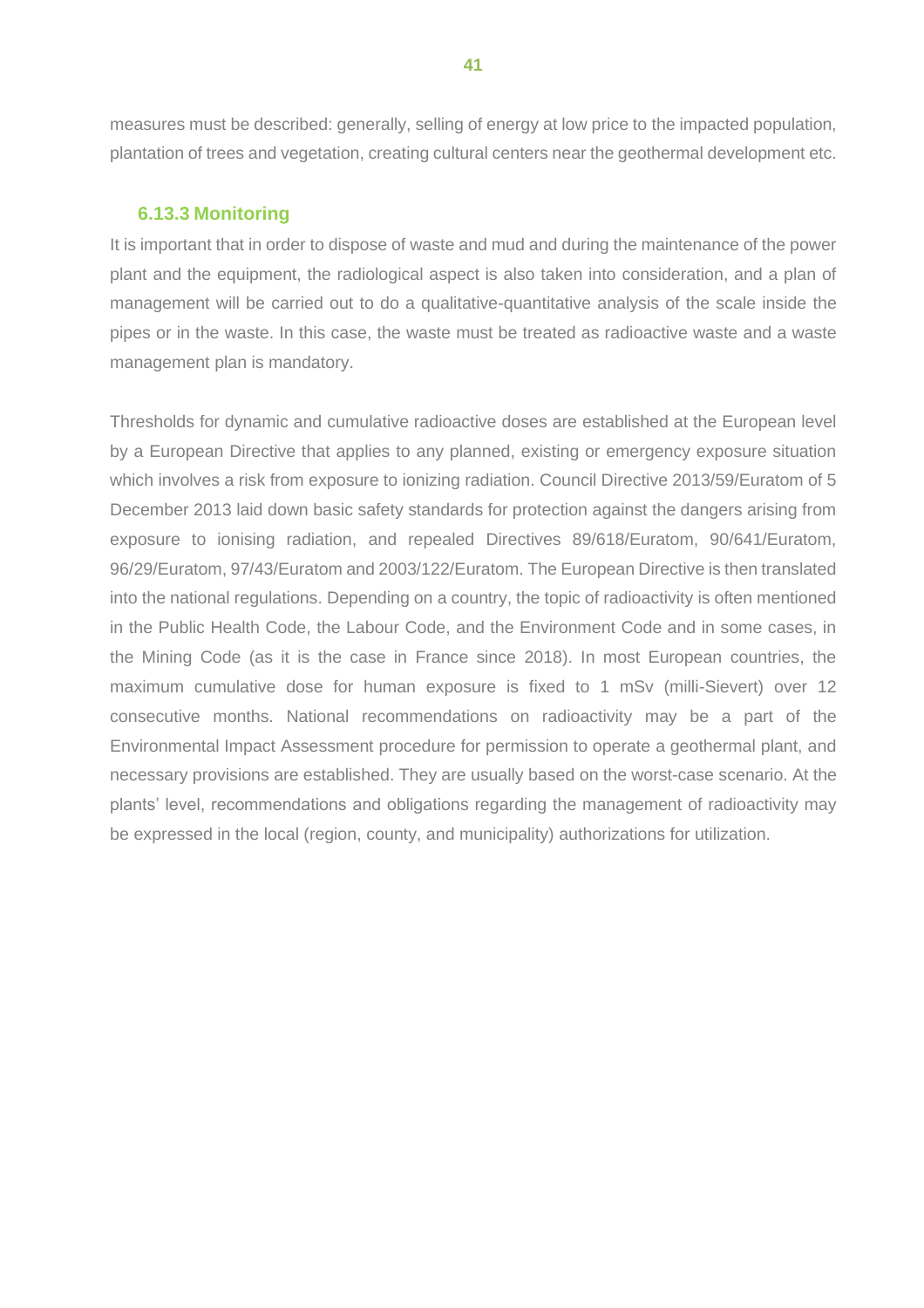measures must be described: generally, selling of energy at low price to the impacted population, plantation of trees and vegetation, creating cultural centers near the geothermal development etc.

#### <span id="page-44-0"></span>**6.13.3 Monitoring**

It is important that in order to dispose of waste and mud and during the maintenance of the power plant and the equipment, the radiological aspect is also taken into consideration, and a plan of management will be carried out to do a qualitative-quantitative analysis of the scale inside the pipes or in the waste. In this case, the waste must be treated as radioactive waste and a waste management plan is mandatory.

Thresholds for dynamic and cumulative radioactive doses are established at the European level by a European Directive that applies to any planned, existing or emergency exposure situation which involves a risk from exposure to ionizing radiation. Council Directive 2013/59/Euratom of 5 December 2013 laid down basic safety standards for protection against the dangers arising from exposure to ionising radiation, and repealed Directives 89/618/Euratom, 90/641/Euratom, 96/29/Euratom, 97/43/Euratom and 2003/122/Euratom. The European Directive is then translated into the national regulations. Depending on a country, the topic of radioactivity is often mentioned in the Public Health Code, the Labour Code, and the Environment Code and in some cases, in the Mining Code (as it is the case in France since 2018). In most European countries, the maximum cumulative dose for human exposure is fixed to 1 mSv (milli-Sievert) over 12 consecutive months. National recommendations on radioactivity may be a part of the Environmental Impact Assessment procedure for permission to operate a geothermal plant, and necessary provisions are established. They are usually based on the worst-case scenario. At the plants' level, recommendations and obligations regarding the management of radioactivity may be expressed in the local (region, county, and municipality) authorizations for utilization.